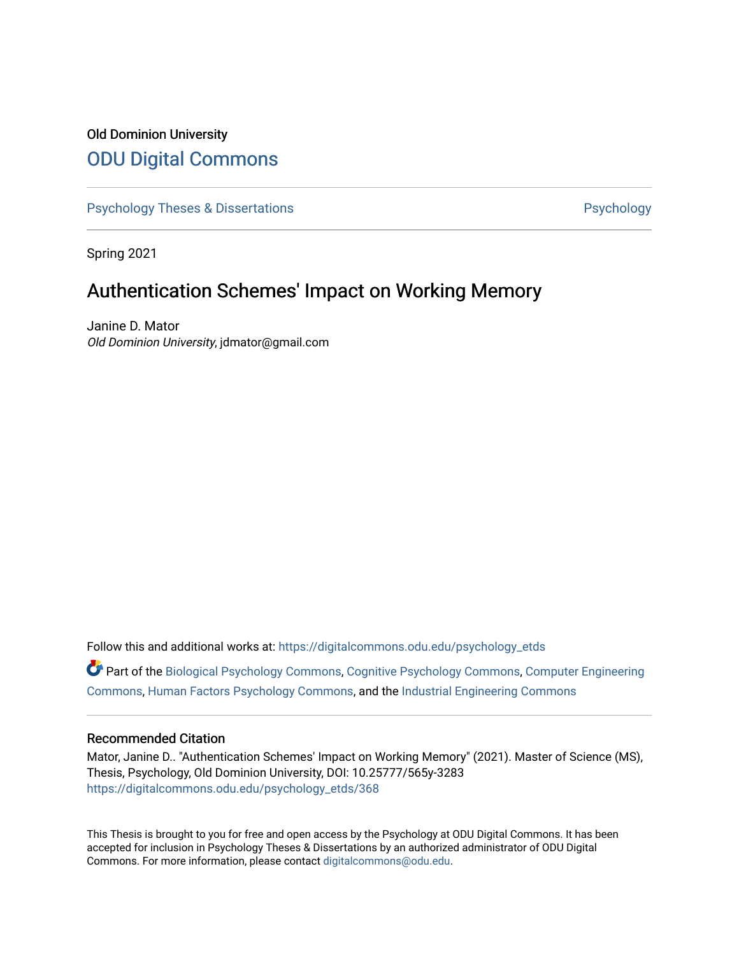# Old Dominion University [ODU Digital Commons](https://digitalcommons.odu.edu/)

[Psychology Theses & Dissertations](https://digitalcommons.odu.edu/psychology_etds) **Psychology** Psychology

Spring 2021

# Authentication Schemes' Impact on Working Memory

Janine D. Mator Old Dominion University, jdmator@gmail.com

Follow this and additional works at: [https://digitalcommons.odu.edu/psychology\\_etds](https://digitalcommons.odu.edu/psychology_etds?utm_source=digitalcommons.odu.edu%2Fpsychology_etds%2F368&utm_medium=PDF&utm_campaign=PDFCoverPages)

Part of the [Biological Psychology Commons,](http://network.bepress.com/hgg/discipline/405?utm_source=digitalcommons.odu.edu%2Fpsychology_etds%2F368&utm_medium=PDF&utm_campaign=PDFCoverPages) [Cognitive Psychology Commons](http://network.bepress.com/hgg/discipline/408?utm_source=digitalcommons.odu.edu%2Fpsychology_etds%2F368&utm_medium=PDF&utm_campaign=PDFCoverPages), [Computer Engineering](http://network.bepress.com/hgg/discipline/258?utm_source=digitalcommons.odu.edu%2Fpsychology_etds%2F368&utm_medium=PDF&utm_campaign=PDFCoverPages) [Commons](http://network.bepress.com/hgg/discipline/258?utm_source=digitalcommons.odu.edu%2Fpsychology_etds%2F368&utm_medium=PDF&utm_campaign=PDFCoverPages), [Human Factors Psychology Commons,](http://network.bepress.com/hgg/discipline/1412?utm_source=digitalcommons.odu.edu%2Fpsychology_etds%2F368&utm_medium=PDF&utm_campaign=PDFCoverPages) and the [Industrial Engineering Commons](http://network.bepress.com/hgg/discipline/307?utm_source=digitalcommons.odu.edu%2Fpsychology_etds%2F368&utm_medium=PDF&utm_campaign=PDFCoverPages) 

### Recommended Citation

Mator, Janine D.. "Authentication Schemes' Impact on Working Memory" (2021). Master of Science (MS), Thesis, Psychology, Old Dominion University, DOI: 10.25777/565y-3283 [https://digitalcommons.odu.edu/psychology\\_etds/368](https://digitalcommons.odu.edu/psychology_etds/368?utm_source=digitalcommons.odu.edu%2Fpsychology_etds%2F368&utm_medium=PDF&utm_campaign=PDFCoverPages)

This Thesis is brought to you for free and open access by the Psychology at ODU Digital Commons. It has been accepted for inclusion in Psychology Theses & Dissertations by an authorized administrator of ODU Digital Commons. For more information, please contact [digitalcommons@odu.edu](mailto:digitalcommons@odu.edu).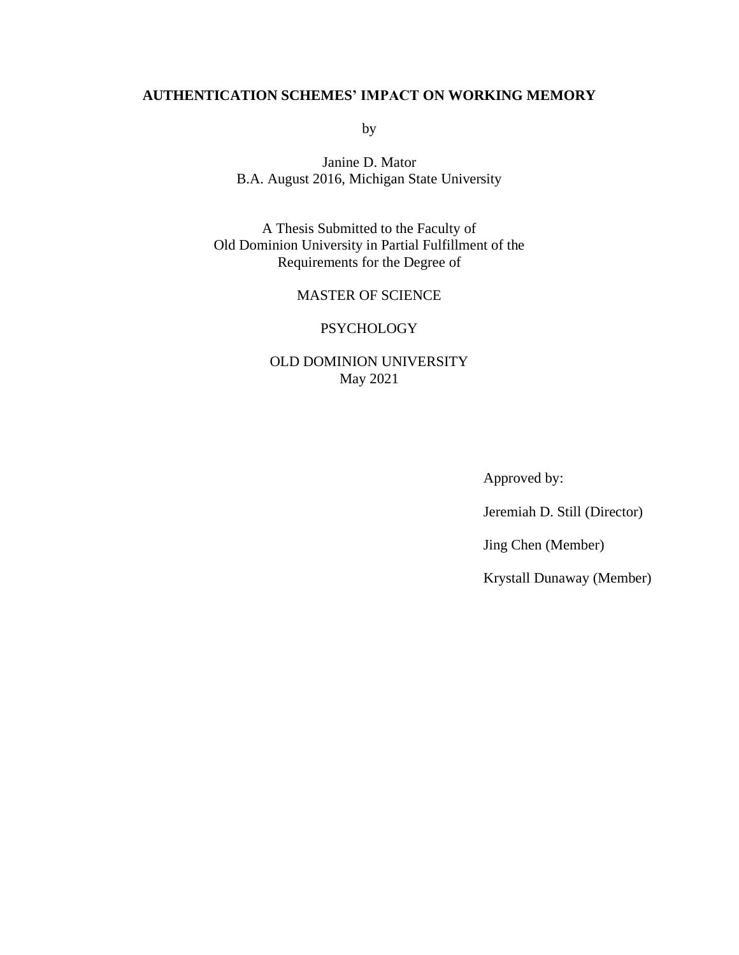## **AUTHENTICATION SCHEMES' IMPACT ON WORKING MEMORY**

by

Janine D. Mator B.A. August 2016, Michigan State University

A Thesis Submitted to the Faculty of Old Dominion University in Partial Fulfillment of the Requirements for the Degree of

## MASTER OF SCIENCE

## PSYCHOLOGY

## OLD DOMINION UNIVERSITY May 2021

Approved by:

Jeremiah D. Still (Director)

Jing Chen (Member)

Krystall Dunaway (Member)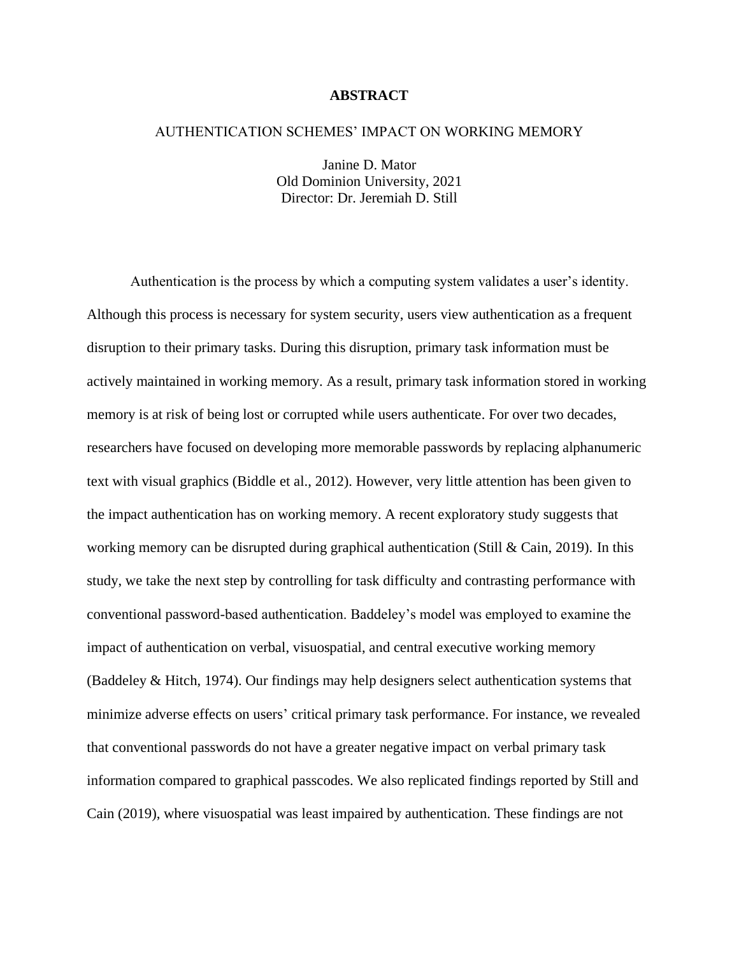## **ABSTRACT**

#### AUTHENTICATION SCHEMES' IMPACT ON WORKING MEMORY

Janine D. Mator Old Dominion University, 2021 Director: Dr. Jeremiah D. Still

Authentication is the process by which a computing system validates a user's identity. Although this process is necessary for system security, users view authentication as a frequent disruption to their primary tasks. During this disruption, primary task information must be actively maintained in working memory. As a result, primary task information stored in working memory is at risk of being lost or corrupted while users authenticate. For over two decades, researchers have focused on developing more memorable passwords by replacing alphanumeric text with visual graphics (Biddle et al., 2012). However, very little attention has been given to the impact authentication has on working memory. A recent exploratory study suggests that working memory can be disrupted during graphical authentication (Still & Cain, 2019). In this study, we take the next step by controlling for task difficulty and contrasting performance with conventional password-based authentication. Baddeley's model was employed to examine the impact of authentication on verbal, visuospatial, and central executive working memory (Baddeley & Hitch, 1974). Our findings may help designers select authentication systems that minimize adverse effects on users' critical primary task performance. For instance, we revealed that conventional passwords do not have a greater negative impact on verbal primary task information compared to graphical passcodes. We also replicated findings reported by Still and Cain (2019), where visuospatial was least impaired by authentication. These findings are not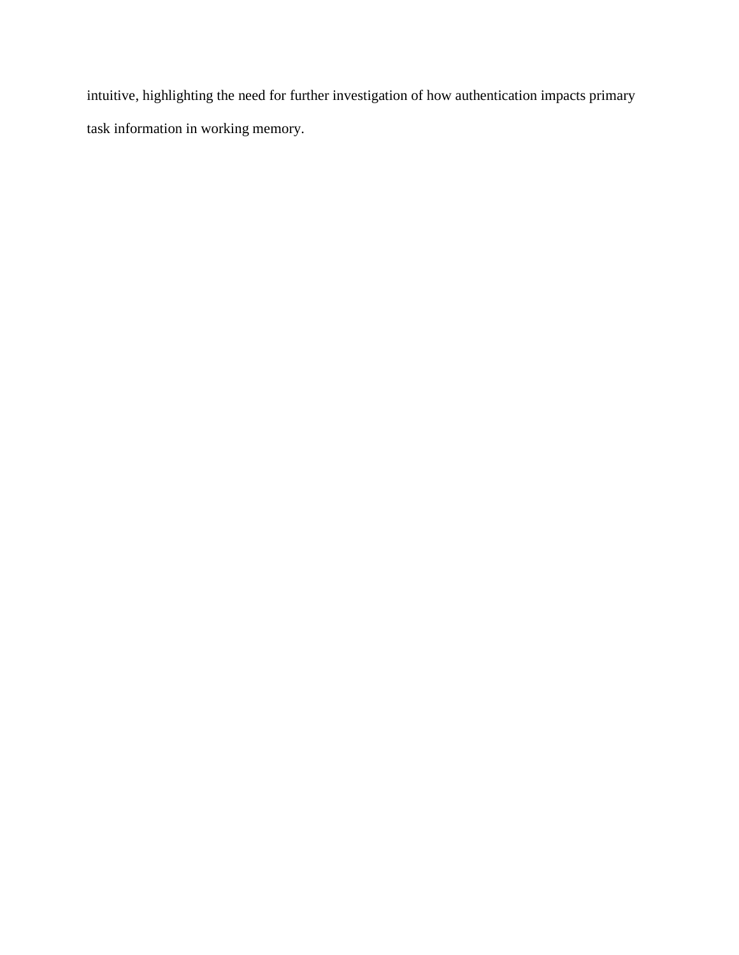intuitive, highlighting the need for further investigation of how authentication impacts primary task information in working memory.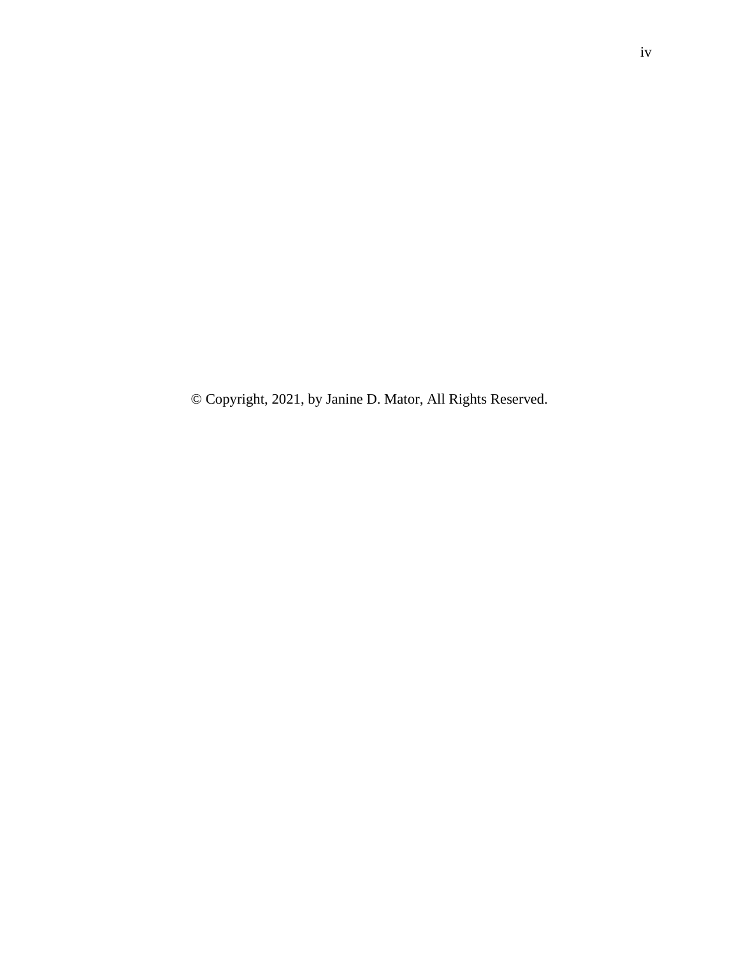© Copyright, 2021, by Janine D. Mator, All Rights Reserved.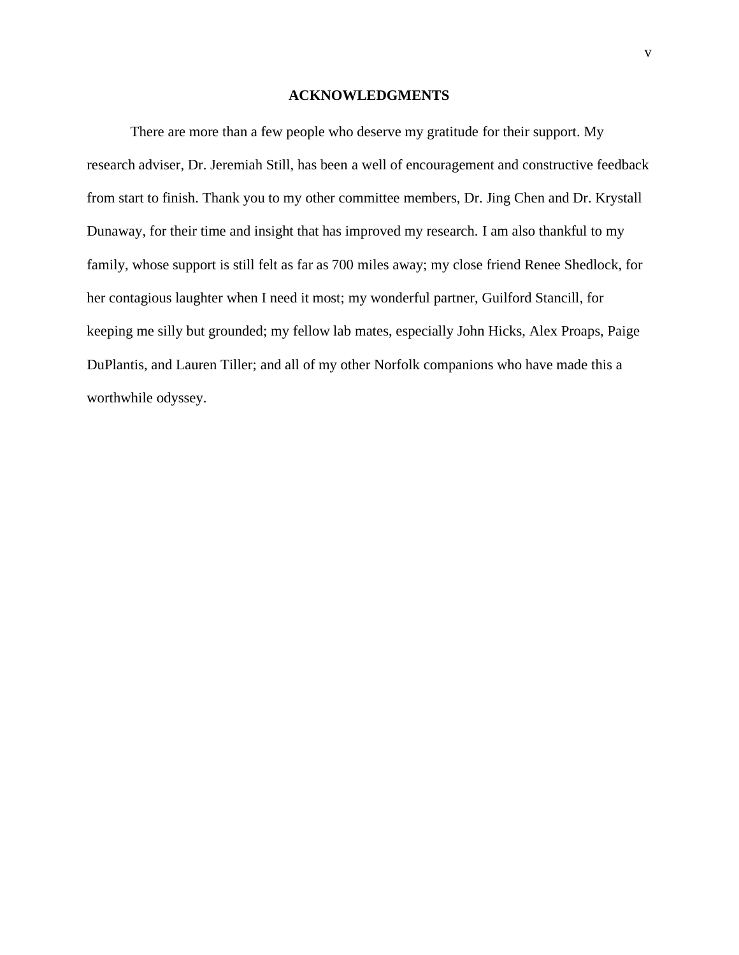#### **ACKNOWLEDGMENTS**

<span id="page-5-0"></span>There are more than a few people who deserve my gratitude for their support. My research adviser, Dr. Jeremiah Still, has been a well of encouragement and constructive feedback from start to finish. Thank you to my other committee members, Dr. Jing Chen and Dr. Krystall Dunaway, for their time and insight that has improved my research. I am also thankful to my family, whose support is still felt as far as 700 miles away; my close friend Renee Shedlock, for her contagious laughter when I need it most; my wonderful partner, Guilford Stancill, for keeping me silly but grounded; my fellow lab mates, especially John Hicks, Alex Proaps, Paige DuPlantis, and Lauren Tiller; and all of my other Norfolk companions who have made this a worthwhile odyssey.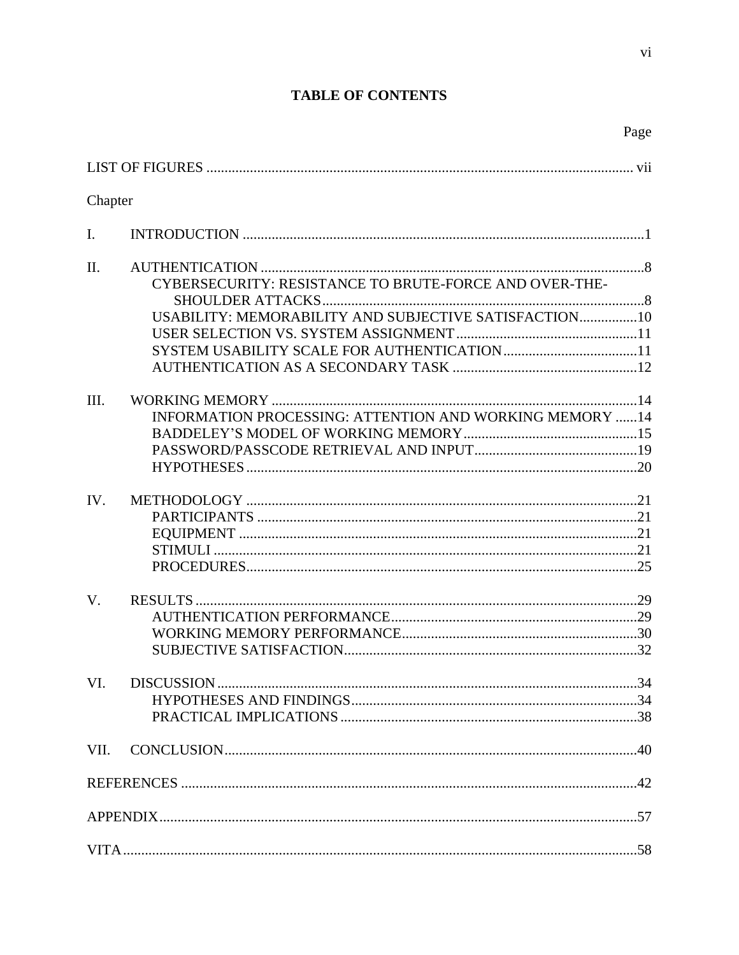# **TABLE OF CONTENTS**

|                |                                                                                                                 | Page |
|----------------|-----------------------------------------------------------------------------------------------------------------|------|
|                |                                                                                                                 |      |
| Chapter        |                                                                                                                 |      |
| $\mathbf{I}$ . |                                                                                                                 |      |
| II.            | CYBERSECURITY: RESISTANCE TO BRUTE-FORCE AND OVER-THE-<br>USABILITY: MEMORABILITY AND SUBJECTIVE SATISFACTION10 |      |
| III.           | INFORMATION PROCESSING: ATTENTION AND WORKING MEMORY 14                                                         |      |
| IV.            |                                                                                                                 |      |
| V.             |                                                                                                                 |      |
| VI.            |                                                                                                                 |      |
| VII.           |                                                                                                                 |      |
|                |                                                                                                                 |      |
|                |                                                                                                                 |      |
|                |                                                                                                                 |      |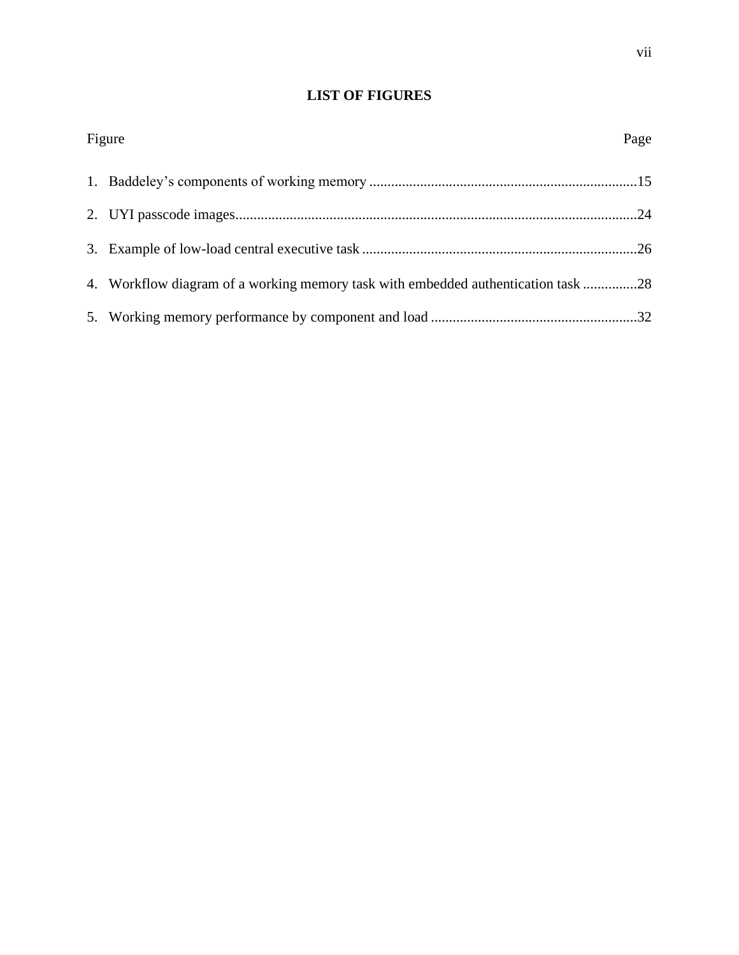# **LIST OF FIGURES**

| Figure                                                                            | Page |
|-----------------------------------------------------------------------------------|------|
|                                                                                   |      |
|                                                                                   |      |
|                                                                                   |      |
| 4. Workflow diagram of a working memory task with embedded authentication task 28 |      |
|                                                                                   |      |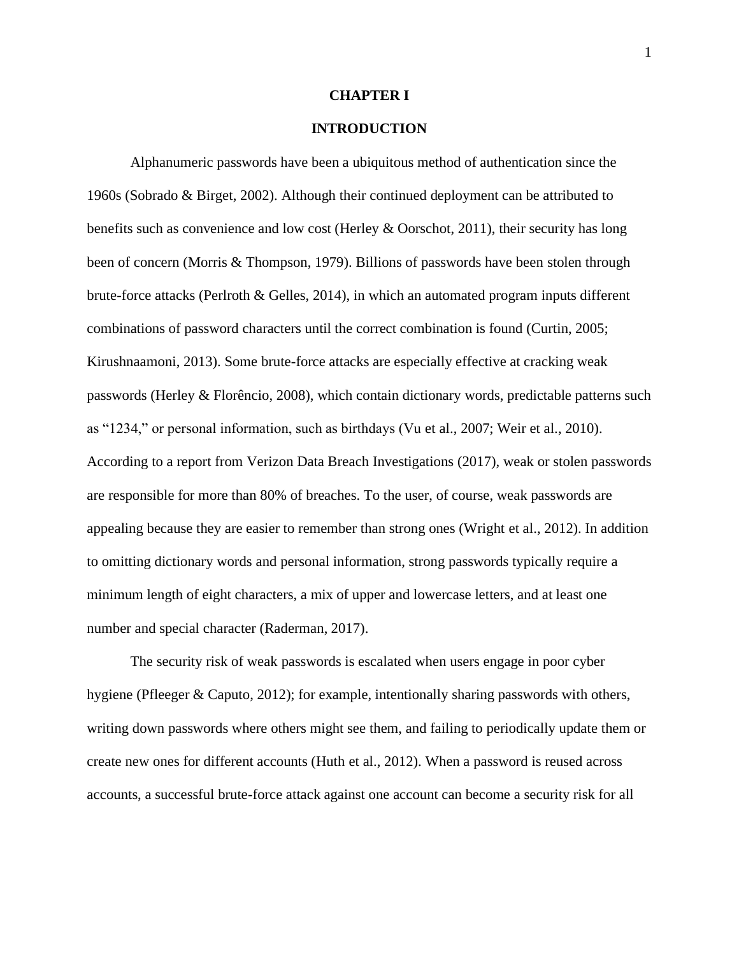#### **CHAPTER I**

## **INTRODUCTION**

Alphanumeric passwords have been a ubiquitous method of authentication since the 1960s (Sobrado & Birget, 2002). Although their continued deployment can be attributed to benefits such as convenience and low cost (Herley & Oorschot, 2011), their security has long been of concern (Morris & Thompson, 1979). Billions of passwords have been stolen through brute-force attacks (Perlroth & Gelles, 2014), in which an automated program inputs different combinations of password characters until the correct combination is found (Curtin, 2005; Kirushnaamoni, 2013). Some brute-force attacks are especially effective at cracking weak passwords (Herley & Florêncio, 2008), which contain dictionary words, predictable patterns such as "1234," or personal information, such as birthdays (Vu et al., 2007; Weir et al., 2010). According to a report from Verizon Data Breach Investigations (2017), weak or stolen passwords are responsible for more than 80% of breaches. To the user, of course, weak passwords are appealing because they are easier to remember than strong ones (Wright et al., 2012). In addition to omitting dictionary words and personal information, strong passwords typically require a minimum length of eight characters, a mix of upper and lowercase letters, and at least one number and special character (Raderman, 2017).

The security risk of weak passwords is escalated when users engage in poor cyber hygiene (Pfleeger & Caputo, 2012); for example, intentionally sharing passwords with others, writing down passwords where others might see them, and failing to periodically update them or create new ones for different accounts (Huth et al., 2012). When a password is reused across accounts, a successful brute-force attack against one account can become a security risk for all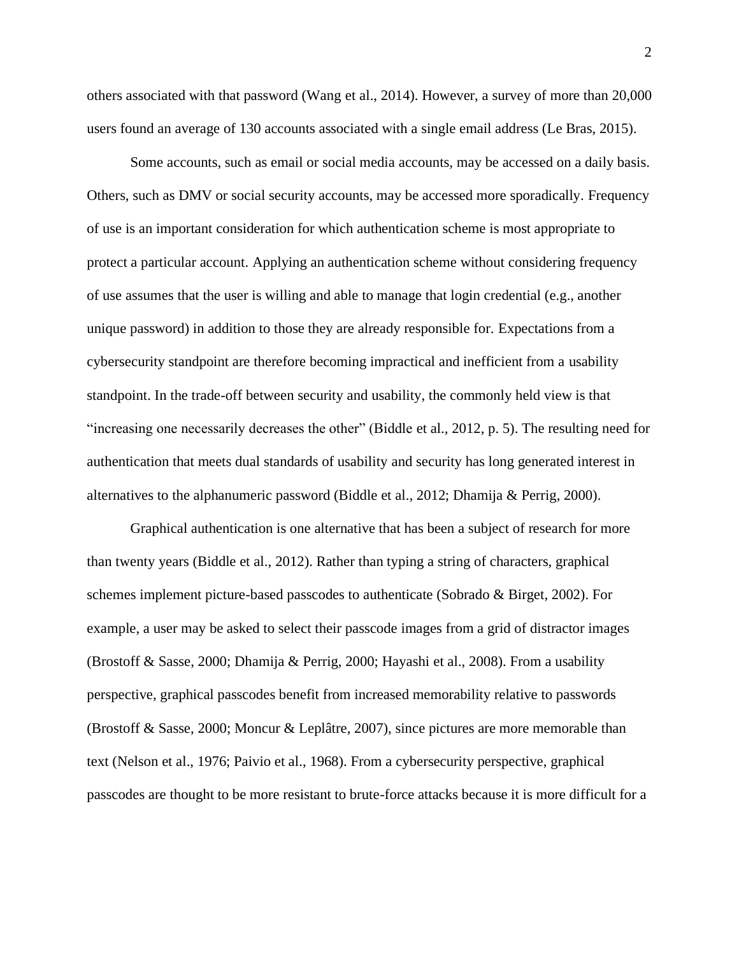others associated with that password (Wang et al., 2014). However, a survey of more than 20,000 users found an average of 130 accounts associated with a single email address (Le Bras, 2015).

Some accounts, such as email or social media accounts, may be accessed on a daily basis. Others, such as DMV or social security accounts, may be accessed more sporadically. Frequency of use is an important consideration for which authentication scheme is most appropriate to protect a particular account. Applying an authentication scheme without considering frequency of use assumes that the user is willing and able to manage that login credential (e.g., another unique password) in addition to those they are already responsible for. Expectations from a cybersecurity standpoint are therefore becoming impractical and inefficient from a usability standpoint. In the trade-off between security and usability, the commonly held view is that "increasing one necessarily decreases the other" (Biddle et al., 2012, p. 5). The resulting need for authentication that meets dual standards of usability and security has long generated interest in alternatives to the alphanumeric password (Biddle et al., 2012; Dhamija & Perrig, 2000).

Graphical authentication is one alternative that has been a subject of research for more than twenty years (Biddle et al., 2012). Rather than typing a string of characters, graphical schemes implement picture-based passcodes to authenticate (Sobrado  $\&$  Birget, 2002). For example, a user may be asked to select their passcode images from a grid of distractor images (Brostoff & Sasse, 2000; Dhamija & Perrig, 2000; Hayashi et al., 2008). From a usability perspective, graphical passcodes benefit from increased memorability relative to passwords (Brostoff & Sasse, 2000; Moncur & Leplâtre, 2007), since pictures are more memorable than text (Nelson et al., 1976; Paivio et al., 1968). From a cybersecurity perspective, graphical passcodes are thought to be more resistant to brute-force attacks because it is more difficult for a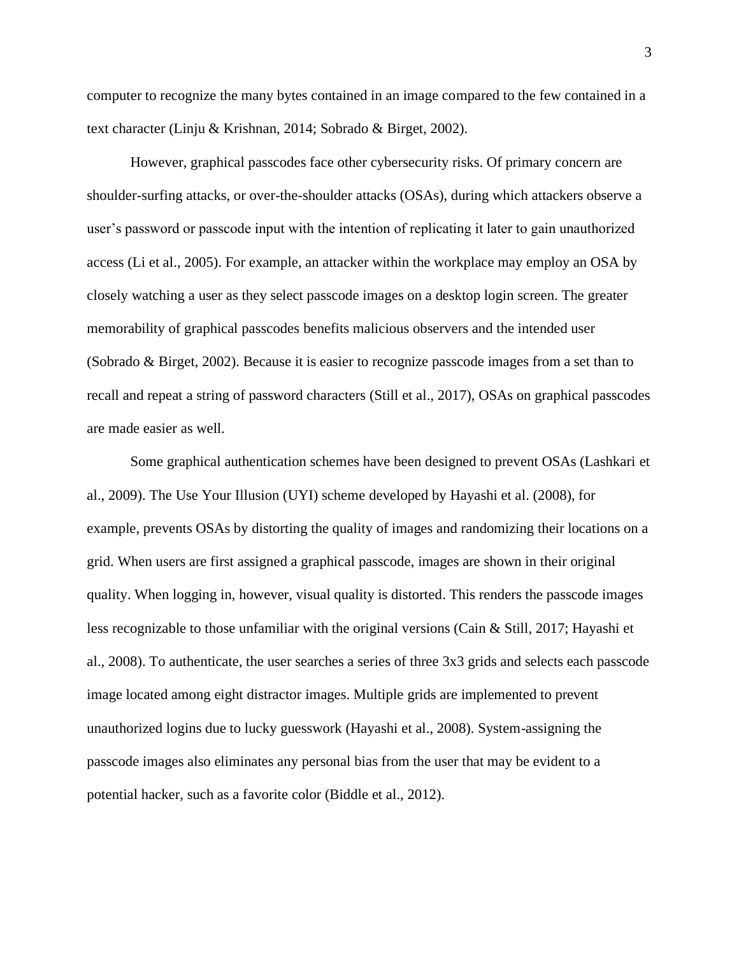computer to recognize the many bytes contained in an image compared to the few contained in a text character (Linju & Krishnan, 2014; Sobrado & Birget, 2002).

However, graphical passcodes face other cybersecurity risks. Of primary concern are shoulder-surfing attacks, or over-the-shoulder attacks (OSAs), during which attackers observe a user's password or passcode input with the intention of replicating it later to gain unauthorized access (Li et al., 2005). For example, an attacker within the workplace may employ an OSA by closely watching a user as they select passcode images on a desktop login screen. The greater memorability of graphical passcodes benefits malicious observers and the intended user (Sobrado & Birget, 2002). Because it is easier to recognize passcode images from a set than to recall and repeat a string of password characters (Still et al., 2017), OSAs on graphical passcodes are made easier as well.

Some graphical authentication schemes have been designed to prevent OSAs (Lashkari et al., 2009). The Use Your Illusion (UYI) scheme developed by Hayashi et al. (2008), for example, prevents OSAs by distorting the quality of images and randomizing their locations on a grid. When users are first assigned a graphical passcode, images are shown in their original quality. When logging in, however, visual quality is distorted. This renders the passcode images less recognizable to those unfamiliar with the original versions (Cain & Still, 2017; Hayashi et al., 2008). To authenticate, the user searches a series of three 3x3 grids and selects each passcode image located among eight distractor images. Multiple grids are implemented to prevent unauthorized logins due to lucky guesswork (Hayashi et al., 2008). System-assigning the passcode images also eliminates any personal bias from the user that may be evident to a potential hacker, such as a favorite color (Biddle et al., 2012).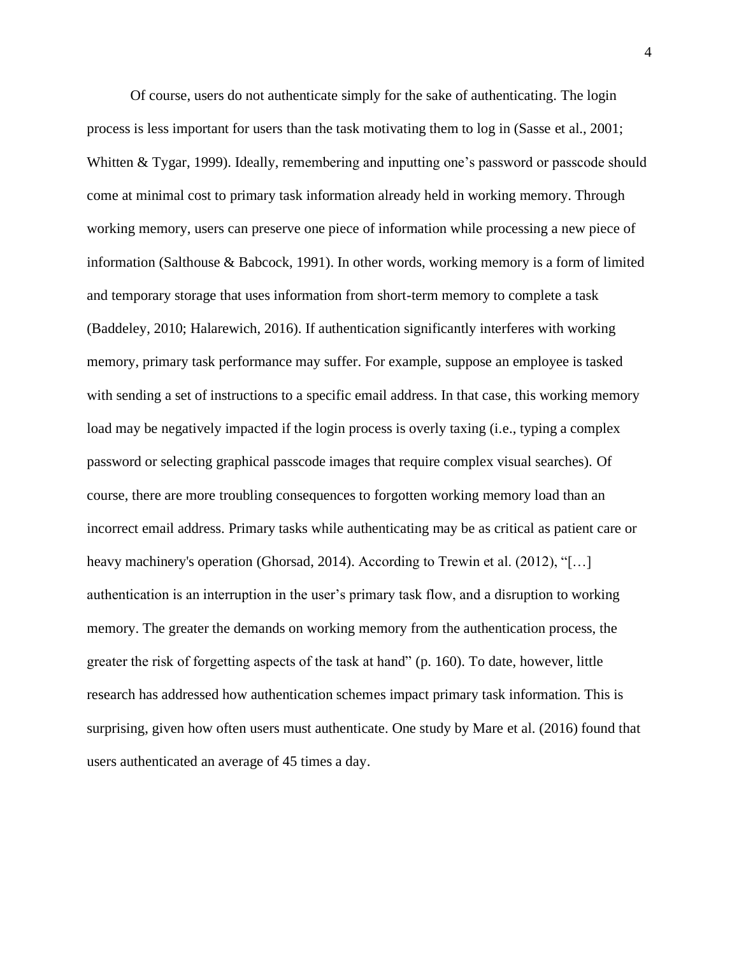Of course, users do not authenticate simply for the sake of authenticating. The login process is less important for users than the task motivating them to log in (Sasse et al., 2001; Whitten & Tygar, 1999). Ideally, remembering and inputting one's password or passcode should come at minimal cost to primary task information already held in working memory. Through working memory, users can preserve one piece of information while processing a new piece of information (Salthouse & Babcock, 1991). In other words, working memory is a form of limited and temporary storage that uses information from short-term memory to complete a task (Baddeley, 2010; Halarewich, 2016). If authentication significantly interferes with working memory, primary task performance may suffer. For example, suppose an employee is tasked with sending a set of instructions to a specific email address. In that case, this working memory load may be negatively impacted if the login process is overly taxing (i.e., typing a complex password or selecting graphical passcode images that require complex visual searches). Of course, there are more troubling consequences to forgotten working memory load than an incorrect email address. Primary tasks while authenticating may be as critical as patient care or heavy machinery's operation (Ghorsad, 2014). According to Trewin et al. (2012), "[...] authentication is an interruption in the user's primary task flow, and a disruption to working memory. The greater the demands on working memory from the authentication process, the greater the risk of forgetting aspects of the task at hand" (p. 160). To date, however, little research has addressed how authentication schemes impact primary task information. This is surprising, given how often users must authenticate. One study by Mare et al. (2016) found that users authenticated an average of 45 times a day.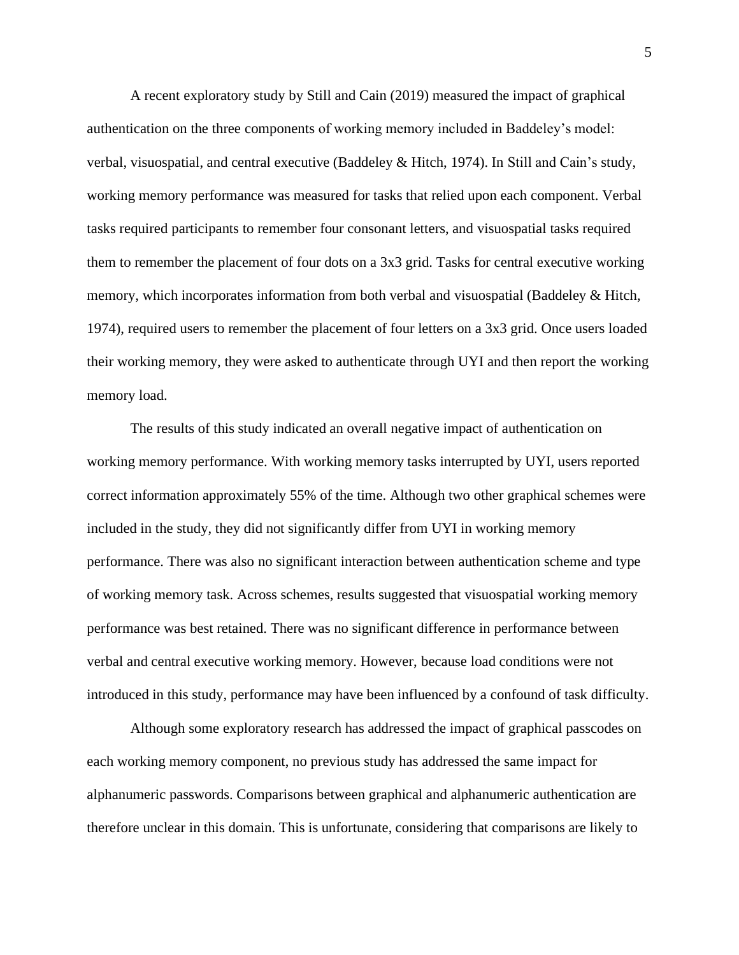A recent exploratory study by Still and Cain (2019) measured the impact of graphical authentication on the three components of working memory included in Baddeley's model: verbal, visuospatial, and central executive (Baddeley & Hitch, 1974). In Still and Cain's study, working memory performance was measured for tasks that relied upon each component. Verbal tasks required participants to remember four consonant letters, and visuospatial tasks required them to remember the placement of four dots on a 3x3 grid. Tasks for central executive working memory, which incorporates information from both verbal and visuospatial (Baddeley & Hitch, 1974), required users to remember the placement of four letters on a 3x3 grid. Once users loaded their working memory, they were asked to authenticate through UYI and then report the working memory load.

The results of this study indicated an overall negative impact of authentication on working memory performance. With working memory tasks interrupted by UYI, users reported correct information approximately 55% of the time. Although two other graphical schemes were included in the study, they did not significantly differ from UYI in working memory performance. There was also no significant interaction between authentication scheme and type of working memory task. Across schemes, results suggested that visuospatial working memory performance was best retained. There was no significant difference in performance between verbal and central executive working memory. However, because load conditions were not introduced in this study, performance may have been influenced by a confound of task difficulty.

Although some exploratory research has addressed the impact of graphical passcodes on each working memory component, no previous study has addressed the same impact for alphanumeric passwords. Comparisons between graphical and alphanumeric authentication are therefore unclear in this domain. This is unfortunate, considering that comparisons are likely to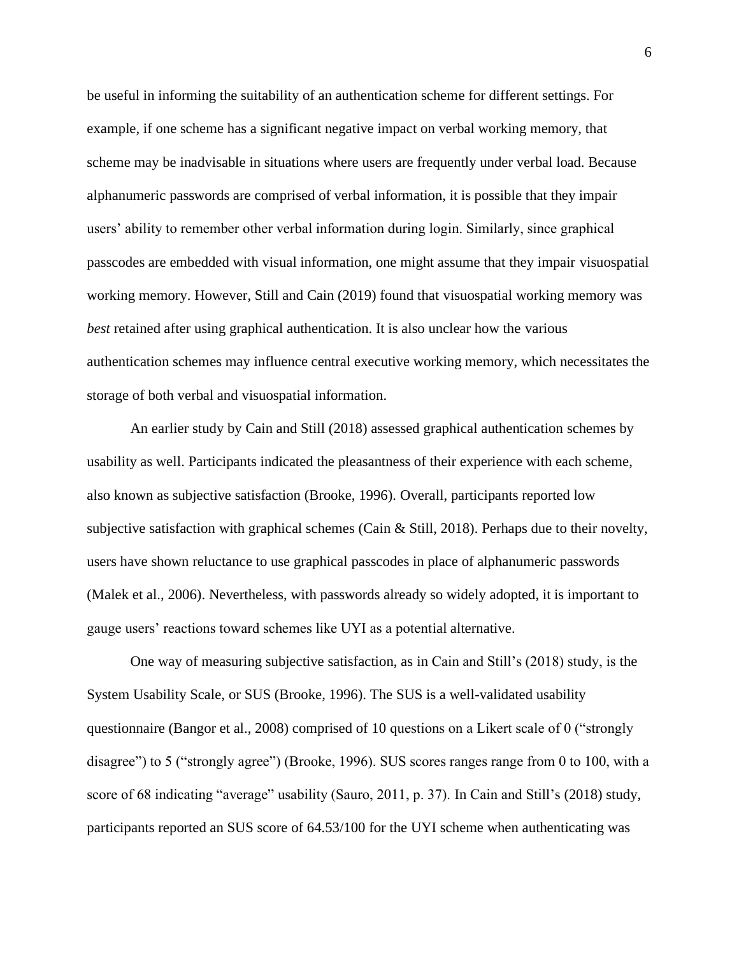be useful in informing the suitability of an authentication scheme for different settings. For example, if one scheme has a significant negative impact on verbal working memory, that scheme may be inadvisable in situations where users are frequently under verbal load. Because alphanumeric passwords are comprised of verbal information, it is possible that they impair users' ability to remember other verbal information during login. Similarly, since graphical passcodes are embedded with visual information, one might assume that they impair visuospatial working memory. However, Still and Cain (2019) found that visuospatial working memory was *best* retained after using graphical authentication. It is also unclear how the various authentication schemes may influence central executive working memory, which necessitates the storage of both verbal and visuospatial information.

An earlier study by Cain and Still (2018) assessed graphical authentication schemes by usability as well. Participants indicated the pleasantness of their experience with each scheme, also known as subjective satisfaction (Brooke, 1996). Overall, participants reported low subjective satisfaction with graphical schemes (Cain & Still, 2018). Perhaps due to their novelty, users have shown reluctance to use graphical passcodes in place of alphanumeric passwords (Malek et al., 2006). Nevertheless, with passwords already so widely adopted, it is important to gauge users' reactions toward schemes like UYI as a potential alternative.

One way of measuring subjective satisfaction, as in Cain and Still's (2018) study, is the System Usability Scale, or SUS (Brooke, 1996). The SUS is a well-validated usability questionnaire (Bangor et al., 2008) comprised of 10 questions on a Likert scale of 0 ("strongly disagree") to 5 ("strongly agree") (Brooke, 1996). SUS scores ranges range from 0 to 100, with a score of 68 indicating "average" usability (Sauro, 2011, p. 37). In Cain and Still's (2018) study, participants reported an SUS score of 64.53/100 for the UYI scheme when authenticating was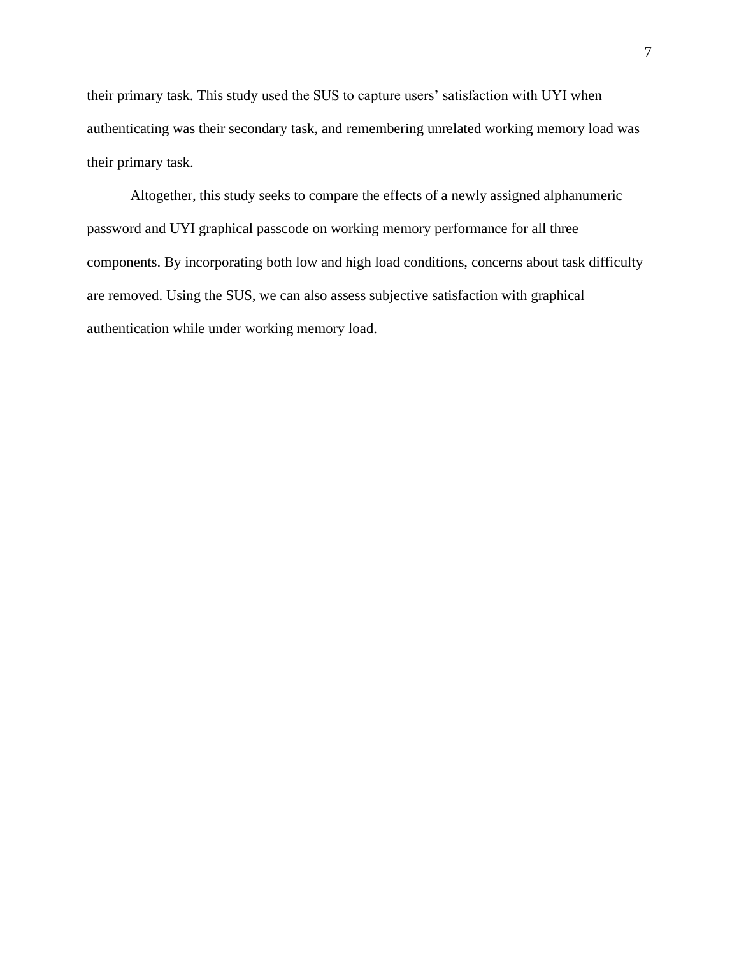their primary task. This study used the SUS to capture users' satisfaction with UYI when authenticating was their secondary task, and remembering unrelated working memory load was their primary task.

Altogether, this study seeks to compare the effects of a newly assigned alphanumeric password and UYI graphical passcode on working memory performance for all three components. By incorporating both low and high load conditions, concerns about task difficulty are removed. Using the SUS, we can also assess subjective satisfaction with graphical authentication while under working memory load.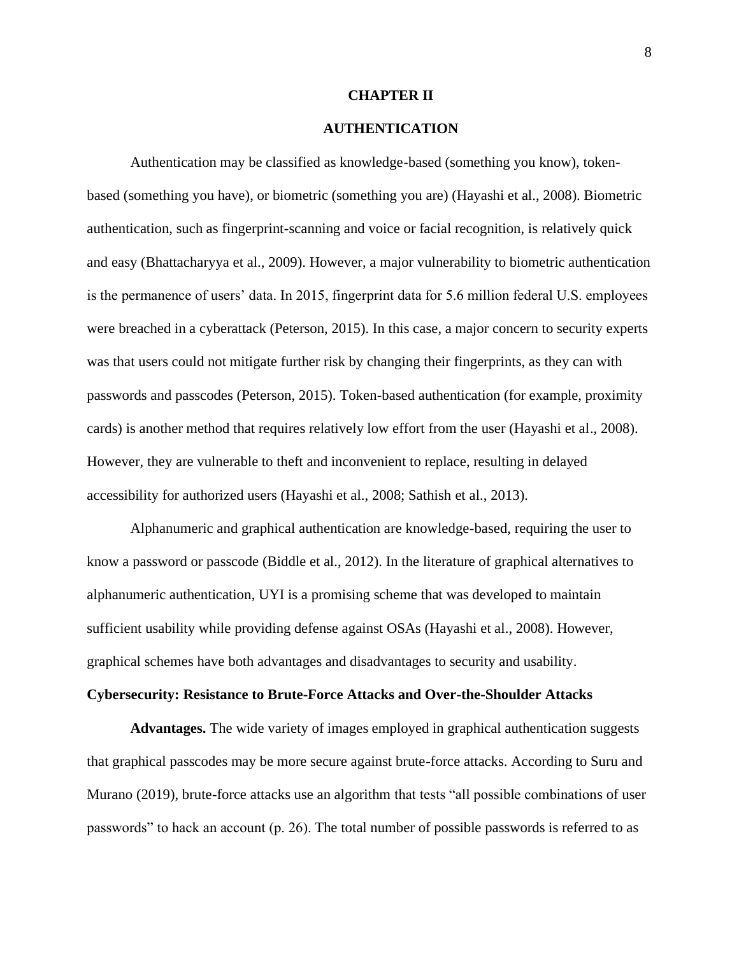#### **CHAPTER II**

## **AUTHENTICATION**

Authentication may be classified as knowledge-based (something you know), tokenbased (something you have), or biometric (something you are) (Hayashi et al., 2008). Biometric authentication, such as fingerprint-scanning and voice or facial recognition, is relatively quick and easy (Bhattacharyya et al., 2009). However, a major vulnerability to biometric authentication is the permanence of users' data. In 2015, fingerprint data for 5.6 million federal U.S. employees were breached in a cyberattack (Peterson, 2015). In this case, a major concern to security experts was that users could not mitigate further risk by changing their fingerprints, as they can with passwords and passcodes (Peterson, 2015). Token-based authentication (for example, proximity cards) is another method that requires relatively low effort from the user (Hayashi et al., 2008). However, they are vulnerable to theft and inconvenient to replace, resulting in delayed accessibility for authorized users (Hayashi et al., 2008; Sathish et al., 2013).

Alphanumeric and graphical authentication are knowledge-based, requiring the user to know a password or passcode (Biddle et al., 2012). In the literature of graphical alternatives to alphanumeric authentication, UYI is a promising scheme that was developed to maintain sufficient usability while providing defense against OSAs (Hayashi et al., 2008). However, graphical schemes have both advantages and disadvantages to security and usability.

## **Cybersecurity: Resistance to Brute-Force Attacks and Over-the-Shoulder Attacks**

**Advantages.** The wide variety of images employed in graphical authentication suggests that graphical passcodes may be more secure against brute-force attacks. According to Suru and Murano (2019), brute-force attacks use an algorithm that tests "all possible combinations of user passwords" to hack an account (p. 26). The total number of possible passwords is referred to as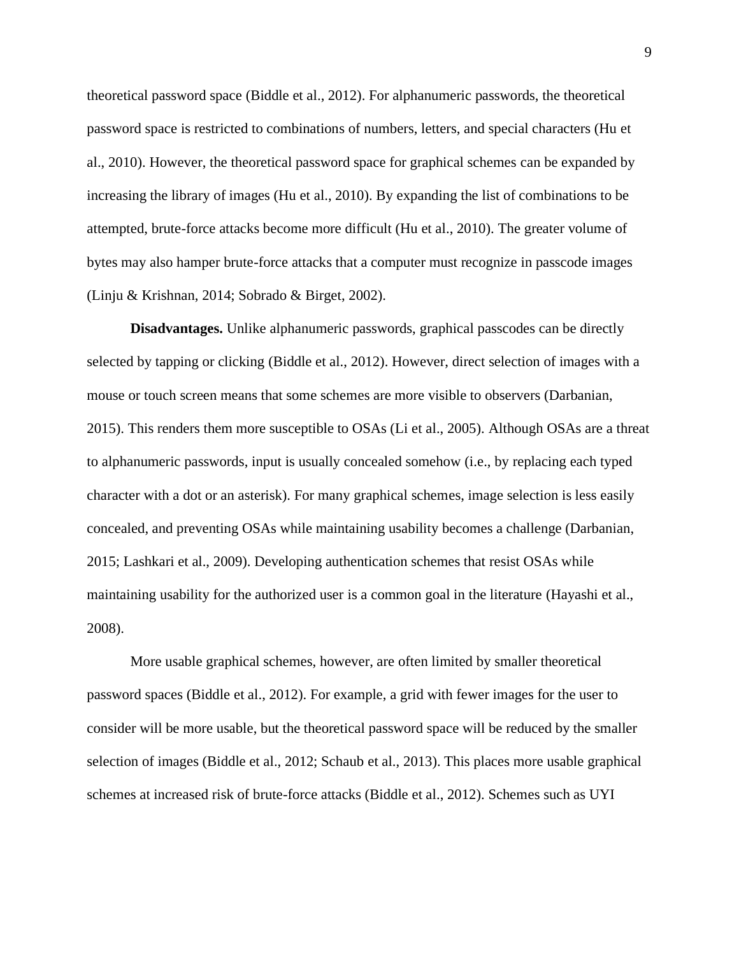theoretical password space (Biddle et al., 2012). For alphanumeric passwords, the theoretical password space is restricted to combinations of numbers, letters, and special characters (Hu et al., 2010). However, the theoretical password space for graphical schemes can be expanded by increasing the library of images (Hu et al., 2010). By expanding the list of combinations to be attempted, brute-force attacks become more difficult (Hu et al., 2010). The greater volume of bytes may also hamper brute-force attacks that a computer must recognize in passcode images (Linju & Krishnan, 2014; Sobrado & Birget, 2002).

**Disadvantages.** Unlike alphanumeric passwords, graphical passcodes can be directly selected by tapping or clicking (Biddle et al., 2012). However, direct selection of images with a mouse or touch screen means that some schemes are more visible to observers (Darbanian, 2015). This renders them more susceptible to OSAs (Li et al., 2005). Although OSAs are a threat to alphanumeric passwords, input is usually concealed somehow (i.e., by replacing each typed character with a dot or an asterisk). For many graphical schemes, image selection is less easily concealed, and preventing OSAs while maintaining usability becomes a challenge (Darbanian, 2015; Lashkari et al., 2009). Developing authentication schemes that resist OSAs while maintaining usability for the authorized user is a common goal in the literature (Hayashi et al., 2008).

More usable graphical schemes, however, are often limited by smaller theoretical password spaces (Biddle et al., 2012). For example, a grid with fewer images for the user to consider will be more usable, but the theoretical password space will be reduced by the smaller selection of images (Biddle et al., 2012; Schaub et al., 2013). This places more usable graphical schemes at increased risk of brute-force attacks (Biddle et al., 2012). Schemes such as UYI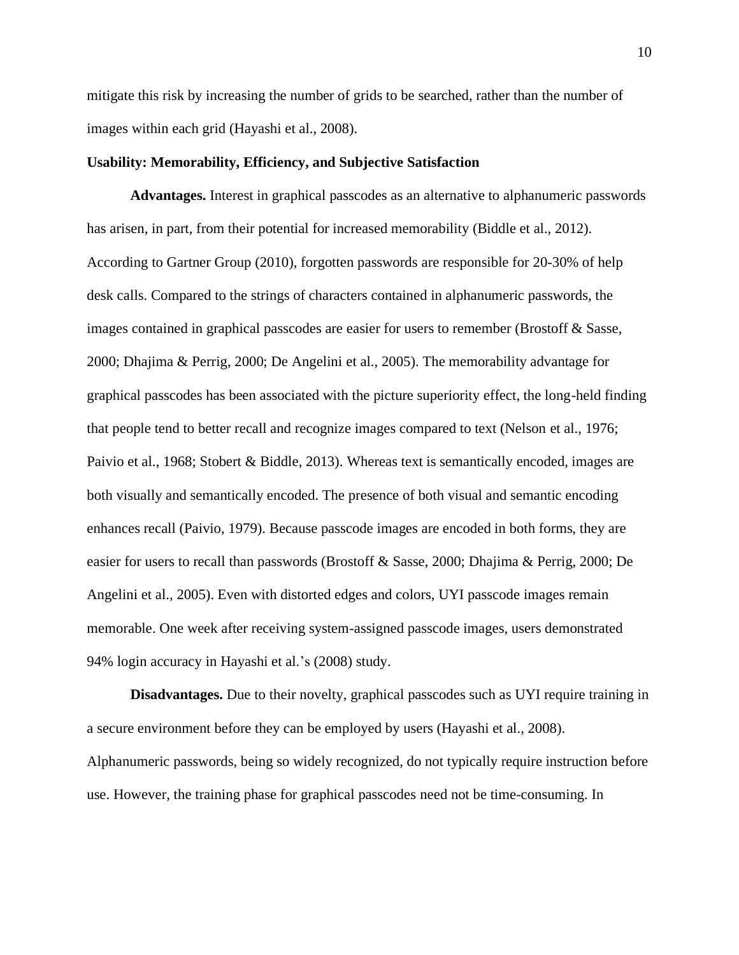mitigate this risk by increasing the number of grids to be searched, rather than the number of images within each grid (Hayashi et al., 2008).

#### **Usability: Memorability, Efficiency, and Subjective Satisfaction**

**Advantages.** Interest in graphical passcodes as an alternative to alphanumeric passwords has arisen, in part, from their potential for increased memorability (Biddle et al., 2012). According to Gartner Group (2010), forgotten passwords are responsible for 20-30% of help desk calls. Compared to the strings of characters contained in alphanumeric passwords, the images contained in graphical passcodes are easier for users to remember (Brostoff & Sasse, 2000; Dhajima & Perrig, 2000; De Angelini et al., 2005). The memorability advantage for graphical passcodes has been associated with the picture superiority effect, the long-held finding that people tend to better recall and recognize images compared to text (Nelson et al., 1976; Paivio et al., 1968; Stobert & Biddle, 2013). Whereas text is semantically encoded, images are both visually and semantically encoded. The presence of both visual and semantic encoding enhances recall (Paivio, 1979). Because passcode images are encoded in both forms, they are easier for users to recall than passwords (Brostoff & Sasse, 2000; Dhajima & Perrig, 2000; De Angelini et al., 2005). Even with distorted edges and colors, UYI passcode images remain memorable. One week after receiving system-assigned passcode images, users demonstrated 94% login accuracy in Hayashi et al.'s (2008) study.

**Disadvantages.** Due to their novelty, graphical passcodes such as UYI require training in a secure environment before they can be employed by users (Hayashi et al., 2008). Alphanumeric passwords, being so widely recognized, do not typically require instruction before use. However, the training phase for graphical passcodes need not be time-consuming. In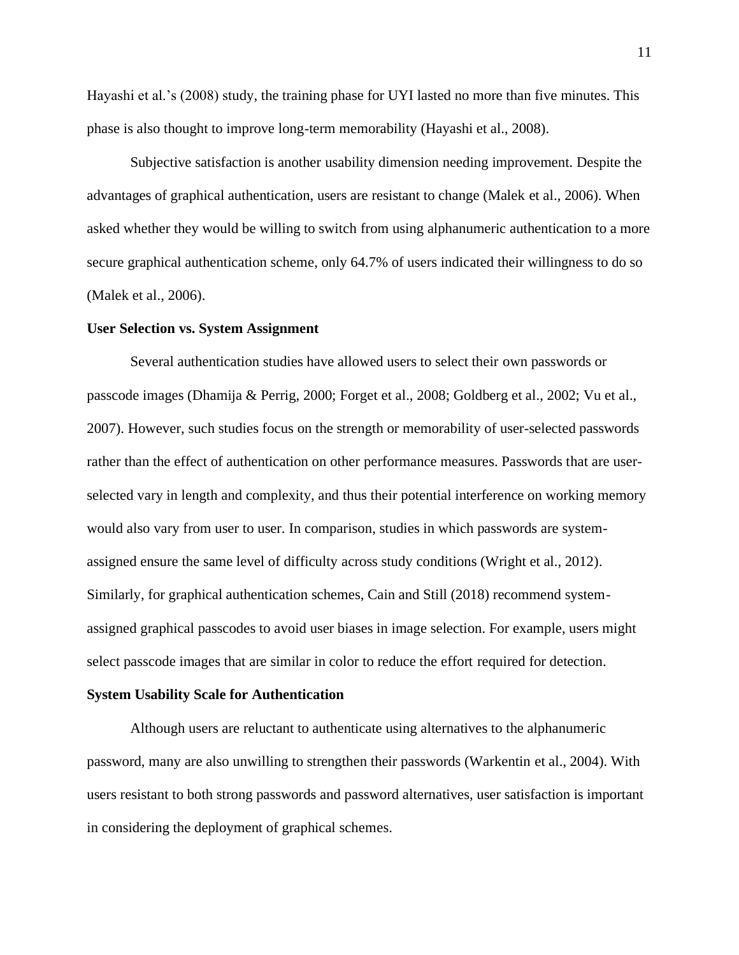Hayashi et al.'s (2008) study, the training phase for UYI lasted no more than five minutes. This phase is also thought to improve long-term memorability (Hayashi et al., 2008).

Subjective satisfaction is another usability dimension needing improvement. Despite the advantages of graphical authentication, users are resistant to change (Malek et al., 2006). When asked whether they would be willing to switch from using alphanumeric authentication to a more secure graphical authentication scheme, only 64.7% of users indicated their willingness to do so (Malek et al., 2006).

#### **User Selection vs. System Assignment**

Several authentication studies have allowed users to select their own passwords or passcode images (Dhamija & Perrig, 2000; Forget et al., 2008; Goldberg et al., 2002; Vu et al., 2007). However, such studies focus on the strength or memorability of user-selected passwords rather than the effect of authentication on other performance measures. Passwords that are userselected vary in length and complexity, and thus their potential interference on working memory would also vary from user to user. In comparison, studies in which passwords are systemassigned ensure the same level of difficulty across study conditions (Wright et al., 2012). Similarly, for graphical authentication schemes, Cain and Still (2018) recommend systemassigned graphical passcodes to avoid user biases in image selection. For example, users might select passcode images that are similar in color to reduce the effort required for detection.

## **System Usability Scale for Authentication**

Although users are reluctant to authenticate using alternatives to the alphanumeric password, many are also unwilling to strengthen their passwords (Warkentin et al., 2004). With users resistant to both strong passwords and password alternatives, user satisfaction is important in considering the deployment of graphical schemes.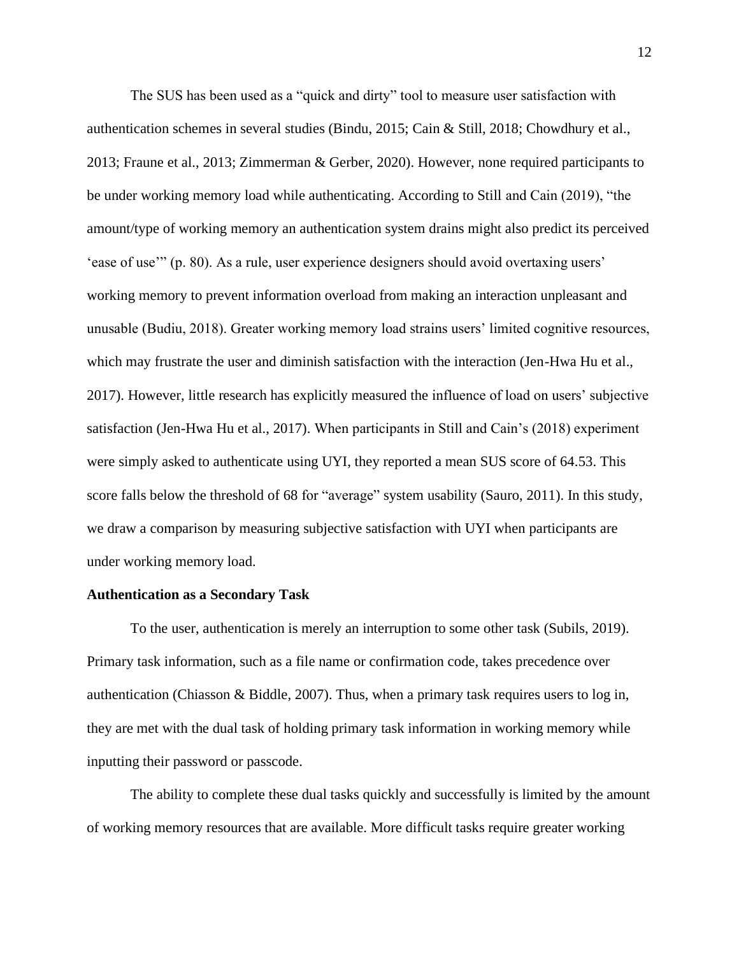The SUS has been used as a "quick and dirty" tool to measure user satisfaction with authentication schemes in several studies (Bindu, 2015; Cain & Still, 2018; Chowdhury et al., 2013; Fraune et al., 2013; Zimmerman & Gerber, 2020). However, none required participants to be under working memory load while authenticating. According to Still and Cain (2019), "the amount/type of working memory an authentication system drains might also predict its perceived 'ease of use'" (p. 80). As a rule, user experience designers should avoid overtaxing users' working memory to prevent information overload from making an interaction unpleasant and unusable (Budiu, 2018). Greater working memory load strains users' limited cognitive resources, which may frustrate the user and diminish satisfaction with the interaction (Jen-Hwa Hu et al., 2017). However, little research has explicitly measured the influence of load on users' subjective satisfaction (Jen-Hwa Hu et al., 2017). When participants in Still and Cain's (2018) experiment were simply asked to authenticate using UYI, they reported a mean SUS score of 64.53. This score falls below the threshold of 68 for "average" system usability (Sauro, 2011). In this study, we draw a comparison by measuring subjective satisfaction with UYI when participants are under working memory load.

#### **Authentication as a Secondary Task**

To the user, authentication is merely an interruption to some other task (Subils, 2019). Primary task information, such as a file name or confirmation code, takes precedence over authentication (Chiasson & Biddle, 2007). Thus, when a primary task requires users to log in, they are met with the dual task of holding primary task information in working memory while inputting their password or passcode.

The ability to complete these dual tasks quickly and successfully is limited by the amount of working memory resources that are available. More difficult tasks require greater working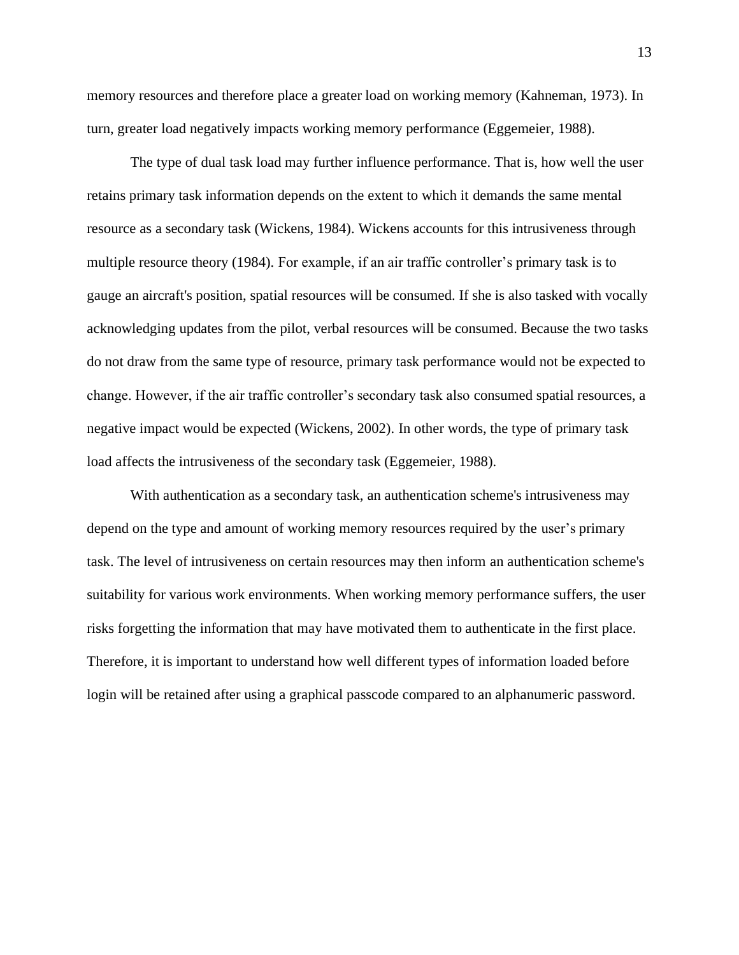memory resources and therefore place a greater load on working memory (Kahneman, 1973). In turn, greater load negatively impacts working memory performance (Eggemeier, 1988).

The type of dual task load may further influence performance. That is, how well the user retains primary task information depends on the extent to which it demands the same mental resource as a secondary task (Wickens, 1984). Wickens accounts for this intrusiveness through multiple resource theory (1984). For example, if an air traffic controller's primary task is to gauge an aircraft's position, spatial resources will be consumed. If she is also tasked with vocally acknowledging updates from the pilot, verbal resources will be consumed. Because the two tasks do not draw from the same type of resource, primary task performance would not be expected to change. However, if the air traffic controller's secondary task also consumed spatial resources, a negative impact would be expected (Wickens, 2002). In other words, the type of primary task load affects the intrusiveness of the secondary task (Eggemeier, 1988).

With authentication as a secondary task, an authentication scheme's intrusiveness may depend on the type and amount of working memory resources required by the user's primary task. The level of intrusiveness on certain resources may then inform an authentication scheme's suitability for various work environments. When working memory performance suffers, the user risks forgetting the information that may have motivated them to authenticate in the first place. Therefore, it is important to understand how well different types of information loaded before login will be retained after using a graphical passcode compared to an alphanumeric password.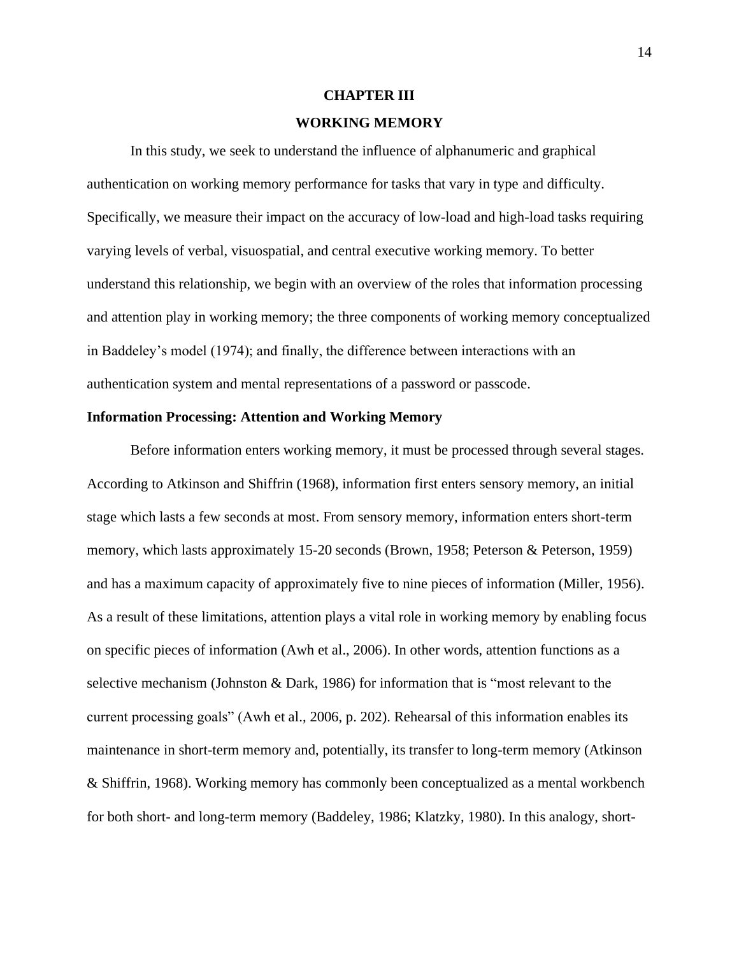#### **CHAPTER III**

## **WORKING MEMORY**

In this study, we seek to understand the influence of alphanumeric and graphical authentication on working memory performance for tasks that vary in type and difficulty. Specifically, we measure their impact on the accuracy of low-load and high-load tasks requiring varying levels of verbal, visuospatial, and central executive working memory. To better understand this relationship, we begin with an overview of the roles that information processing and attention play in working memory; the three components of working memory conceptualized in Baddeley's model (1974); and finally, the difference between interactions with an authentication system and mental representations of a password or passcode.

## **Information Processing: Attention and Working Memory**

Before information enters working memory, it must be processed through several stages. According to Atkinson and Shiffrin (1968), information first enters sensory memory, an initial stage which lasts a few seconds at most. From sensory memory, information enters short-term memory, which lasts approximately 15-20 seconds (Brown, 1958; Peterson & Peterson, 1959) and has a maximum capacity of approximately five to nine pieces of information (Miller, 1956). As a result of these limitations, attention plays a vital role in working memory by enabling focus on specific pieces of information (Awh et al., 2006). In other words, attention functions as a selective mechanism (Johnston & Dark, 1986) for information that is "most relevant to the current processing goals" (Awh et al., 2006, p. 202). Rehearsal of this information enables its maintenance in short-term memory and, potentially, its transfer to long-term memory (Atkinson & Shiffrin, 1968). Working memory has commonly been conceptualized as a mental workbench for both short- and long-term memory (Baddeley, 1986; Klatzky, 1980). In this analogy, short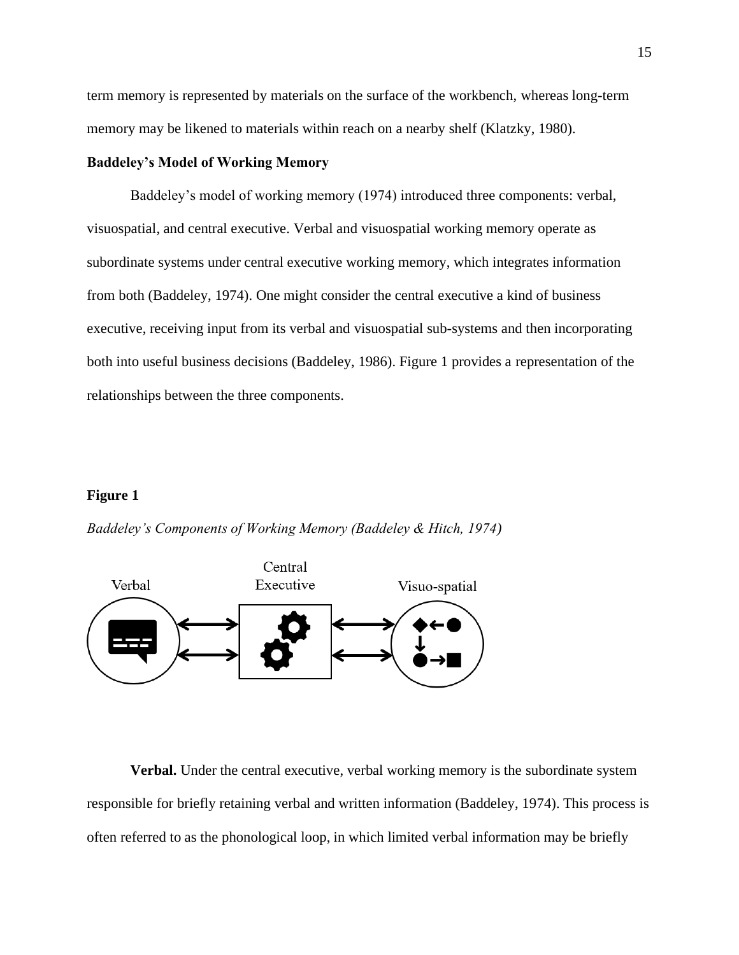term memory is represented by materials on the surface of the workbench, whereas long-term memory may be likened to materials within reach on a nearby shelf (Klatzky, 1980).

## **Baddeley's Model of Working Memory**

Baddeley's model of working memory (1974) introduced three components: verbal, visuospatial, and central executive. Verbal and visuospatial working memory operate as subordinate systems under central executive working memory, which integrates information from both (Baddeley, 1974). One might consider the central executive a kind of business executive, receiving input from its verbal and visuospatial sub-systems and then incorporating both into useful business decisions (Baddeley, 1986). Figure 1 provides a representation of the relationships between the three components.

### **Figure 1**



*Baddeley's Components of Working Memory (Baddeley & Hitch, 1974)*

**Verbal.** Under the central executive, verbal working memory is the subordinate system responsible for briefly retaining verbal and written information (Baddeley, 1974). This process is often referred to as the phonological loop, in which limited verbal information may be briefly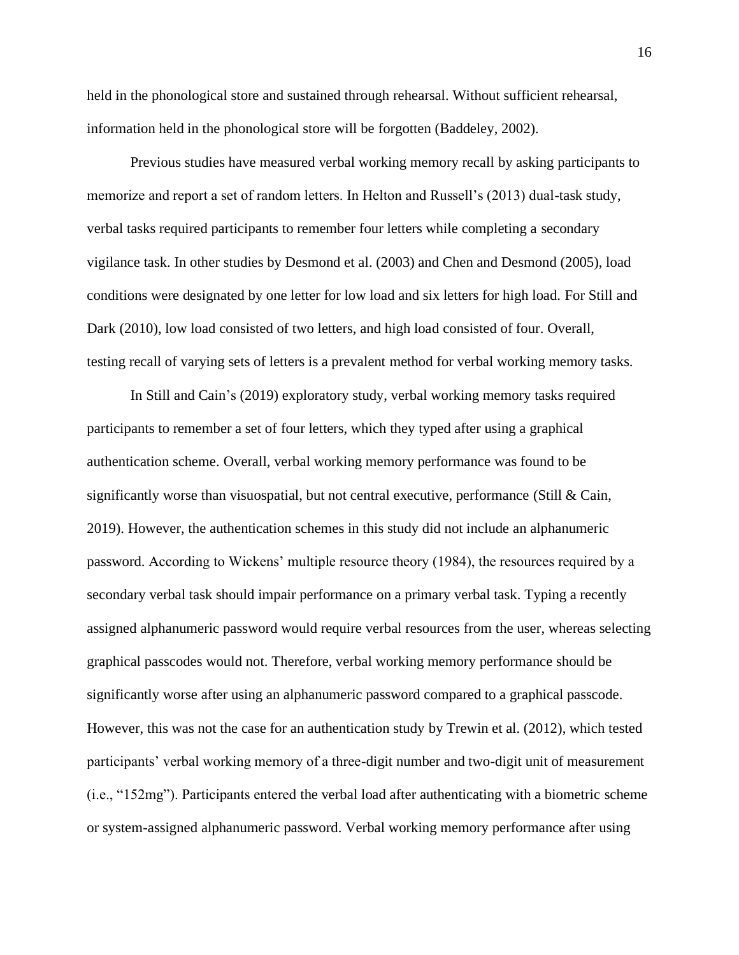held in the phonological store and sustained through rehearsal. Without sufficient rehearsal, information held in the phonological store will be forgotten (Baddeley, 2002).

Previous studies have measured verbal working memory recall by asking participants to memorize and report a set of random letters. In Helton and Russell's (2013) dual-task study, verbal tasks required participants to remember four letters while completing a secondary vigilance task. In other studies by Desmond et al. (2003) and Chen and Desmond (2005), load conditions were designated by one letter for low load and six letters for high load. For Still and Dark (2010), low load consisted of two letters, and high load consisted of four. Overall, testing recall of varying sets of letters is a prevalent method for verbal working memory tasks.

In Still and Cain's (2019) exploratory study, verbal working memory tasks required participants to remember a set of four letters, which they typed after using a graphical authentication scheme. Overall, verbal working memory performance was found to be significantly worse than visuospatial, but not central executive, performance (Still  $\&$  Cain, 2019). However, the authentication schemes in this study did not include an alphanumeric password. According to Wickens' multiple resource theory (1984), the resources required by a secondary verbal task should impair performance on a primary verbal task. Typing a recently assigned alphanumeric password would require verbal resources from the user, whereas selecting graphical passcodes would not. Therefore, verbal working memory performance should be significantly worse after using an alphanumeric password compared to a graphical passcode. However, this was not the case for an authentication study by Trewin et al. (2012), which tested participants' verbal working memory of a three-digit number and two-digit unit of measurement (i.e., "152mg"). Participants entered the verbal load after authenticating with a biometric scheme or system-assigned alphanumeric password. Verbal working memory performance after using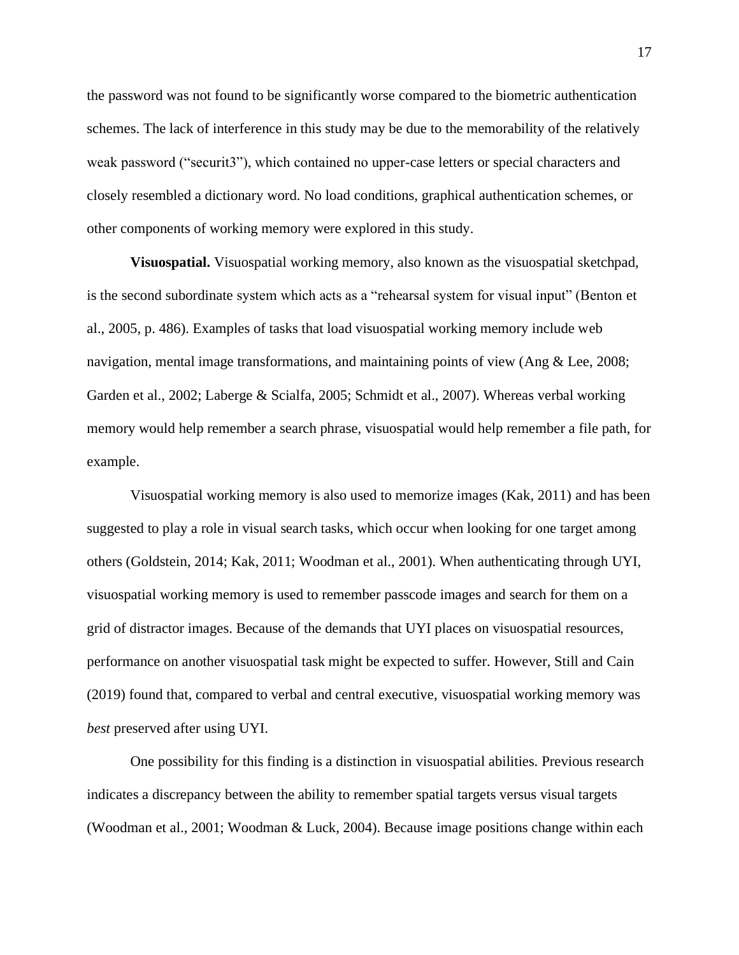the password was not found to be significantly worse compared to the biometric authentication schemes. The lack of interference in this study may be due to the memorability of the relatively weak password ("securit3"), which contained no upper-case letters or special characters and closely resembled a dictionary word. No load conditions, graphical authentication schemes, or other components of working memory were explored in this study.

**Visuospatial.** Visuospatial working memory, also known as the visuospatial sketchpad, is the second subordinate system which acts as a "rehearsal system for visual input" (Benton et al., 2005, p. 486). Examples of tasks that load visuospatial working memory include web navigation, mental image transformations, and maintaining points of view (Ang & Lee, 2008; Garden et al., 2002; Laberge & Scialfa, 2005; Schmidt et al., 2007). Whereas verbal working memory would help remember a search phrase, visuospatial would help remember a file path, for example.

Visuospatial working memory is also used to memorize images (Kak, 2011) and has been suggested to play a role in visual search tasks, which occur when looking for one target among others (Goldstein, 2014; Kak, 2011; Woodman et al., 2001). When authenticating through UYI, visuospatial working memory is used to remember passcode images and search for them on a grid of distractor images. Because of the demands that UYI places on visuospatial resources, performance on another visuospatial task might be expected to suffer. However, Still and Cain (2019) found that, compared to verbal and central executive, visuospatial working memory was *best* preserved after using UYI.

One possibility for this finding is a distinction in visuospatial abilities. Previous research indicates a discrepancy between the ability to remember spatial targets versus visual targets (Woodman et al., 2001; Woodman & Luck, 2004). Because image positions change within each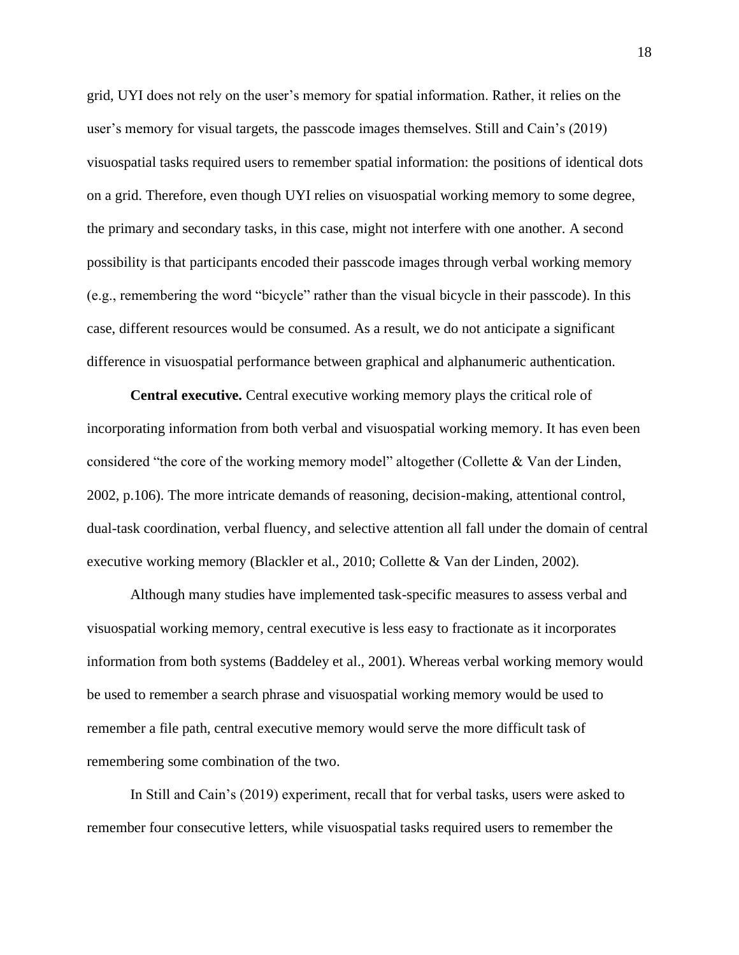grid, UYI does not rely on the user's memory for spatial information. Rather, it relies on the user's memory for visual targets, the passcode images themselves. Still and Cain's (2019) visuospatial tasks required users to remember spatial information: the positions of identical dots on a grid. Therefore, even though UYI relies on visuospatial working memory to some degree, the primary and secondary tasks, in this case, might not interfere with one another. A second possibility is that participants encoded their passcode images through verbal working memory (e.g., remembering the word "bicycle" rather than the visual bicycle in their passcode). In this case, different resources would be consumed. As a result, we do not anticipate a significant difference in visuospatial performance between graphical and alphanumeric authentication.

**Central executive.** Central executive working memory plays the critical role of incorporating information from both verbal and visuospatial working memory. It has even been considered "the core of the working memory model" altogether (Collette & Van der Linden, 2002, p.106). The more intricate demands of reasoning, decision-making, attentional control, dual-task coordination, verbal fluency, and selective attention all fall under the domain of central executive working memory (Blackler et al., 2010; Collette & Van der Linden, 2002).

Although many studies have implemented task-specific measures to assess verbal and visuospatial working memory, central executive is less easy to fractionate as it incorporates information from both systems (Baddeley et al., 2001). Whereas verbal working memory would be used to remember a search phrase and visuospatial working memory would be used to remember a file path, central executive memory would serve the more difficult task of remembering some combination of the two.

In Still and Cain's (2019) experiment, recall that for verbal tasks, users were asked to remember four consecutive letters, while visuospatial tasks required users to remember the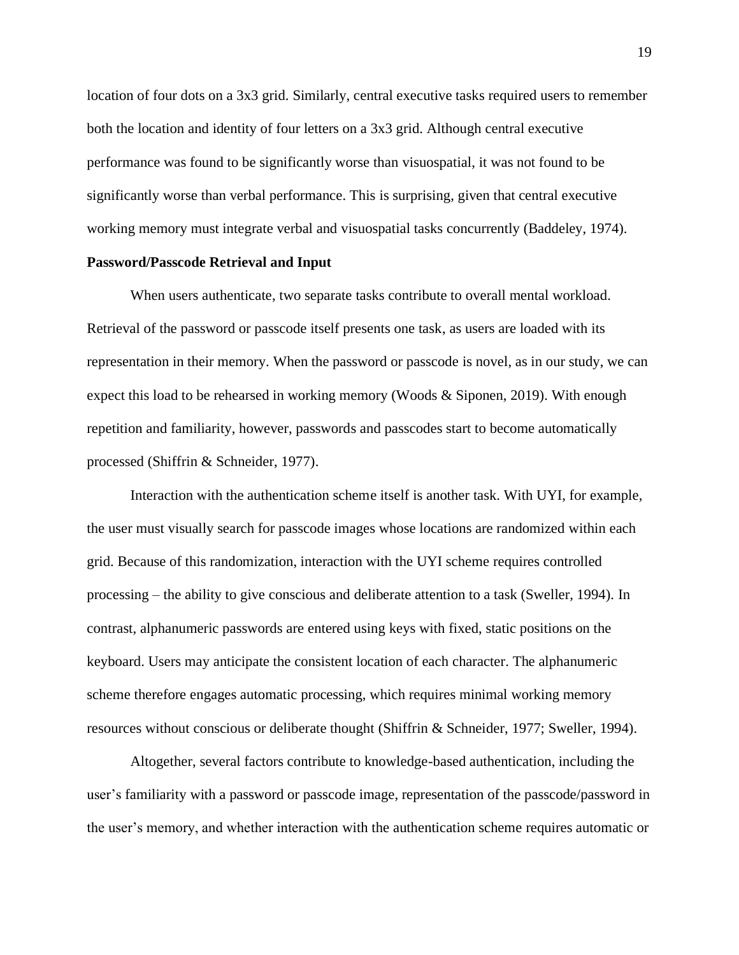location of four dots on a 3x3 grid. Similarly, central executive tasks required users to remember both the location and identity of four letters on a 3x3 grid. Although central executive performance was found to be significantly worse than visuospatial, it was not found to be significantly worse than verbal performance. This is surprising, given that central executive working memory must integrate verbal and visuospatial tasks concurrently (Baddeley, 1974).

## **Password/Passcode Retrieval and Input**

When users authenticate, two separate tasks contribute to overall mental workload. Retrieval of the password or passcode itself presents one task, as users are loaded with its representation in their memory. When the password or passcode is novel, as in our study, we can expect this load to be rehearsed in working memory (Woods & Siponen, 2019). With enough repetition and familiarity, however, passwords and passcodes start to become automatically processed (Shiffrin & Schneider, 1977).

Interaction with the authentication scheme itself is another task. With UYI, for example, the user must visually search for passcode images whose locations are randomized within each grid. Because of this randomization, interaction with the UYI scheme requires controlled processing – the ability to give conscious and deliberate attention to a task (Sweller, 1994). In contrast, alphanumeric passwords are entered using keys with fixed, static positions on the keyboard. Users may anticipate the consistent location of each character. The alphanumeric scheme therefore engages automatic processing, which requires minimal working memory resources without conscious or deliberate thought (Shiffrin & Schneider, 1977; Sweller, 1994).

Altogether, several factors contribute to knowledge-based authentication, including the user's familiarity with a password or passcode image, representation of the passcode/password in the user's memory, and whether interaction with the authentication scheme requires automatic or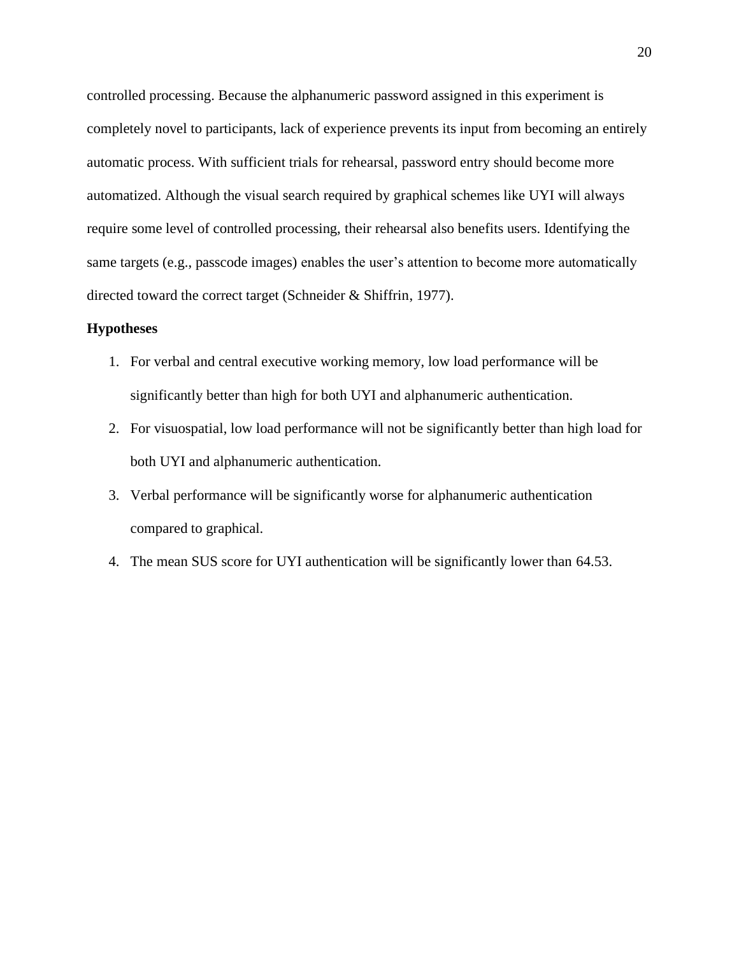controlled processing. Because the alphanumeric password assigned in this experiment is completely novel to participants, lack of experience prevents its input from becoming an entirely automatic process. With sufficient trials for rehearsal, password entry should become more automatized. Although the visual search required by graphical schemes like UYI will always require some level of controlled processing, their rehearsal also benefits users. Identifying the same targets (e.g., passcode images) enables the user's attention to become more automatically directed toward the correct target (Schneider & Shiffrin, 1977).

## **Hypotheses**

- 1. For verbal and central executive working memory, low load performance will be significantly better than high for both UYI and alphanumeric authentication.
- 2. For visuospatial, low load performance will not be significantly better than high load for both UYI and alphanumeric authentication.
- 3. Verbal performance will be significantly worse for alphanumeric authentication compared to graphical.
- 4. The mean SUS score for UYI authentication will be significantly lower than 64.53.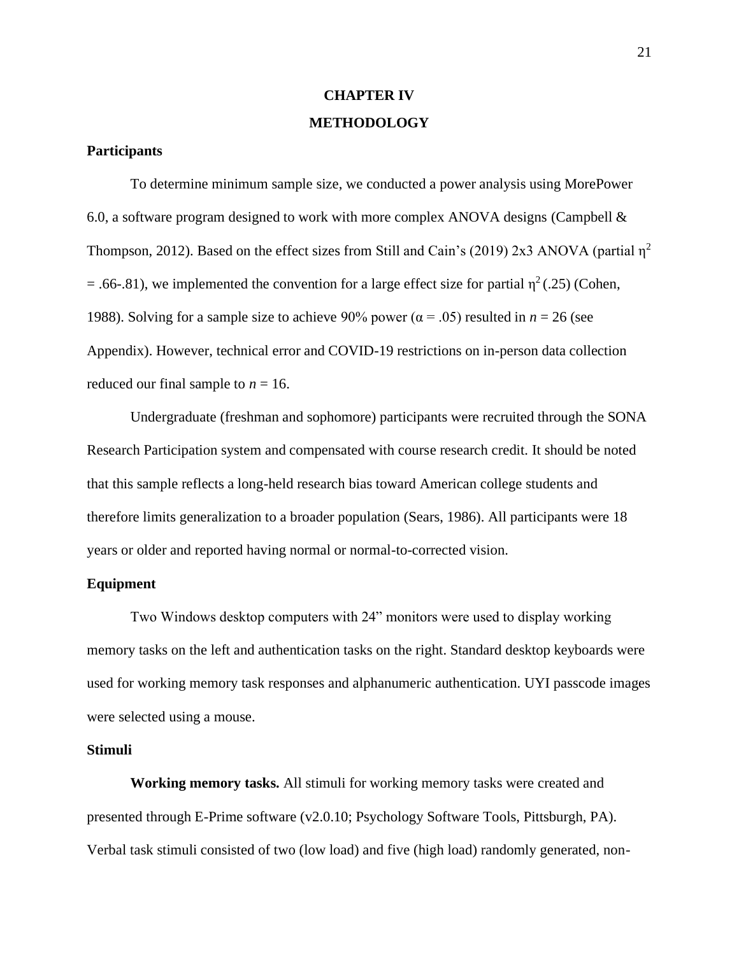# **CHAPTER IV METHODOLOGY**

#### **Participants**

To determine minimum sample size, we conducted a power analysis using MorePower 6.0, a software program designed to work with more complex ANOVA designs (Campbell  $\&$ Thompson, 2012). Based on the effect sizes from Still and Cain's (2019) 2x3 ANOVA (partial  $\eta^2$ = .66-.81), we implemented the convention for a large effect size for partial  $\eta^2(.25)$  (Cohen, 1988). Solving for a sample size to achieve 90% power ( $\alpha$  = .05) resulted in *n* = 26 (see Appendix). However, technical error and COVID-19 restrictions on in-person data collection reduced our final sample to  $n = 16$ .

Undergraduate (freshman and sophomore) participants were recruited through the SONA Research Participation system and compensated with course research credit. It should be noted that this sample reflects a long-held research bias toward American college students and therefore limits generalization to a broader population (Sears, 1986). All participants were 18 years or older and reported having normal or normal-to-corrected vision.

## **Equipment**

Two Windows desktop computers with 24" monitors were used to display working memory tasks on the left and authentication tasks on the right. Standard desktop keyboards were used for working memory task responses and alphanumeric authentication. UYI passcode images were selected using a mouse.

## **Stimuli**

**Working memory tasks.** All stimuli for working memory tasks were created and presented through E-Prime software (v2.0.10; Psychology Software Tools, Pittsburgh, PA). Verbal task stimuli consisted of two (low load) and five (high load) randomly generated, non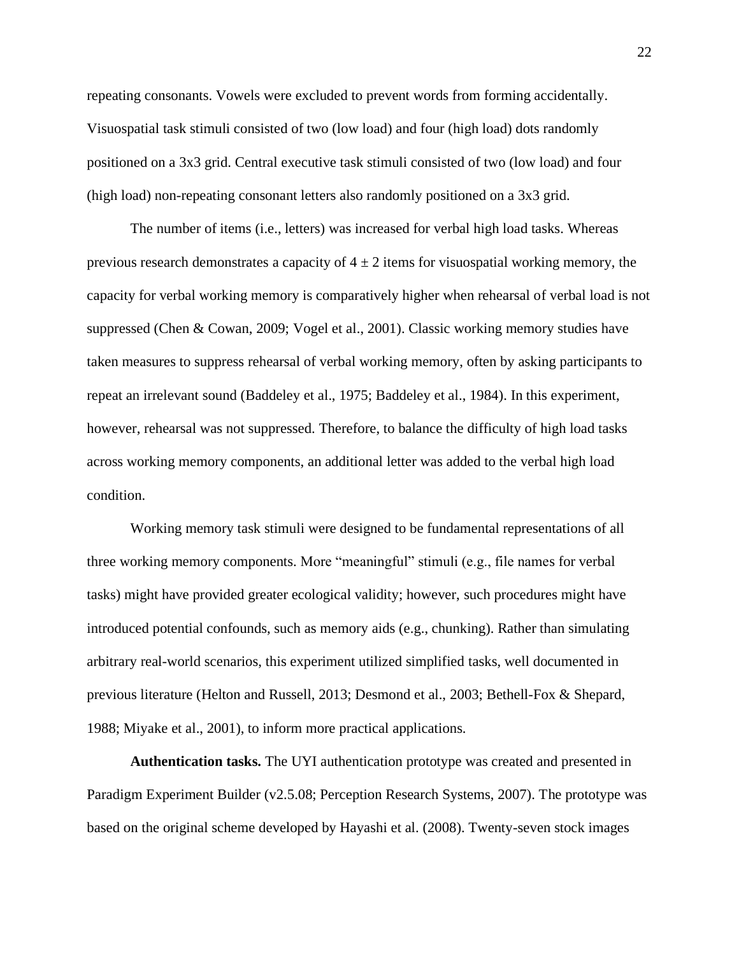repeating consonants. Vowels were excluded to prevent words from forming accidentally. Visuospatial task stimuli consisted of two (low load) and four (high load) dots randomly positioned on a 3x3 grid. Central executive task stimuli consisted of two (low load) and four (high load) non-repeating consonant letters also randomly positioned on a 3x3 grid.

The number of items (i.e., letters) was increased for verbal high load tasks. Whereas previous research demonstrates a capacity of  $4 \pm 2$  items for visuospatial working memory, the capacity for verbal working memory is comparatively higher when rehearsal of verbal load is not suppressed (Chen & Cowan, 2009; Vogel et al., 2001). Classic working memory studies have taken measures to suppress rehearsal of verbal working memory, often by asking participants to repeat an irrelevant sound (Baddeley et al., 1975; Baddeley et al., 1984). In this experiment, however, rehearsal was not suppressed. Therefore, to balance the difficulty of high load tasks across working memory components, an additional letter was added to the verbal high load condition.

Working memory task stimuli were designed to be fundamental representations of all three working memory components. More "meaningful" stimuli (e.g., file names for verbal tasks) might have provided greater ecological validity; however, such procedures might have introduced potential confounds, such as memory aids (e.g., chunking). Rather than simulating arbitrary real-world scenarios, this experiment utilized simplified tasks, well documented in previous literature (Helton and Russell, 2013; Desmond et al., 2003; Bethell-Fox & Shepard, 1988; Miyake et al., 2001), to inform more practical applications.

**Authentication tasks.** The UYI authentication prototype was created and presented in Paradigm Experiment Builder (v2.5.08; Perception Research Systems, 2007). The prototype was based on the original scheme developed by Hayashi et al. (2008). Twenty-seven stock images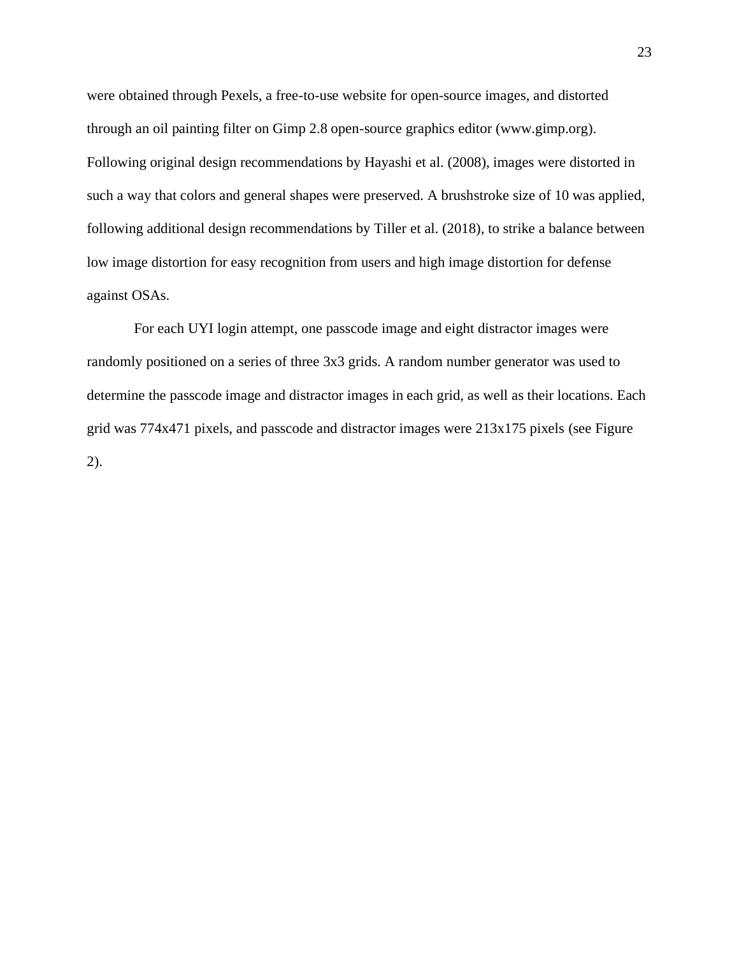were obtained through Pexels, a free-to-use website for open-source images, and distorted through an oil painting filter on Gimp 2.8 open-source graphics editor (www.gimp.org). Following original design recommendations by Hayashi et al. (2008), images were distorted in such a way that colors and general shapes were preserved. A brushstroke size of 10 was applied, following additional design recommendations by Tiller et al. (2018), to strike a balance between low image distortion for easy recognition from users and high image distortion for defense against OSAs.

For each UYI login attempt, one passcode image and eight distractor images were randomly positioned on a series of three 3x3 grids. A random number generator was used to determine the passcode image and distractor images in each grid, as well as their locations. Each grid was 774x471 pixels, and passcode and distractor images were 213x175 pixels (see Figure 2).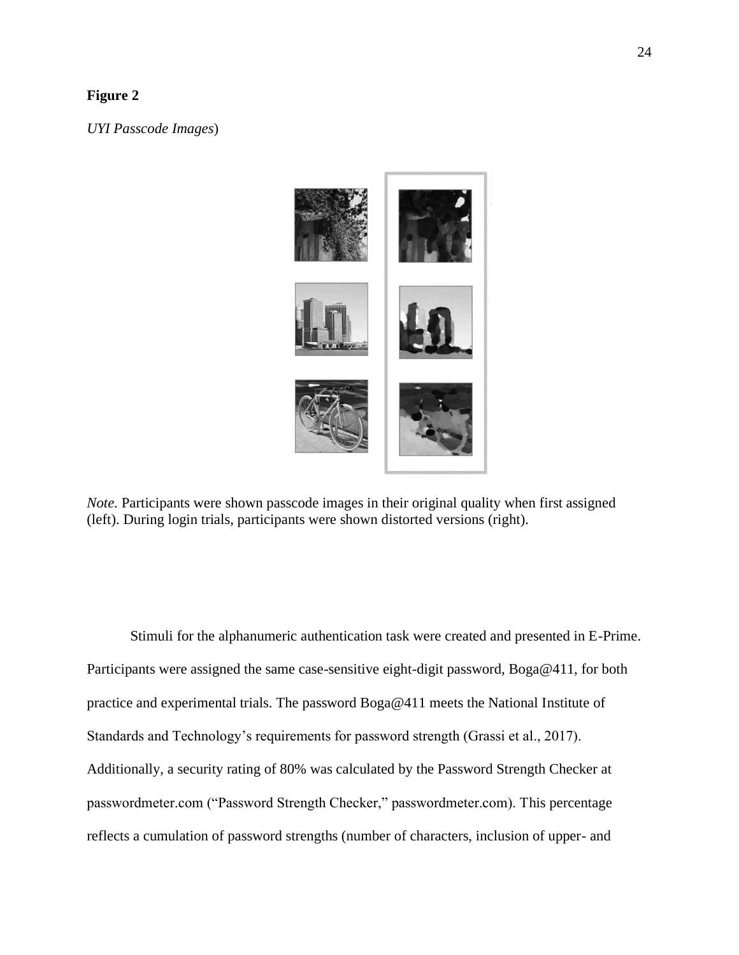## **Figure 2**

*UYI Passcode Images*)



*Note.* Participants were shown passcode images in their original quality when first assigned (left). During login trials, participants were shown distorted versions (right).

Stimuli for the alphanumeric authentication task were created and presented in E-Prime. Participants were assigned the same case-sensitive eight-digit password, Boga@411, for both practice and experimental trials. The password Boga@411 meets the National Institute of Standards and Technology's requirements for password strength (Grassi et al., 2017). Additionally, a security rating of 80% was calculated by the Password Strength Checker at passwordmeter.com ("Password Strength Checker," passwordmeter.com). This percentage reflects a cumulation of password strengths (number of characters, inclusion of upper- and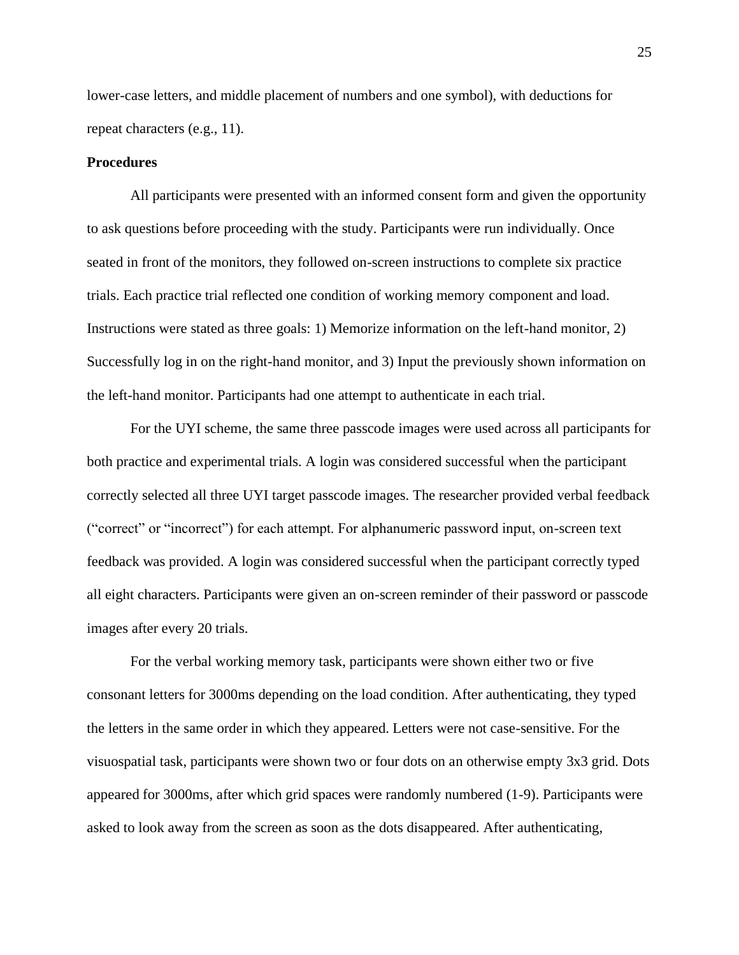lower-case letters, and middle placement of numbers and one symbol), with deductions for repeat characters (e.g., 11).

## **Procedures**

All participants were presented with an informed consent form and given the opportunity to ask questions before proceeding with the study. Participants were run individually. Once seated in front of the monitors, they followed on-screen instructions to complete six practice trials. Each practice trial reflected one condition of working memory component and load. Instructions were stated as three goals: 1) Memorize information on the left-hand monitor, 2) Successfully log in on the right-hand monitor, and 3) Input the previously shown information on the left-hand monitor. Participants had one attempt to authenticate in each trial.

For the UYI scheme, the same three passcode images were used across all participants for both practice and experimental trials. A login was considered successful when the participant correctly selected all three UYI target passcode images. The researcher provided verbal feedback ("correct" or "incorrect") for each attempt. For alphanumeric password input, on-screen text feedback was provided. A login was considered successful when the participant correctly typed all eight characters. Participants were given an on-screen reminder of their password or passcode images after every 20 trials.

For the verbal working memory task, participants were shown either two or five consonant letters for 3000ms depending on the load condition. After authenticating, they typed the letters in the same order in which they appeared. Letters were not case-sensitive. For the visuospatial task, participants were shown two or four dots on an otherwise empty 3x3 grid. Dots appeared for 3000ms, after which grid spaces were randomly numbered (1-9). Participants were asked to look away from the screen as soon as the dots disappeared. After authenticating,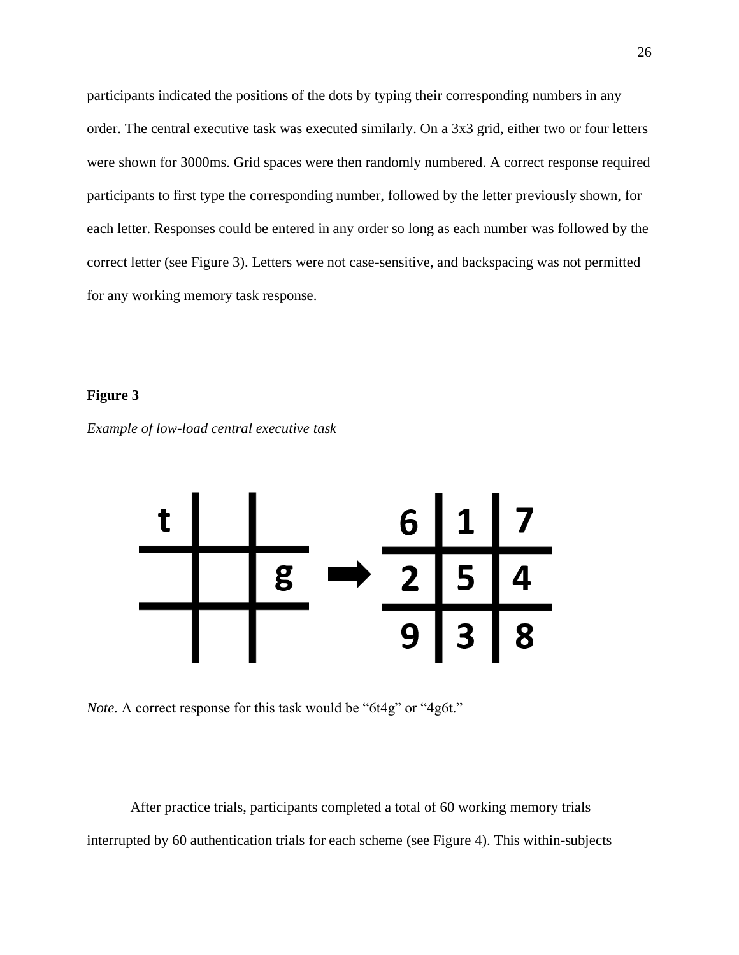participants indicated the positions of the dots by typing their corresponding numbers in any order. The central executive task was executed similarly. On a 3x3 grid, either two or four letters were shown for 3000ms. Grid spaces were then randomly numbered. A correct response required participants to first type the corresponding number, followed by the letter previously shown, for each letter. Responses could be entered in any order so long as each number was followed by the correct letter (see Figure 3). Letters were not case-sensitive, and backspacing was not permitted for any working memory task response.

## **Figure 3**





*Note.* A correct response for this task would be "6t4g" or "4g6t."

After practice trials, participants completed a total of 60 working memory trials interrupted by 60 authentication trials for each scheme (see Figure 4). This within-subjects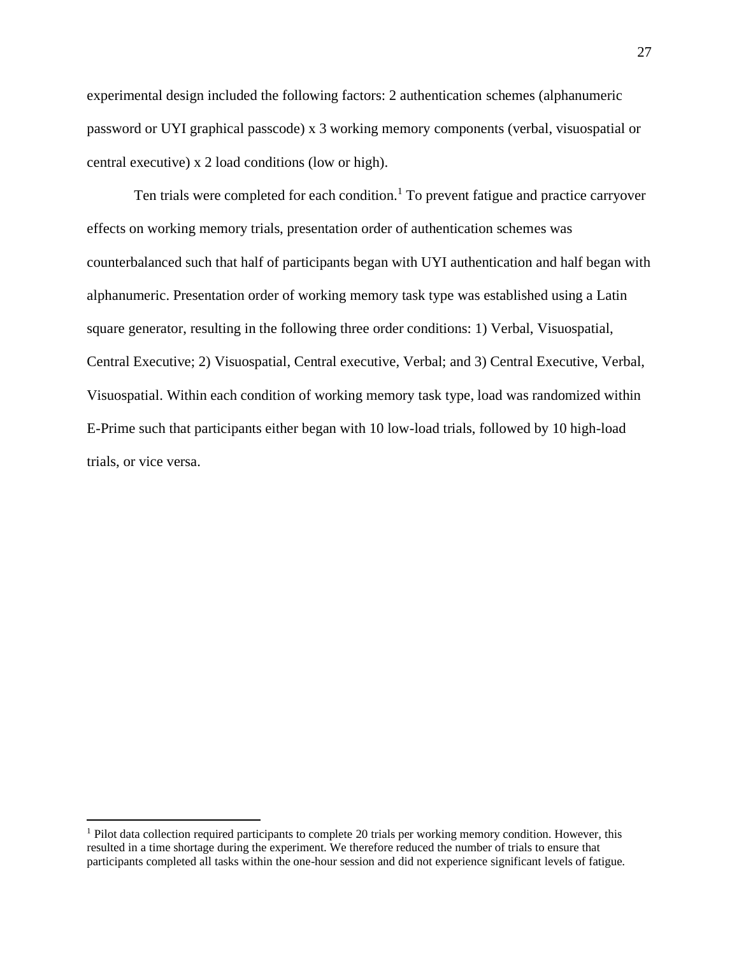experimental design included the following factors: 2 authentication schemes (alphanumeric password or UYI graphical passcode) x 3 working memory components (verbal, visuospatial or central executive) x 2 load conditions (low or high).

Ten trials were completed for each condition.<sup>1</sup> To prevent fatigue and practice carryover effects on working memory trials, presentation order of authentication schemes was counterbalanced such that half of participants began with UYI authentication and half began with alphanumeric. Presentation order of working memory task type was established using a Latin square generator, resulting in the following three order conditions: 1) Verbal, Visuospatial, Central Executive; 2) Visuospatial, Central executive, Verbal; and 3) Central Executive, Verbal, Visuospatial. Within each condition of working memory task type, load was randomized within E-Prime such that participants either began with 10 low-load trials, followed by 10 high-load trials, or vice versa.

<sup>&</sup>lt;sup>1</sup> Pilot data collection required participants to complete 20 trials per working memory condition. However, this resulted in a time shortage during the experiment. We therefore reduced the number of trials to ensure that participants completed all tasks within the one-hour session and did not experience significant levels of fatigue.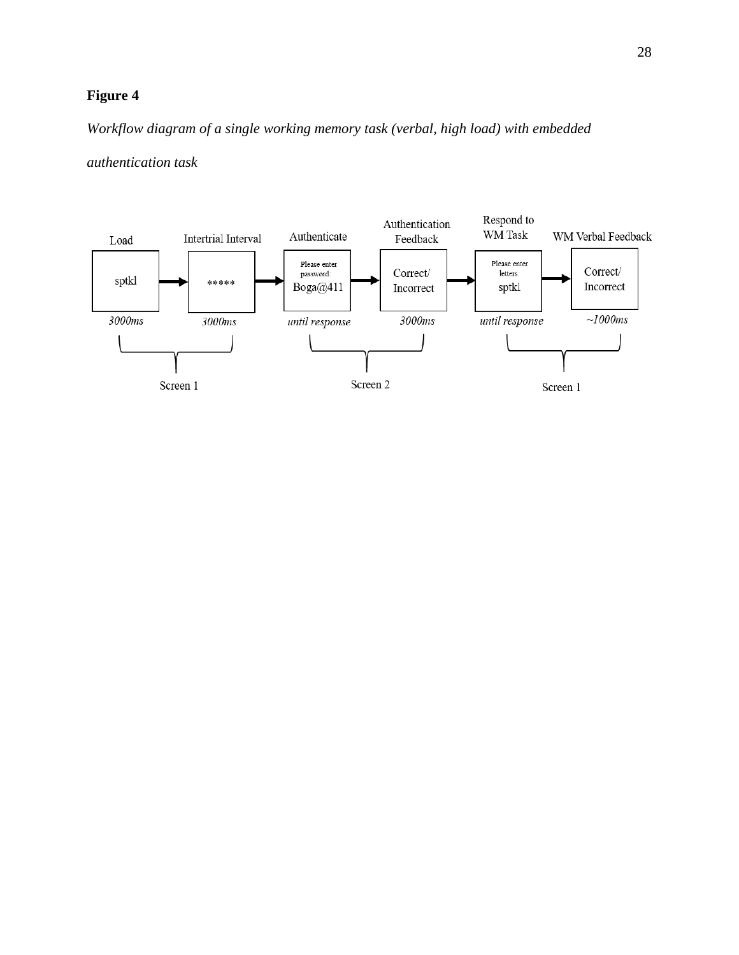# **Figure 4**

*Workflow diagram of a single working memory task (verbal, high load) with embedded* 

*authentication task*

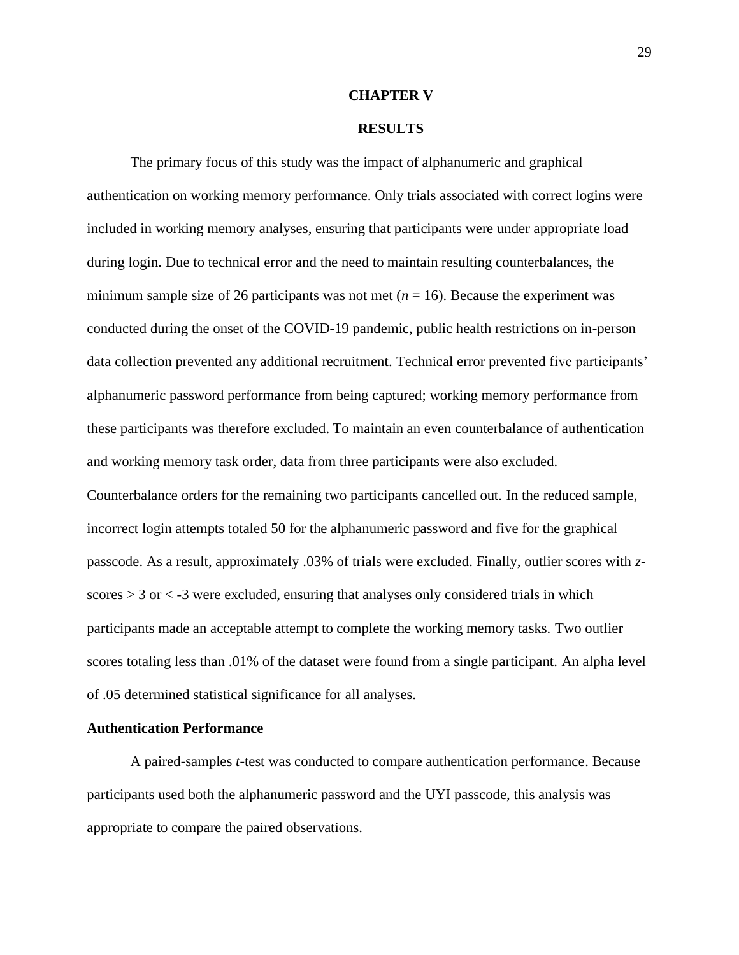#### **CHAPTER V**

## **RESULTS**

The primary focus of this study was the impact of alphanumeric and graphical authentication on working memory performance. Only trials associated with correct logins were included in working memory analyses, ensuring that participants were under appropriate load during login. Due to technical error and the need to maintain resulting counterbalances, the minimum sample size of 26 participants was not met  $(n = 16)$ . Because the experiment was conducted during the onset of the COVID-19 pandemic, public health restrictions on in-person data collection prevented any additional recruitment. Technical error prevented five participants' alphanumeric password performance from being captured; working memory performance from these participants was therefore excluded. To maintain an even counterbalance of authentication and working memory task order, data from three participants were also excluded. Counterbalance orders for the remaining two participants cancelled out. In the reduced sample, incorrect login attempts totaled 50 for the alphanumeric password and five for the graphical passcode. As a result, approximately .03% of trials were excluded. Finally, outlier scores with *z*scores  $> 3$  or  $<$  -3 were excluded, ensuring that analyses only considered trials in which participants made an acceptable attempt to complete the working memory tasks. Two outlier scores totaling less than .01% of the dataset were found from a single participant. An alpha level of .05 determined statistical significance for all analyses.

#### **Authentication Performance**

A paired-samples *t*-test was conducted to compare authentication performance. Because participants used both the alphanumeric password and the UYI passcode, this analysis was appropriate to compare the paired observations.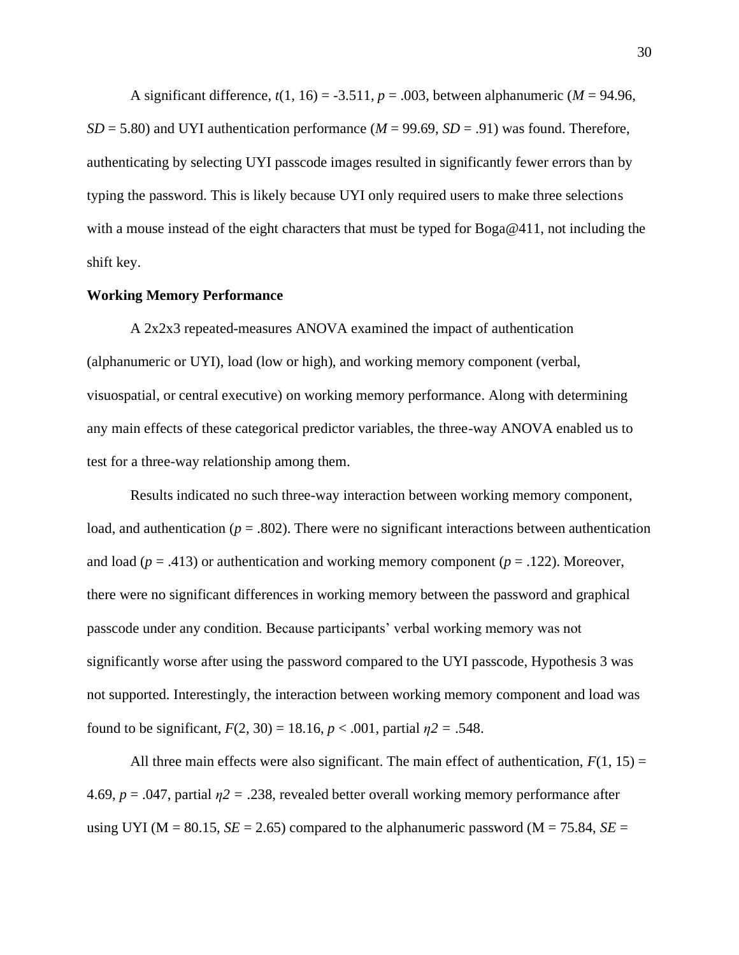A significant difference,  $t(1, 16) = -3.511$ ,  $p = .003$ , between alphanumeric ( $M = 94.96$ ,  $SD = 5.80$ ) and UYI authentication performance ( $M = 99.69$ ,  $SD = .91$ ) was found. Therefore, authenticating by selecting UYI passcode images resulted in significantly fewer errors than by typing the password. This is likely because UYI only required users to make three selections with a mouse instead of the eight characters that must be typed for Boga@411, not including the shift key.

### **Working Memory Performance**

A 2x2x3 repeated-measures ANOVA examined the impact of authentication (alphanumeric or UYI), load (low or high), and working memory component (verbal, visuospatial, or central executive) on working memory performance. Along with determining any main effects of these categorical predictor variables, the three-way ANOVA enabled us to test for a three-way relationship among them.

Results indicated no such three-way interaction between working memory component, load, and authentication ( $p = .802$ ). There were no significant interactions between authentication and load ( $p = .413$ ) or authentication and working memory component ( $p = .122$ ). Moreover, there were no significant differences in working memory between the password and graphical passcode under any condition. Because participants' verbal working memory was not significantly worse after using the password compared to the UYI passcode, Hypothesis 3 was not supported. Interestingly, the interaction between working memory component and load was found to be significant,  $F(2, 30) = 18.16$ ,  $p < .001$ , partial  $n2 = .548$ .

All three main effects were also significant. The main effect of authentication,  $F(1, 15) =$ 4.69, *p* = .047, partial *η2 =* .238, revealed better overall working memory performance after using UYI ( $M = 80.15$ ,  $SE = 2.65$ ) compared to the alphanumeric password ( $M = 75.84$ ,  $SE =$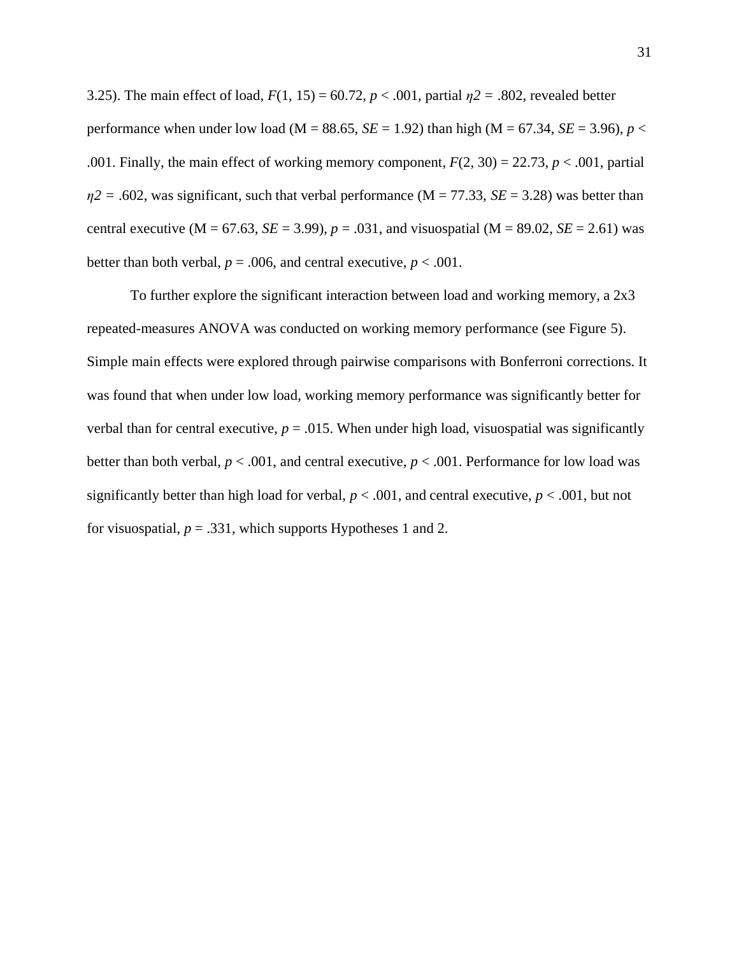3.25). The main effect of load, *F*(1, 15) = 60.72, *p* < .001, partial *η2 =* .802, revealed better performance when under low load (M = 88.65, *SE* = 1.92) than high (M = 67.34, *SE* = 3.96), *p* < .001. Finally, the main effect of working memory component,  $F(2, 30) = 22.73$ ,  $p < .001$ , partial  $\eta$ 2 = .602, was significant, such that verbal performance (M = 77.33, *SE* = 3.28) was better than central executive ( $M = 67.63$ ,  $SE = 3.99$ ),  $p = .031$ , and visuospatial ( $M = 89.02$ ,  $SE = 2.61$ ) was better than both verbal,  $p = .006$ , and central executive,  $p < .001$ .

To further explore the significant interaction between load and working memory, a 2x3 repeated-measures ANOVA was conducted on working memory performance (see Figure 5). Simple main effects were explored through pairwise comparisons with Bonferroni corrections. It was found that when under low load, working memory performance was significantly better for verbal than for central executive,  $p = .015$ . When under high load, visuospatial was significantly better than both verbal,  $p < .001$ , and central executive,  $p < .001$ . Performance for low load was significantly better than high load for verbal,  $p < .001$ , and central executive,  $p < .001$ , but not for visuospatial,  $p = .331$ , which supports Hypotheses 1 and 2.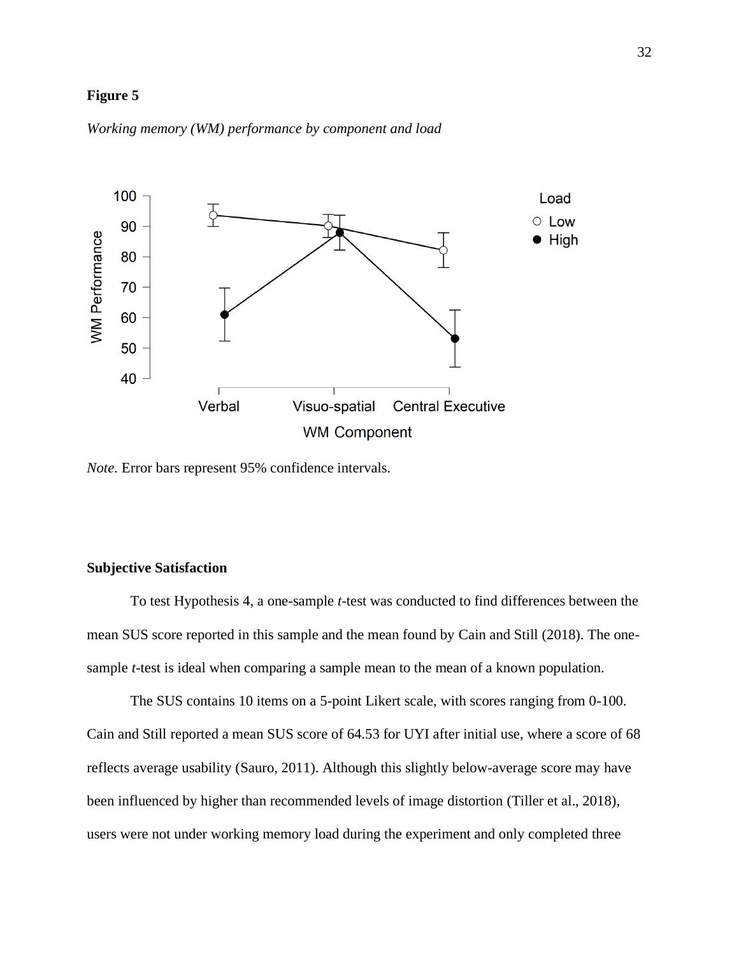## **Figure 5**



*Working memory (WM) performance by component and load* 

*Note.* Error bars represent 95% confidence intervals.

## **Subjective Satisfaction**

To test Hypothesis 4, a one-sample *t*-test was conducted to find differences between the mean SUS score reported in this sample and the mean found by Cain and Still (2018). The onesample *t*-test is ideal when comparing a sample mean to the mean of a known population.

The SUS contains 10 items on a 5-point Likert scale, with scores ranging from 0-100. Cain and Still reported a mean SUS score of 64.53 for UYI after initial use, where a score of 68 reflects average usability (Sauro, 2011). Although this slightly below-average score may have been influenced by higher than recommended levels of image distortion (Tiller et al., 2018), users were not under working memory load during the experiment and only completed three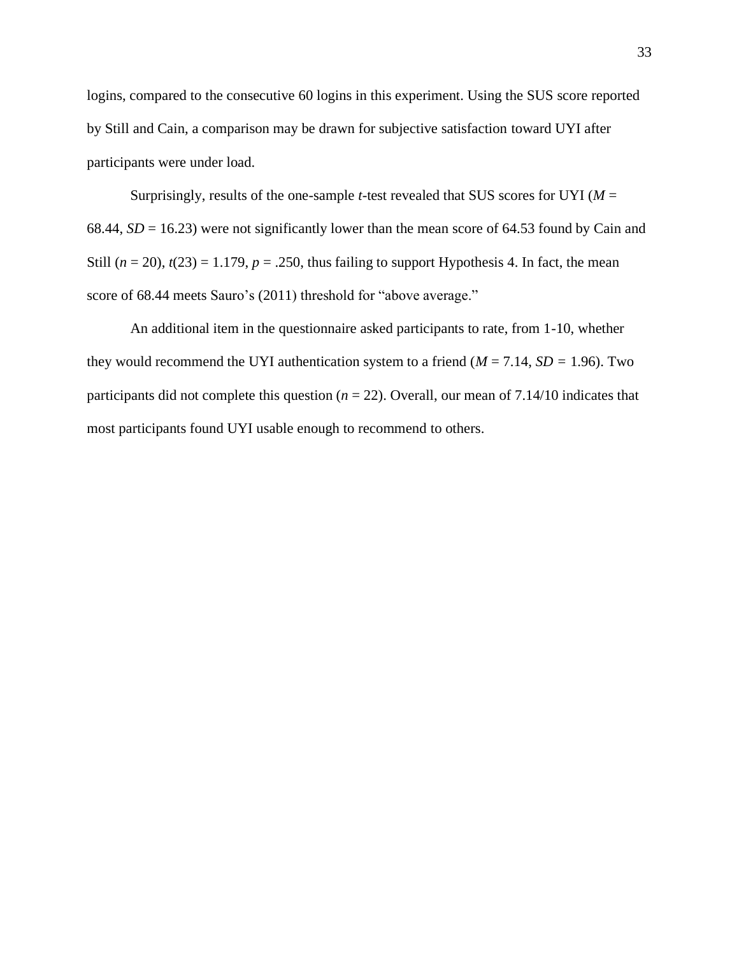logins, compared to the consecutive 60 logins in this experiment. Using the SUS score reported by Still and Cain, a comparison may be drawn for subjective satisfaction toward UYI after participants were under load.

Surprisingly, results of the one-sample *t*-test revealed that SUS scores for UYI ( $M =$ 68.44,  $SD = 16.23$ ) were not significantly lower than the mean score of 64.53 found by Cain and Still  $(n = 20)$ ,  $t(23) = 1.179$ ,  $p = .250$ , thus failing to support Hypothesis 4. In fact, the mean score of 68.44 meets Sauro's (2011) threshold for "above average."

An additional item in the questionnaire asked participants to rate, from 1-10, whether they would recommend the UYI authentication system to a friend ( $M = 7.14$ ,  $SD = 1.96$ ). Two participants did not complete this question (*n* = 22). Overall, our mean of 7.14/10 indicates that most participants found UYI usable enough to recommend to others.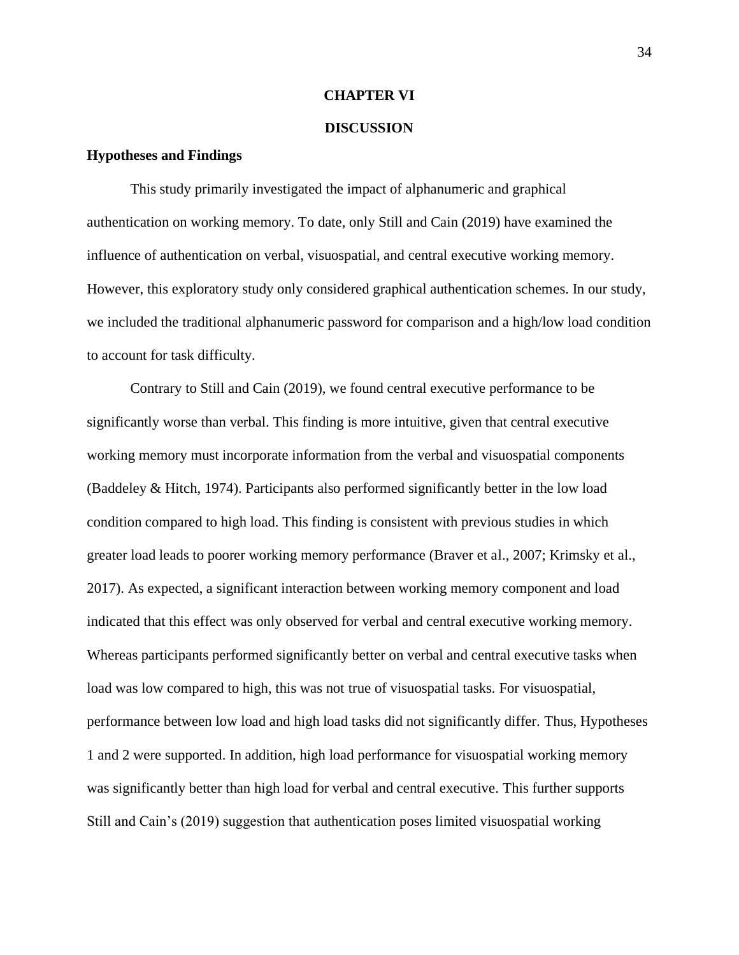### **CHAPTER VI**

### **DISCUSSION**

## **Hypotheses and Findings**

This study primarily investigated the impact of alphanumeric and graphical authentication on working memory. To date, only Still and Cain (2019) have examined the influence of authentication on verbal, visuospatial, and central executive working memory. However, this exploratory study only considered graphical authentication schemes. In our study, we included the traditional alphanumeric password for comparison and a high/low load condition to account for task difficulty.

Contrary to Still and Cain (2019), we found central executive performance to be significantly worse than verbal. This finding is more intuitive, given that central executive working memory must incorporate information from the verbal and visuospatial components (Baddeley & Hitch, 1974). Participants also performed significantly better in the low load condition compared to high load. This finding is consistent with previous studies in which greater load leads to poorer working memory performance (Braver et al., 2007; Krimsky et al., 2017). As expected, a significant interaction between working memory component and load indicated that this effect was only observed for verbal and central executive working memory. Whereas participants performed significantly better on verbal and central executive tasks when load was low compared to high, this was not true of visuospatial tasks. For visuospatial, performance between low load and high load tasks did not significantly differ. Thus, Hypotheses 1 and 2 were supported. In addition, high load performance for visuospatial working memory was significantly better than high load for verbal and central executive. This further supports Still and Cain's (2019) suggestion that authentication poses limited visuospatial working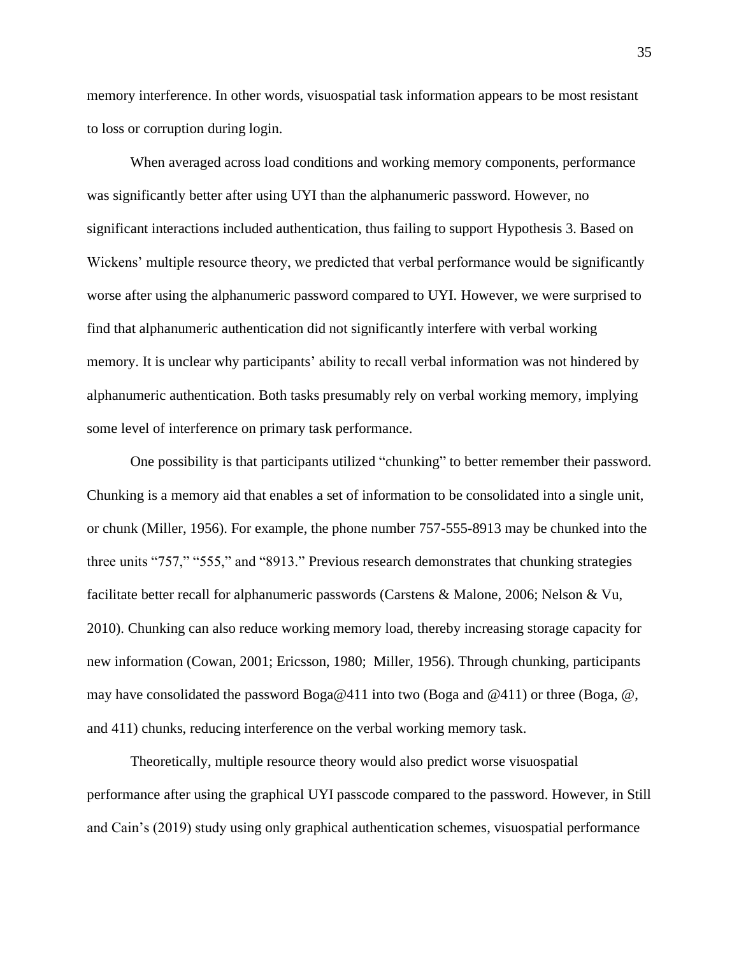memory interference. In other words, visuospatial task information appears to be most resistant to loss or corruption during login.

When averaged across load conditions and working memory components, performance was significantly better after using UYI than the alphanumeric password. However, no significant interactions included authentication, thus failing to support Hypothesis 3. Based on Wickens' multiple resource theory, we predicted that verbal performance would be significantly worse after using the alphanumeric password compared to UYI. However, we were surprised to find that alphanumeric authentication did not significantly interfere with verbal working memory. It is unclear why participants' ability to recall verbal information was not hindered by alphanumeric authentication. Both tasks presumably rely on verbal working memory, implying some level of interference on primary task performance.

One possibility is that participants utilized "chunking" to better remember their password. Chunking is a memory aid that enables a set of information to be consolidated into a single unit, or chunk (Miller, 1956). For example, the phone number 757-555-8913 may be chunked into the three units "757," "555," and "8913." Previous research demonstrates that chunking strategies facilitate better recall for alphanumeric passwords (Carstens & Malone, 2006; Nelson & Vu, 2010). Chunking can also reduce working memory load, thereby increasing storage capacity for new information (Cowan, 2001; Ericsson, 1980; Miller, 1956). Through chunking, participants may have consolidated the password Boga@411 into two (Boga and @411) or three (Boga, @, and 411) chunks, reducing interference on the verbal working memory task.

Theoretically, multiple resource theory would also predict worse visuospatial performance after using the graphical UYI passcode compared to the password. However, in Still and Cain's (2019) study using only graphical authentication schemes, visuospatial performance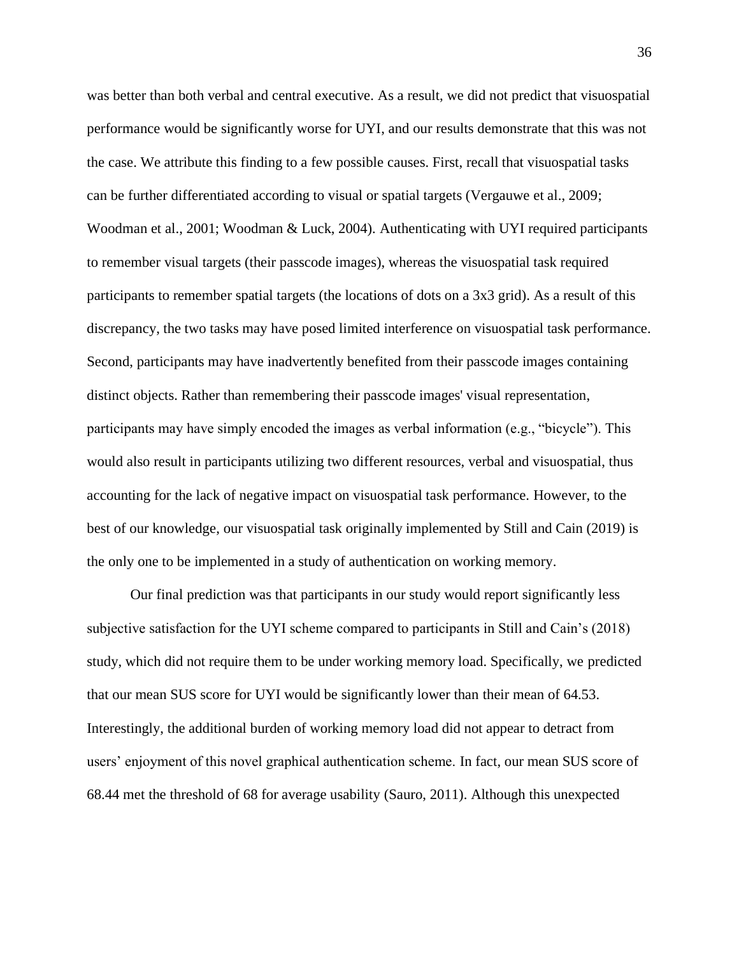was better than both verbal and central executive. As a result, we did not predict that visuospatial performance would be significantly worse for UYI, and our results demonstrate that this was not the case. We attribute this finding to a few possible causes. First, recall that visuospatial tasks can be further differentiated according to visual or spatial targets (Vergauwe et al., 2009; Woodman et al., 2001; Woodman & Luck, 2004). Authenticating with UYI required participants to remember visual targets (their passcode images), whereas the visuospatial task required participants to remember spatial targets (the locations of dots on a 3x3 grid). As a result of this discrepancy, the two tasks may have posed limited interference on visuospatial task performance. Second, participants may have inadvertently benefited from their passcode images containing distinct objects. Rather than remembering their passcode images' visual representation, participants may have simply encoded the images as verbal information (e.g., "bicycle"). This would also result in participants utilizing two different resources, verbal and visuospatial, thus accounting for the lack of negative impact on visuospatial task performance. However, to the best of our knowledge, our visuospatial task originally implemented by Still and Cain (2019) is the only one to be implemented in a study of authentication on working memory.

Our final prediction was that participants in our study would report significantly less subjective satisfaction for the UYI scheme compared to participants in Still and Cain's (2018) study, which did not require them to be under working memory load. Specifically, we predicted that our mean SUS score for UYI would be significantly lower than their mean of 64.53. Interestingly, the additional burden of working memory load did not appear to detract from users' enjoyment of this novel graphical authentication scheme. In fact, our mean SUS score of 68.44 met the threshold of 68 for average usability (Sauro, 2011). Although this unexpected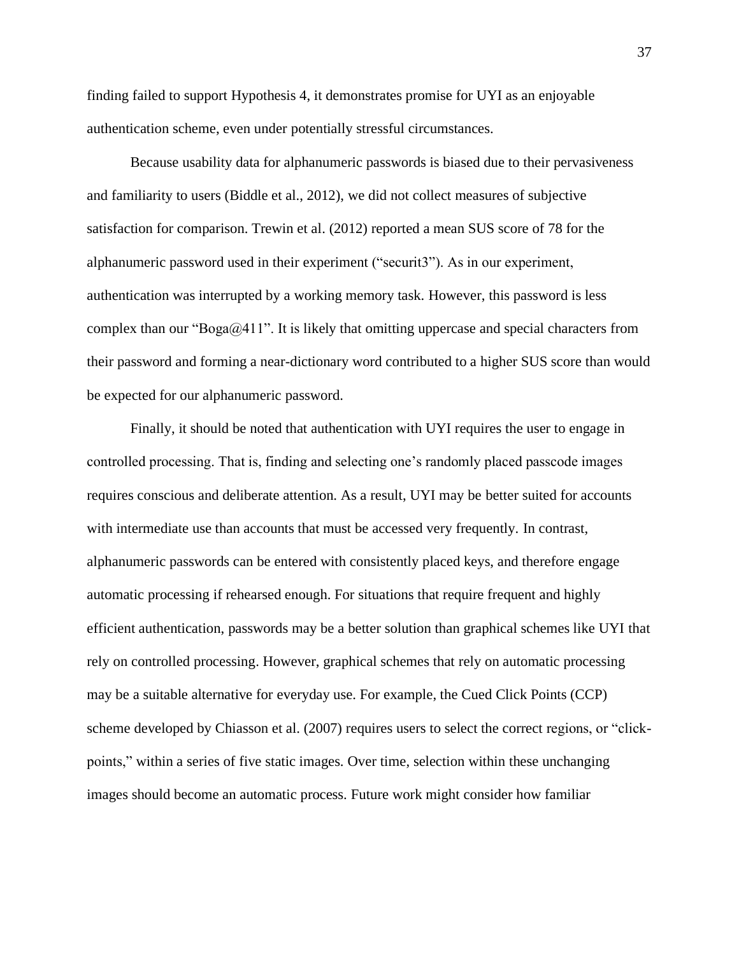finding failed to support Hypothesis 4, it demonstrates promise for UYI as an enjoyable authentication scheme, even under potentially stressful circumstances.

Because usability data for alphanumeric passwords is biased due to their pervasiveness and familiarity to users (Biddle et al., 2012), we did not collect measures of subjective satisfaction for comparison. Trewin et al. (2012) reported a mean SUS score of 78 for the alphanumeric password used in their experiment ("securit3"). As in our experiment, authentication was interrupted by a working memory task. However, this password is less complex than our "Boga $\omega/411$ ". It is likely that omitting uppercase and special characters from their password and forming a near-dictionary word contributed to a higher SUS score than would be expected for our alphanumeric password.

Finally, it should be noted that authentication with UYI requires the user to engage in controlled processing. That is, finding and selecting one's randomly placed passcode images requires conscious and deliberate attention. As a result, UYI may be better suited for accounts with intermediate use than accounts that must be accessed very frequently. In contrast, alphanumeric passwords can be entered with consistently placed keys, and therefore engage automatic processing if rehearsed enough. For situations that require frequent and highly efficient authentication, passwords may be a better solution than graphical schemes like UYI that rely on controlled processing. However, graphical schemes that rely on automatic processing may be a suitable alternative for everyday use. For example, the Cued Click Points (CCP) scheme developed by Chiasson et al. (2007) requires users to select the correct regions, or "clickpoints," within a series of five static images. Over time, selection within these unchanging images should become an automatic process. Future work might consider how familiar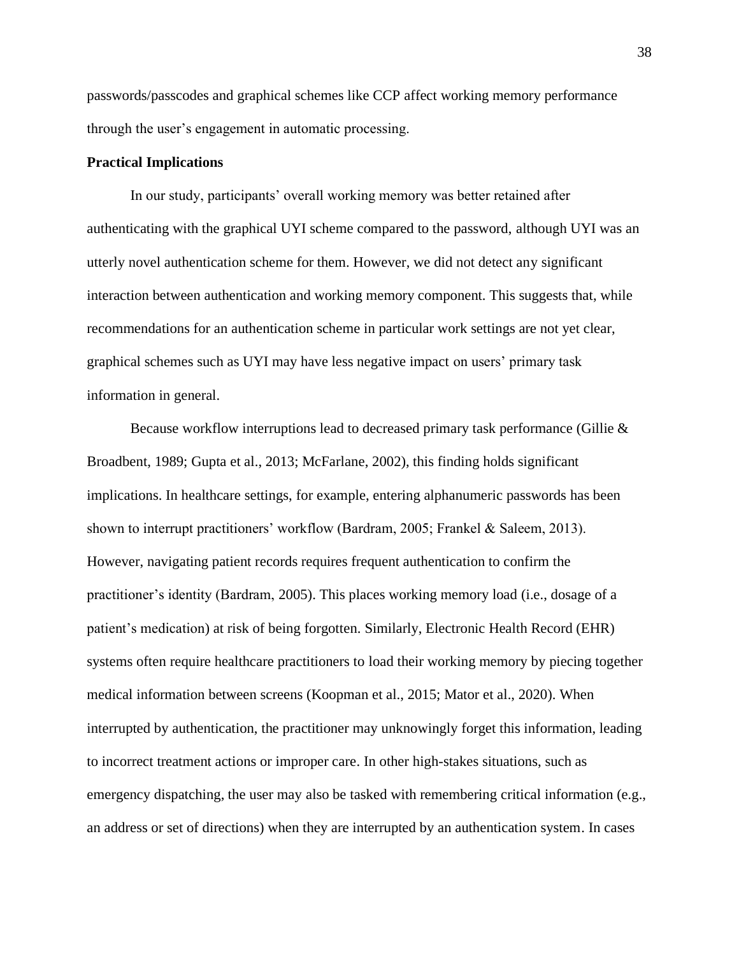passwords/passcodes and graphical schemes like CCP affect working memory performance through the user's engagement in automatic processing.

## **Practical Implications**

In our study, participants' overall working memory was better retained after authenticating with the graphical UYI scheme compared to the password, although UYI was an utterly novel authentication scheme for them. However, we did not detect any significant interaction between authentication and working memory component. This suggests that, while recommendations for an authentication scheme in particular work settings are not yet clear, graphical schemes such as UYI may have less negative impact on users' primary task information in general.

Because workflow interruptions lead to decreased primary task performance (Gillie & Broadbent, 1989; Gupta et al., 2013; McFarlane, 2002), this finding holds significant implications. In healthcare settings, for example, entering alphanumeric passwords has been shown to interrupt practitioners' workflow (Bardram, 2005; Frankel & Saleem, 2013). However, navigating patient records requires frequent authentication to confirm the practitioner's identity (Bardram, 2005). This places working memory load (i.e., dosage of a patient's medication) at risk of being forgotten. Similarly, Electronic Health Record (EHR) systems often require healthcare practitioners to load their working memory by piecing together medical information between screens (Koopman et al., 2015; Mator et al., 2020). When interrupted by authentication, the practitioner may unknowingly forget this information, leading to incorrect treatment actions or improper care. In other high-stakes situations, such as emergency dispatching, the user may also be tasked with remembering critical information (e.g., an address or set of directions) when they are interrupted by an authentication system. In cases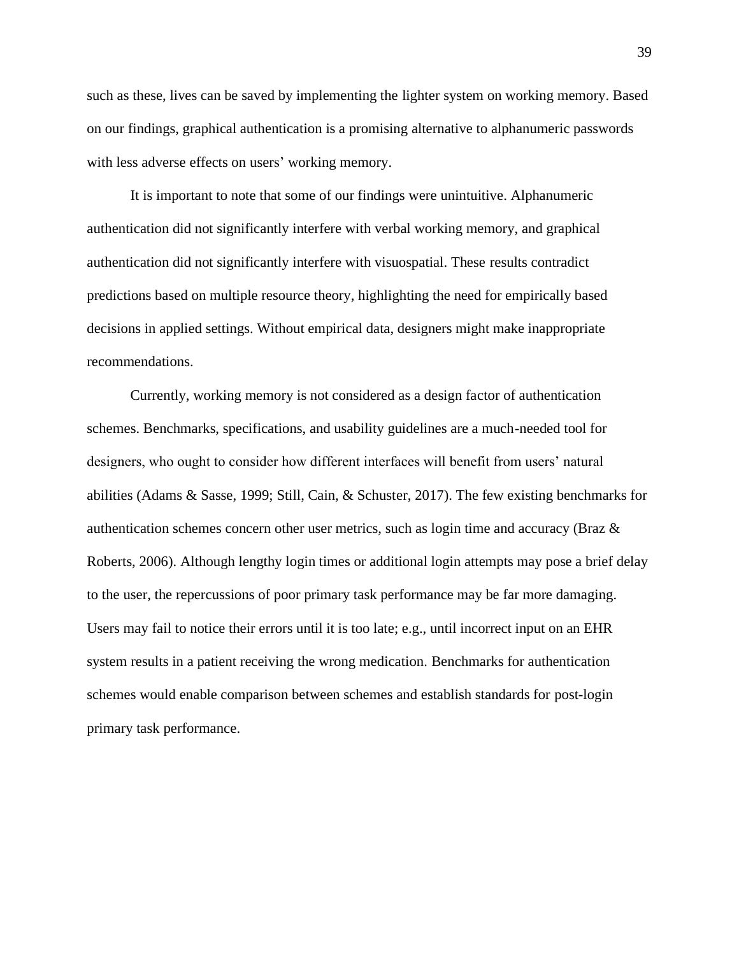such as these, lives can be saved by implementing the lighter system on working memory. Based on our findings, graphical authentication is a promising alternative to alphanumeric passwords with less adverse effects on users' working memory.

It is important to note that some of our findings were unintuitive. Alphanumeric authentication did not significantly interfere with verbal working memory, and graphical authentication did not significantly interfere with visuospatial. These results contradict predictions based on multiple resource theory, highlighting the need for empirically based decisions in applied settings. Without empirical data, designers might make inappropriate recommendations.

Currently, working memory is not considered as a design factor of authentication schemes. Benchmarks, specifications, and usability guidelines are a much-needed tool for designers, who ought to consider how different interfaces will benefit from users' natural abilities (Adams & Sasse, 1999; Still, Cain, & Schuster, 2017). The few existing benchmarks for authentication schemes concern other user metrics, such as login time and accuracy (Braz & Roberts, 2006). Although lengthy login times or additional login attempts may pose a brief delay to the user, the repercussions of poor primary task performance may be far more damaging. Users may fail to notice their errors until it is too late; e.g., until incorrect input on an EHR system results in a patient receiving the wrong medication. Benchmarks for authentication schemes would enable comparison between schemes and establish standards for post-login primary task performance.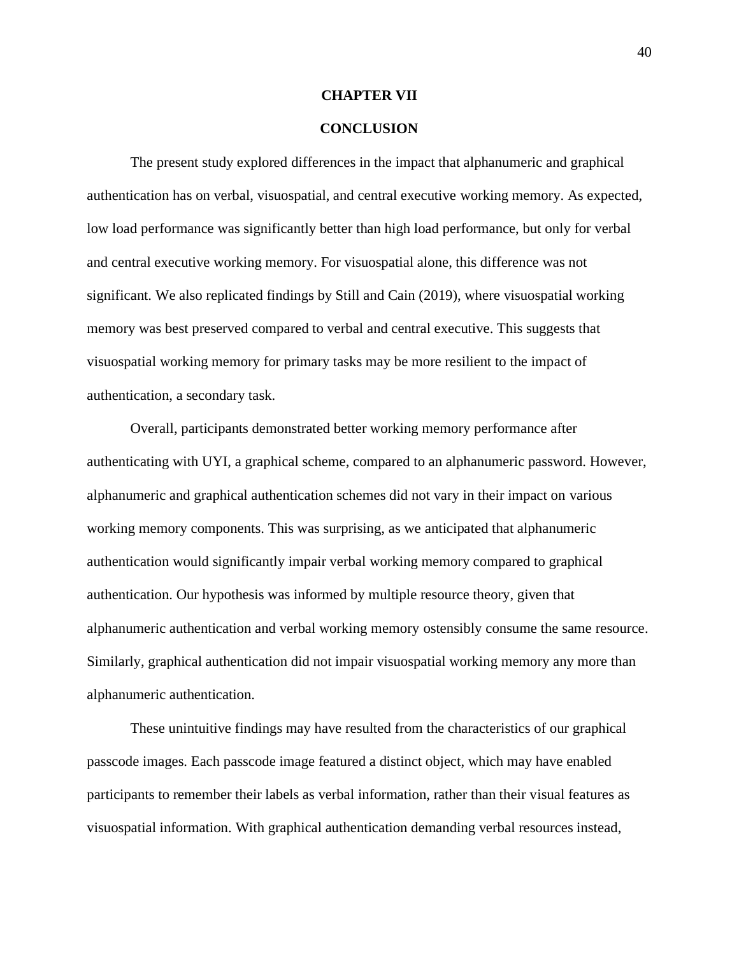#### **CHAPTER VII**

## **CONCLUSION**

The present study explored differences in the impact that alphanumeric and graphical authentication has on verbal, visuospatial, and central executive working memory. As expected, low load performance was significantly better than high load performance, but only for verbal and central executive working memory. For visuospatial alone, this difference was not significant. We also replicated findings by Still and Cain (2019), where visuospatial working memory was best preserved compared to verbal and central executive. This suggests that visuospatial working memory for primary tasks may be more resilient to the impact of authentication, a secondary task.

Overall, participants demonstrated better working memory performance after authenticating with UYI, a graphical scheme, compared to an alphanumeric password. However, alphanumeric and graphical authentication schemes did not vary in their impact on various working memory components. This was surprising, as we anticipated that alphanumeric authentication would significantly impair verbal working memory compared to graphical authentication. Our hypothesis was informed by multiple resource theory, given that alphanumeric authentication and verbal working memory ostensibly consume the same resource. Similarly, graphical authentication did not impair visuospatial working memory any more than alphanumeric authentication.

These unintuitive findings may have resulted from the characteristics of our graphical passcode images. Each passcode image featured a distinct object, which may have enabled participants to remember their labels as verbal information, rather than their visual features as visuospatial information. With graphical authentication demanding verbal resources instead,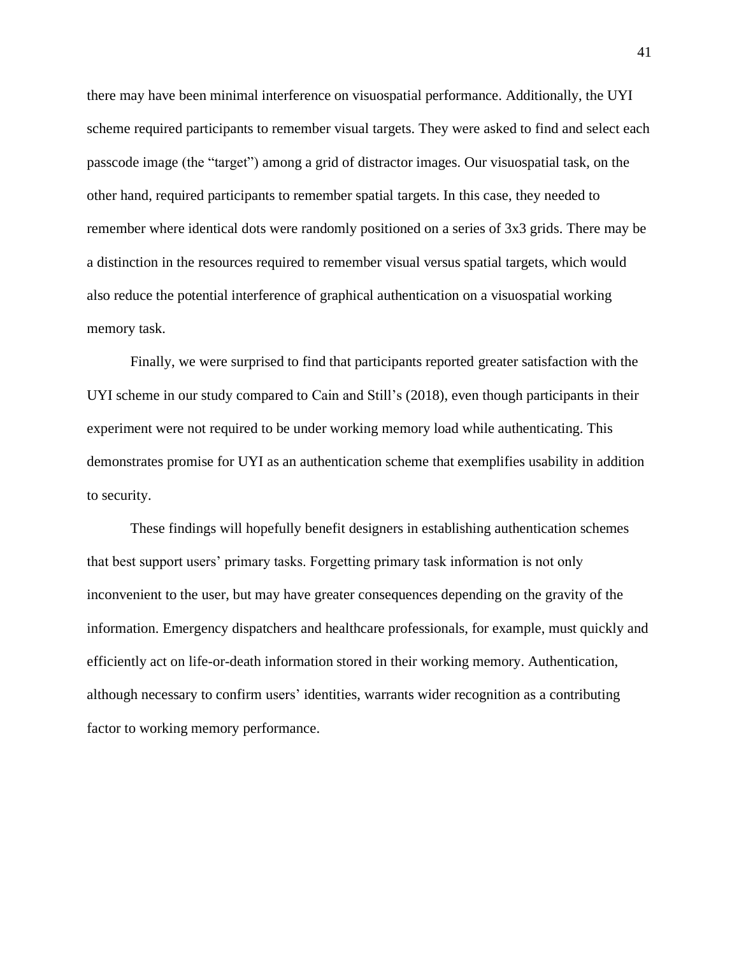there may have been minimal interference on visuospatial performance. Additionally, the UYI scheme required participants to remember visual targets. They were asked to find and select each passcode image (the "target") among a grid of distractor images. Our visuospatial task, on the other hand, required participants to remember spatial targets. In this case, they needed to remember where identical dots were randomly positioned on a series of 3x3 grids. There may be a distinction in the resources required to remember visual versus spatial targets, which would also reduce the potential interference of graphical authentication on a visuospatial working memory task.

Finally, we were surprised to find that participants reported greater satisfaction with the UYI scheme in our study compared to Cain and Still's (2018), even though participants in their experiment were not required to be under working memory load while authenticating. This demonstrates promise for UYI as an authentication scheme that exemplifies usability in addition to security.

These findings will hopefully benefit designers in establishing authentication schemes that best support users' primary tasks. Forgetting primary task information is not only inconvenient to the user, but may have greater consequences depending on the gravity of the information. Emergency dispatchers and healthcare professionals, for example, must quickly and efficiently act on life-or-death information stored in their working memory. Authentication, although necessary to confirm users' identities, warrants wider recognition as a contributing factor to working memory performance.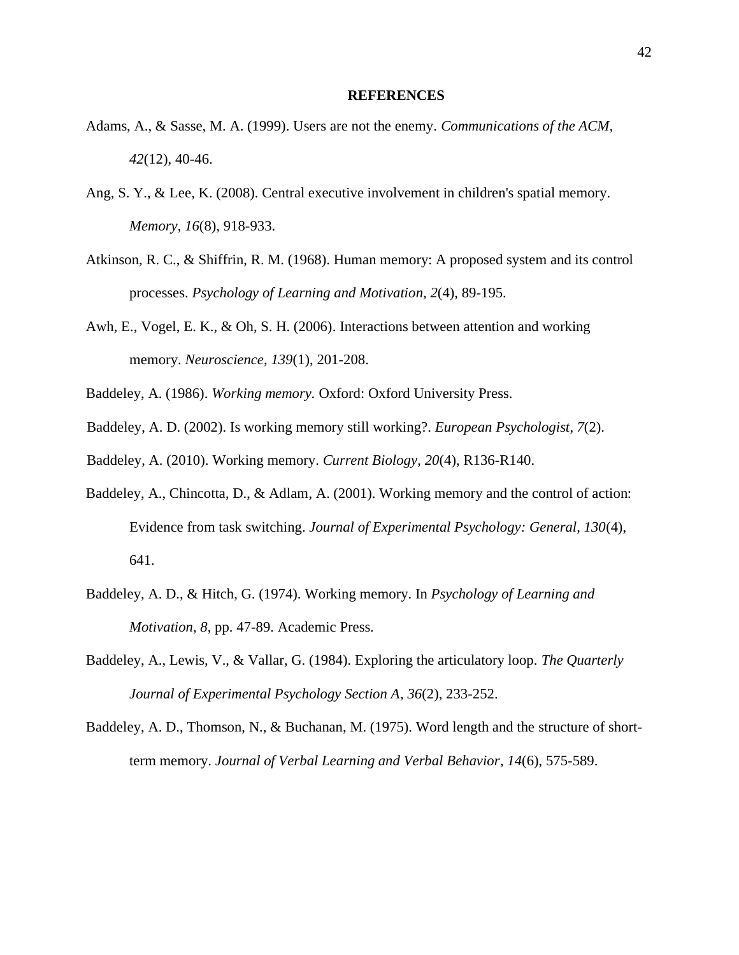#### **REFERENCES**

- Adams, A., & Sasse, M. A. (1999). Users are not the enemy. *Communications of the ACM, 42*(12), 40-46.
- Ang, S. Y., & Lee, K. (2008). Central executive involvement in children's spatial memory. *Memory*, *16*(8), 918-933.
- Atkinson, R. C., & Shiffrin, R. M. (1968). Human memory: A proposed system and its control processes. *Psychology of Learning and Motivation, 2*(4), 89-195.
- Awh, E., Vogel, E. K., & Oh, S. H. (2006). Interactions between attention and working memory. *Neuroscience*, *139*(1), 201-208.
- Baddeley, A. (1986). *Working memory.* Oxford: Oxford University Press.
- Baddeley, A. D. (2002). Is working memory still working?. *European Psychologist*, *7*(2).
- Baddeley, A. (2010). Working memory. *Current Biology*, *20*(4), R136-R140.
- Baddeley, A., Chincotta, D., & Adlam, A. (2001). Working memory and the control of action: Evidence from task switching. *Journal of Experimental Psychology: General, 130*(4), 641.
- Baddeley, A. D., & Hitch, G. (1974). Working memory. In *Psychology of Learning and Motivation*, *8*, pp. 47-89. Academic Press.
- Baddeley, A., Lewis, V., & Vallar, G. (1984). Exploring the articulatory loop. *The Quarterly Journal of Experimental Psychology Section A*, *36*(2), 233-252.
- Baddeley, A. D., Thomson, N., & Buchanan, M. (1975). Word length and the structure of shortterm memory. *Journal of Verbal Learning and Verbal Behavior*, *14*(6), 575-589.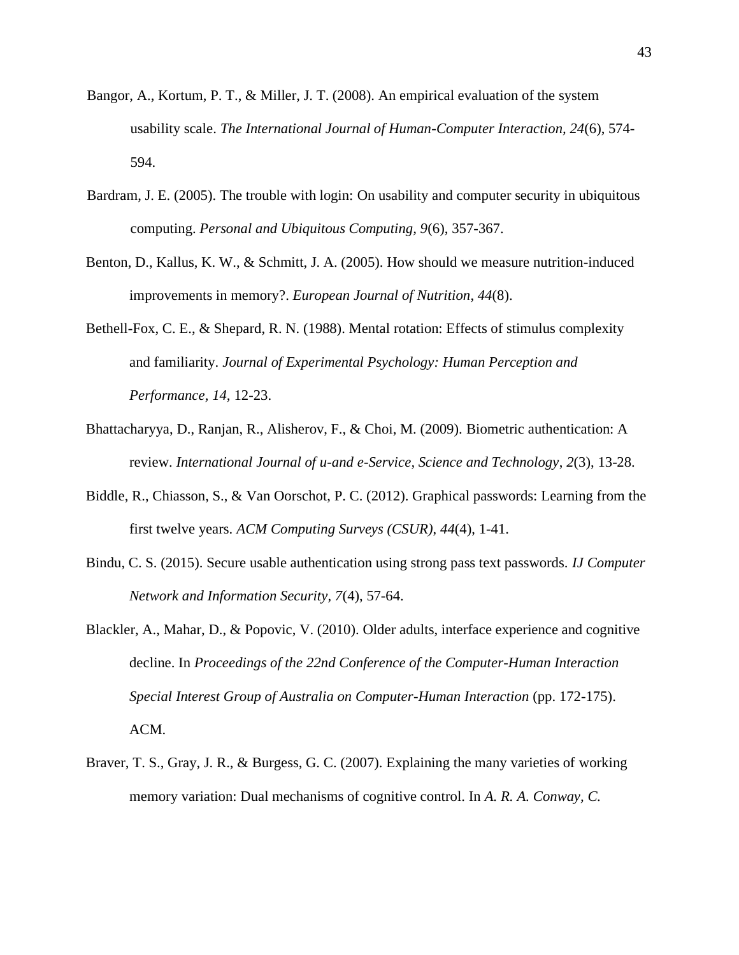- Bangor, A., Kortum, P. T., & Miller, J. T. (2008). An empirical evaluation of the system usability scale. *The International Journal of Human-Computer Interaction, 24*(6), 574- 594.
- Bardram, J. E. (2005). The trouble with login: On usability and computer security in ubiquitous computing. *Personal and Ubiquitous Computing, 9*(6), 357-367.
- Benton, D., Kallus, K. W., & Schmitt, J. A. (2005). How should we measure nutrition-induced improvements in memory?. *European Journal of Nutrition*, *44*(8).
- Bethell-Fox, C. E., & Shepard, R. N. (1988). Mental rotation: Effects of stimulus complexity and familiarity. *Journal of Experimental Psychology: Human Perception and Performance, 14,* 12-23.
- Bhattacharyya, D., Ranjan, R., Alisherov, F., & Choi, M. (2009). Biometric authentication: A review. *International Journal of u-and e-Service, Science and Technology*, *2*(3), 13-28.
- Biddle, R., Chiasson, S., & Van Oorschot, P. C. (2012). Graphical passwords: Learning from the first twelve years. *ACM Computing Surveys (CSUR)*, *44*(4), 1-41.
- Bindu, C. S. (2015). Secure usable authentication using strong pass text passwords. *IJ Computer Network and Information Security, 7*(4), 57-64.
- Blackler, A., Mahar, D., & Popovic, V. (2010). Older adults, interface experience and cognitive decline. In *Proceedings of the 22nd Conference of the Computer-Human Interaction Special Interest Group of Australia on Computer-Human Interaction* (pp. 172-175). ACM.
- Braver, T. S., Gray, J. R., & Burgess, G. C. (2007). Explaining the many varieties of working memory variation: Dual mechanisms of cognitive control. In *A. R. A. Conway, C.*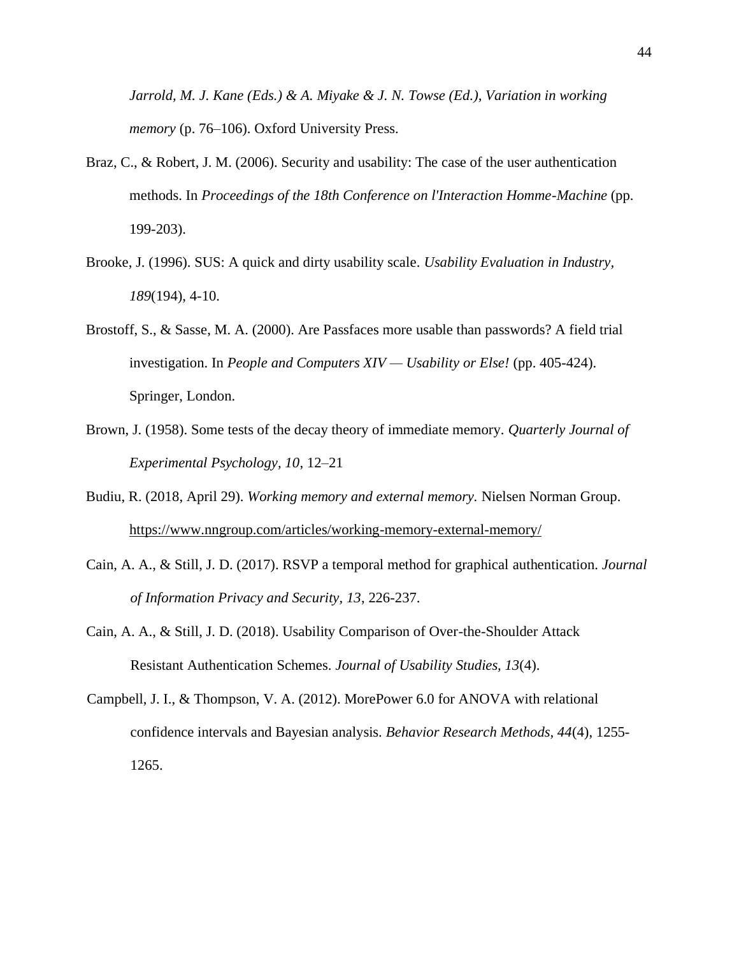*Jarrold, M. J. Kane (Eds.) & A. Miyake & J. N. Towse (Ed.), Variation in working memory* (p. 76–106). Oxford University Press.

- Braz, C., & Robert, J. M. (2006). Security and usability: The case of the user authentication methods. In *Proceedings of the 18th Conference on l'Interaction Homme-Machine* (pp. 199-203).
- Brooke, J. (1996). SUS: A quick and dirty usability scale. *Usability Evaluation in Industry, 189*(194), 4-10.
- Brostoff, S., & Sasse, M. A. (2000). Are Passfaces more usable than passwords? A field trial investigation. In *People and Computers XIV — Usability or Else!* (pp. 405-424). Springer, London.
- Brown, J. (1958). Some tests of the decay theory of immediate memory. *Quarterly Journal of Experimental Psychology, 10*, 12–21
- Budiu, R. (2018, April 29). *Working memory and external memory.* Nielsen Norman Group. <https://www.nngroup.com/articles/working-memory-external-memory/>
- Cain, A. A., & Still, J. D. (2017). RSVP a temporal method for graphical authentication. *Journal of Information Privacy and Security, 13*, 226-237.
- Cain, A. A., & Still, J. D. (2018). Usability Comparison of Over-the-Shoulder Attack Resistant Authentication Schemes. *Journal of Usability Studies, 13*(4).
- Campbell, J. I., & Thompson, V. A. (2012). MorePower 6.0 for ANOVA with relational confidence intervals and Bayesian analysis. *Behavior Research Methods, 44*(4), 1255- 1265.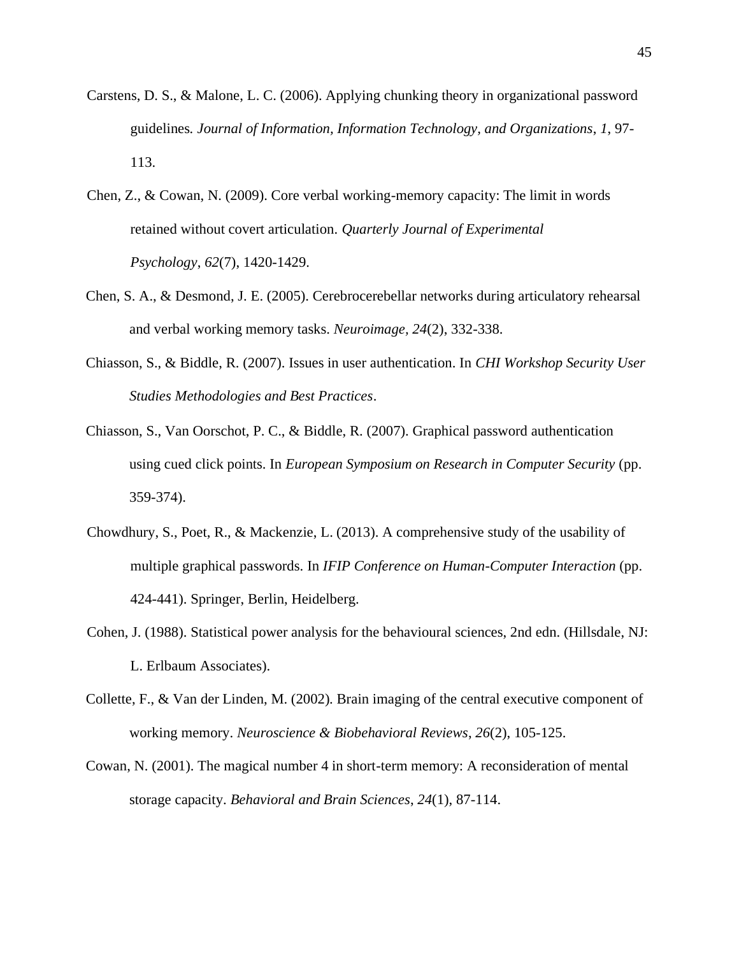- Carstens, D. S., & Malone, L. C. (2006). Applying chunking theory in organizational password guidelines*. Journal of Information, Information Technology, and Organizations*, *1*, 97- 113.
- Chen, Z., & Cowan, N. (2009). Core verbal working-memory capacity: The limit in words retained without covert articulation. *Quarterly Journal of Experimental Psychology*, *62*(7), 1420-1429.
- Chen, S. A., & Desmond, J. E. (2005). Cerebrocerebellar networks during articulatory rehearsal and verbal working memory tasks. *Neuroimage, 24*(2), 332-338.
- Chiasson, S., & Biddle, R. (2007). Issues in user authentication. In *CHI Workshop Security User Studies Methodologies and Best Practices*.
- Chiasson, S., Van Oorschot, P. C., & Biddle, R. (2007). Graphical password authentication using cued click points. In *European Symposium on Research in Computer Security* (pp. 359-374).
- Chowdhury, S., Poet, R., & Mackenzie, L. (2013). A comprehensive study of the usability of multiple graphical passwords. In *IFIP Conference on Human-Computer Interaction* (pp. 424-441). Springer, Berlin, Heidelberg.
- Cohen, J. (1988). Statistical power analysis for the behavioural sciences, 2nd edn. (Hillsdale, NJ: L. Erlbaum Associates).
- Collette, F., & Van der Linden, M. (2002). Brain imaging of the central executive component of working memory. *Neuroscience & Biobehavioral Reviews*, *26*(2), 105-125.
- Cowan, N. (2001). The magical number 4 in short-term memory: A reconsideration of mental storage capacity. *Behavioral and Brain Sciences*, *24*(1), 87-114.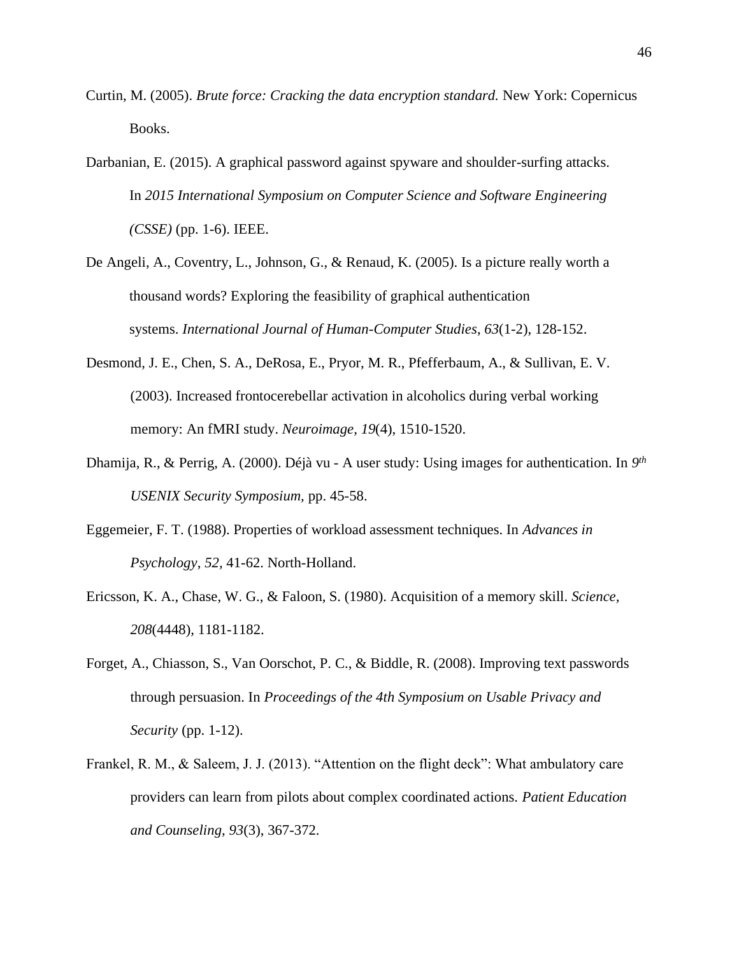- Curtin, M. (2005). *Brute force: Cracking the data encryption standard.* New York: Copernicus Books.
- Darbanian, E. (2015). A graphical password against spyware and shoulder-surfing attacks. In *2015 International Symposium on Computer Science and Software Engineering (CSSE)* (pp. 1-6). IEEE.
- De Angeli, A., Coventry, L., Johnson, G., & Renaud, K. (2005). Is a picture really worth a thousand words? Exploring the feasibility of graphical authentication systems. *International Journal of Human-Computer Studies*, *63*(1-2), 128-152.
- Desmond, J. E., Chen, S. A., DeRosa, E., Pryor, M. R., Pfefferbaum, A., & Sullivan, E. V. (2003). Increased frontocerebellar activation in alcoholics during verbal working memory: An fMRI study. *Neuroimage, 19*(4), 1510-1520.
- Dhamija, R., & Perrig, A. (2000). Déjà vu A user study: Using images for authentication. In *9 th USENIX Security Symposium,* pp. 45-58.
- Eggemeier, F. T. (1988). Properties of workload assessment techniques. In *Advances in Psychology*, *52,* 41-62. North-Holland.
- Ericsson, K. A., Chase, W. G., & Faloon, S. (1980). Acquisition of a memory skill. *Science, 208*(4448)*,* 1181-1182.
- Forget, A., Chiasson, S., Van Oorschot, P. C., & Biddle, R. (2008). Improving text passwords through persuasion. In *Proceedings of the 4th Symposium on Usable Privacy and Security* (pp. 1-12).
- Frankel, R. M., & Saleem, J. J. (2013). "Attention on the flight deck": What ambulatory care providers can learn from pilots about complex coordinated actions. *Patient Education and Counseling, 93*(3), 367-372.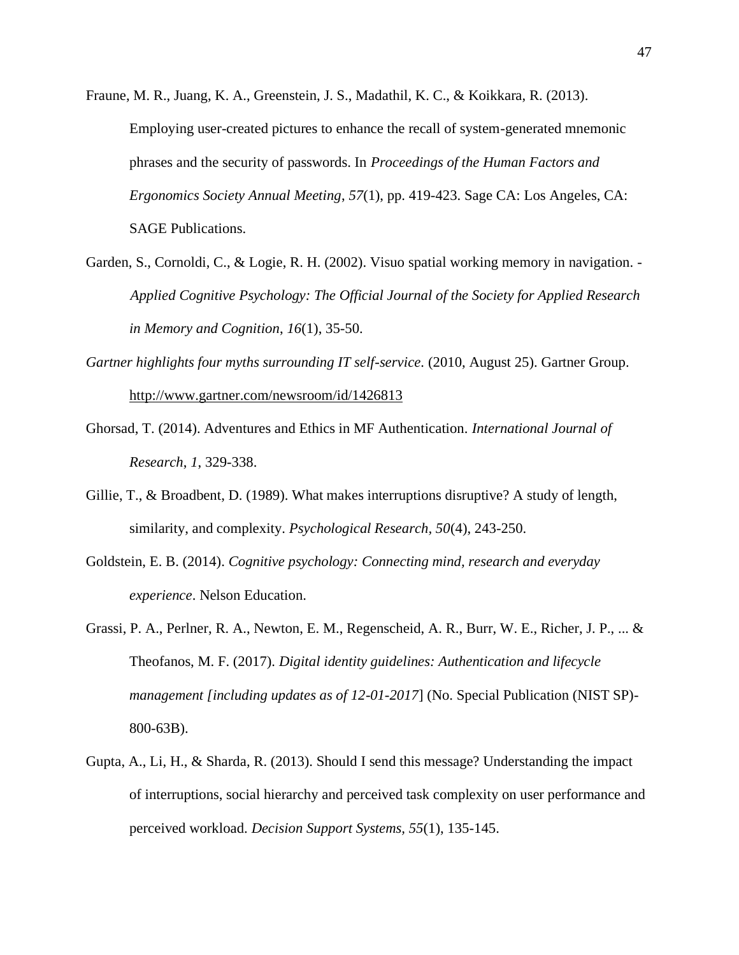- Fraune, M. R., Juang, K. A., Greenstein, J. S., Madathil, K. C., & Koikkara, R. (2013). Employing user-created pictures to enhance the recall of system-generated mnemonic phrases and the security of passwords. In *Proceedings of the Human Factors and Ergonomics Society Annual Meeting*, *57*(1), pp. 419-423. Sage CA: Los Angeles, CA: SAGE Publications.
- Garden, S., Cornoldi, C., & Logie, R. H. (2002). Visuo spatial working memory in navigation. *Applied Cognitive Psychology: The Official Journal of the Society for Applied Research in Memory and Cognition*, *16*(1), 35-50.
- *Gartner highlights four myths surrounding IT self-service.* (2010, August 25). Gartner Group. <http://www.gartner.com/newsroom/id/1426813>
- Ghorsad, T. (2014). Adventures and Ethics in MF Authentication. *International Journal of Research*, *1*, 329-338.
- Gillie, T., & Broadbent, D. (1989). What makes interruptions disruptive? A study of length, similarity, and complexity. *Psychological Research, 50*(4), 243-250.
- Goldstein, E. B. (2014). *Cognitive psychology: Connecting mind, research and everyday experience*. Nelson Education.
- Grassi, P. A., Perlner, R. A., Newton, E. M., Regenscheid, A. R., Burr, W. E., Richer, J. P., ... & Theofanos, M. F. (2017). *Digital identity guidelines: Authentication and lifecycle management [including updates as of 12-01-2017*] (No. Special Publication (NIST SP)- 800-63B).
- Gupta, A., Li, H., & Sharda, R. (2013). Should I send this message? Understanding the impact of interruptions, social hierarchy and perceived task complexity on user performance and perceived workload. *Decision Support Systems, 55*(1), 135-145.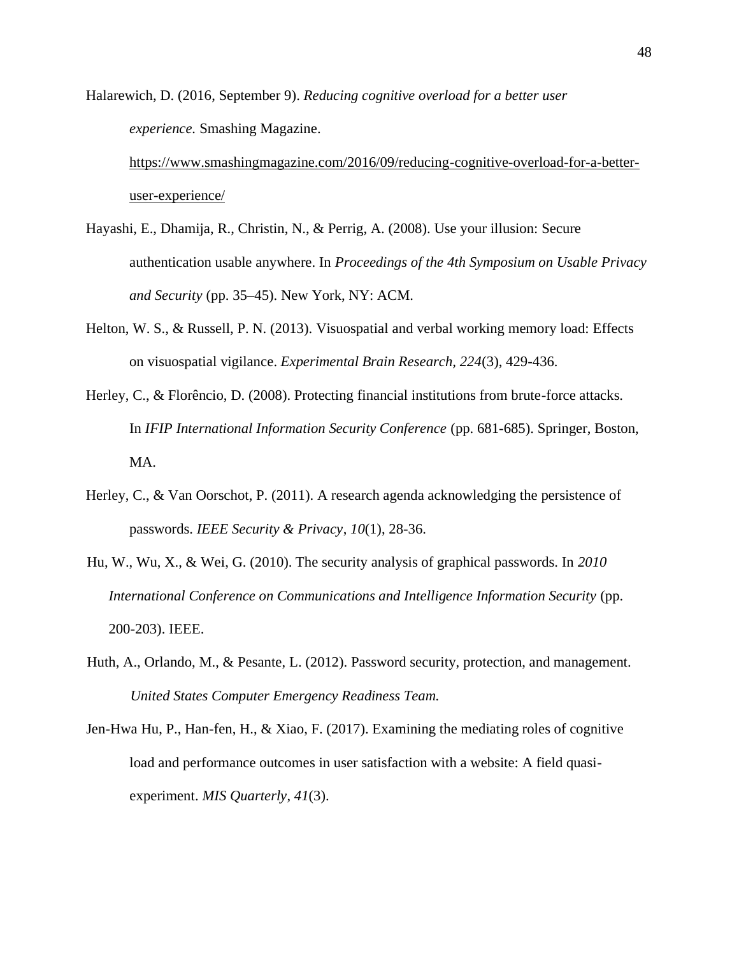Halarewich, D. (2016, September 9). *Reducing cognitive overload for a better user experience.* Smashing Magazine.

[https://www.smashingmagazine.com/2016/09/reducing-cognitive-overload-for-a-better](https://www.smashingmagazine.com/2016/09/reducing-cognitive-overload-for-a-better-user-experience/)[user-experience/](https://www.smashingmagazine.com/2016/09/reducing-cognitive-overload-for-a-better-user-experience/)

- Hayashi, E., Dhamija, R., Christin, N., & Perrig, A. (2008). Use your illusion: Secure authentication usable anywhere. In *Proceedings of the 4th Symposium on Usable Privacy and Security* (pp. 35–45). New York, NY: ACM.
- Helton, W. S., & Russell, P. N. (2013). Visuospatial and verbal working memory load: Effects on visuospatial vigilance. *Experimental Brain Research, 224*(3), 429-436.
- Herley, C., & Florêncio, D. (2008). Protecting financial institutions from brute-force attacks. In *IFIP International Information Security Conference* (pp. 681-685). Springer, Boston, MA.
- Herley, C., & Van Oorschot, P. (2011). A research agenda acknowledging the persistence of passwords. *IEEE Security & Privacy*, *10*(1), 28-36.
- Hu, W., Wu, X., & Wei, G. (2010). The security analysis of graphical passwords. In *2010 International Conference on Communications and Intelligence Information Security* (pp. 200-203). IEEE.
- Huth, A., Orlando, M., & Pesante, L. (2012). Password security, protection, and management. *United States Computer Emergency Readiness Team.*
- Jen-Hwa Hu, P., Han-fen, H., & Xiao, F. (2017). Examining the mediating roles of cognitive load and performance outcomes in user satisfaction with a website: A field quasiexperiment. *MIS Quarterly*, *41*(3).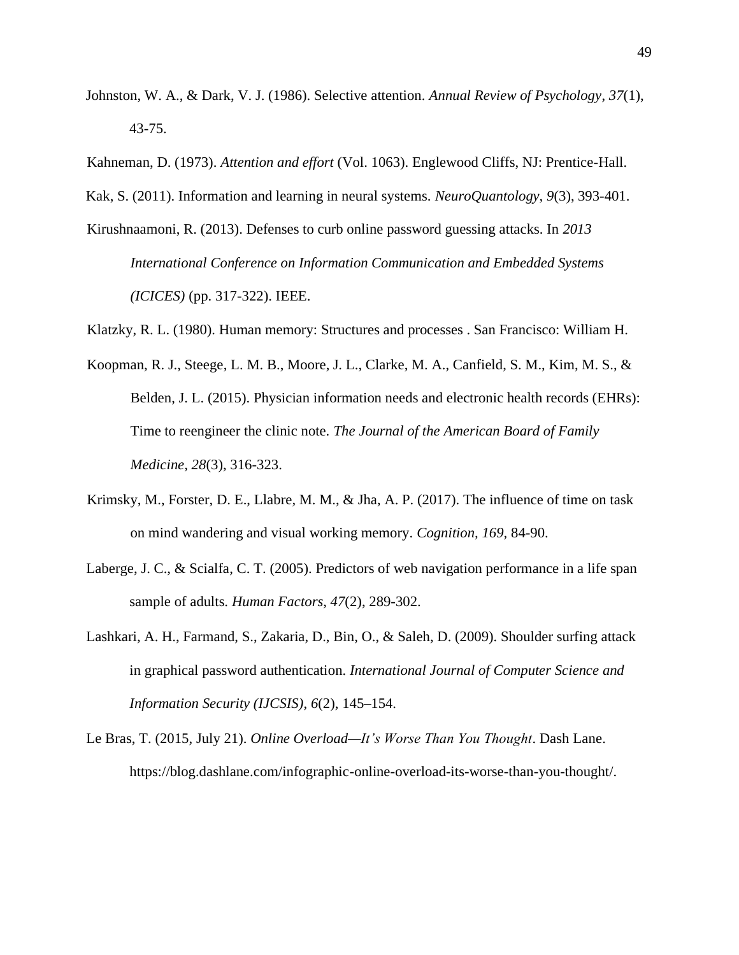- Johnston, W. A., & Dark, V. J. (1986). Selective attention. *Annual Review of Psychology*, *37*(1), 43-75.
- Kahneman, D. (1973). *Attention and effort* (Vol. 1063). Englewood Cliffs, NJ: Prentice-Hall.
- Kak, S. (2011). Information and learning in neural systems. *NeuroQuantology, 9*(3), 393-401.
- Kirushnaamoni, R. (2013). Defenses to curb online password guessing attacks. In *2013 International Conference on Information Communication and Embedded Systems (ICICES)* (pp. 317-322). IEEE.
- Klatzky, R. L. (1980). Human memory: Structures and processes . San Francisco: William H.
- Koopman, R. J., Steege, L. M. B., Moore, J. L., Clarke, M. A., Canfield, S. M., Kim, M. S., & Belden, J. L. (2015). Physician information needs and electronic health records (EHRs): Time to reengineer the clinic note. *The Journal of the American Board of Family Medicine, 28*(3), 316-323.
- Krimsky, M., Forster, D. E., Llabre, M. M., & Jha, A. P. (2017). The influence of time on task on mind wandering and visual working memory. *Cognition, 169,* 84-90.
- Laberge, J. C., & Scialfa, C. T. (2005). Predictors of web navigation performance in a life span sample of adults. *Human Factors*, *47*(2), 289-302.
- Lashkari, A. H., Farmand, S., Zakaria, D., Bin, O., & Saleh, D. (2009). Shoulder surfing attack in graphical password authentication. *International Journal of Computer Science and Information Security (IJCSIS)*, *6*(2), 145–154.
- Le Bras, T. (2015, July 21). *Online Overload—It's Worse Than You Thought*. Dash Lane. https://blog.dashlane.com/infographic-online-overload-its-worse-than-you-thought/.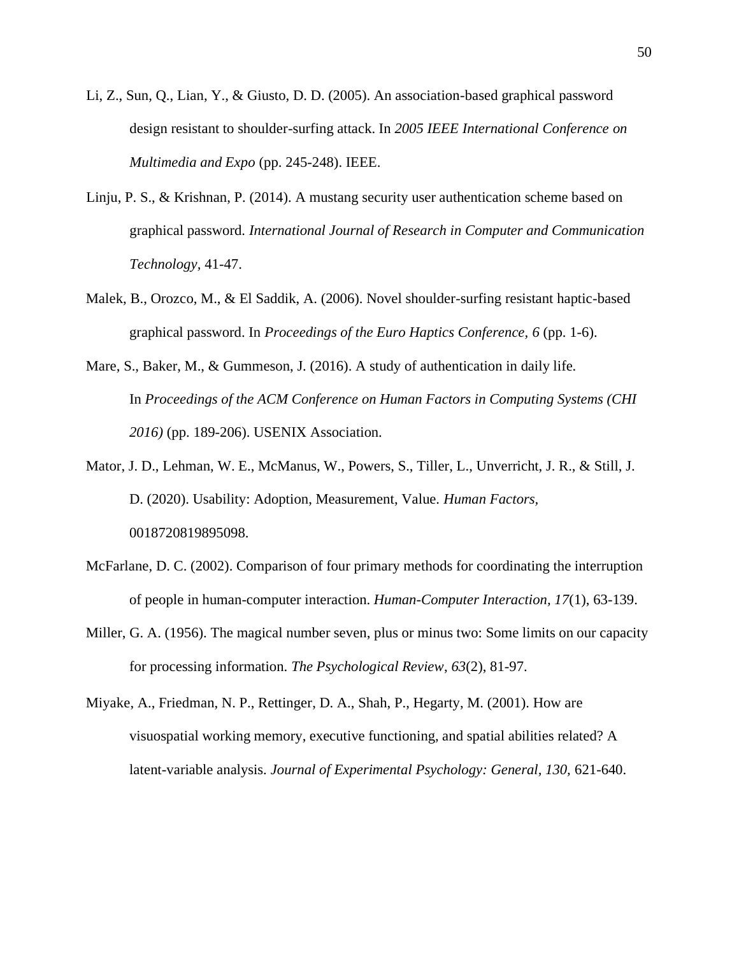- Li, Z., Sun, Q., Lian, Y., & Giusto, D. D. (2005). An association-based graphical password design resistant to shoulder-surfing attack. In *2005 IEEE International Conference on Multimedia and Expo* (pp. 245-248). IEEE.
- Linju, P. S., & Krishnan, P. (2014). A mustang security user authentication scheme based on graphical password. *International Journal of Research in Computer and Communication Technology,* 41-47.
- Malek, B., Orozco, M., & El Saddik, A. (2006). Novel shoulder-surfing resistant haptic-based graphical password. In *Proceedings of the Euro Haptics Conference, 6* (pp. 1-6).
- Mare, S., Baker, M., & Gummeson, J. (2016). A study of authentication in daily life. In *Proceedings of the ACM Conference on Human Factors in Computing Systems (CHI 2016)* (pp. 189-206). USENIX Association.
- Mator, J. D., Lehman, W. E., McManus, W., Powers, S., Tiller, L., Unverricht, J. R., & Still, J. D. (2020). Usability: Adoption, Measurement, Value. *Human Factors,* 0018720819895098.
- McFarlane, D. C. (2002). Comparison of four primary methods for coordinating the interruption of people in human-computer interaction. *Human-Computer Interaction, 17*(1), 63-139.
- Miller, G. A. (1956). The magical number seven, plus or minus two: Some limits on our capacity for processing information. *The Psychological Review*, *63*(2), 81-97.
- Miyake, A., Friedman, N. P., Rettinger, D. A., Shah, P., Hegarty, M. (2001). How are visuospatial working memory, executive functioning, and spatial abilities related? A latent-variable analysis. *Journal of Experimental Psychology: General, 130, 621-640.*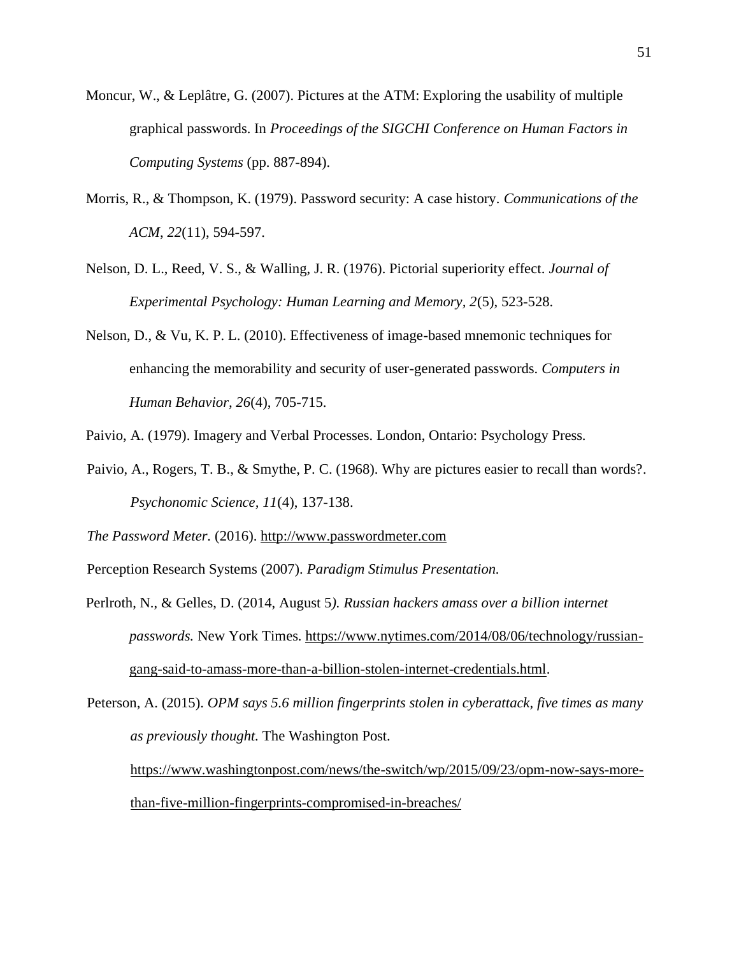- Moncur, W., & Leplâtre, G. (2007). Pictures at the ATM: Exploring the usability of multiple graphical passwords. In *Proceedings of the SIGCHI Conference on Human Factors in Computing Systems* (pp. 887-894).
- Morris, R., & Thompson, K. (1979). Password security: A case history. *Communications of the ACM*, *22*(11), 594-597.
- Nelson, D. L., Reed, V. S., & Walling, J. R. (1976). Pictorial superiority effect. *Journal of Experimental Psychology: Human Learning and Memory, 2*(5), 523-528.
- Nelson, D., & Vu, K. P. L. (2010). Effectiveness of image-based mnemonic techniques for enhancing the memorability and security of user-generated passwords. *Computers in Human Behavior, 26*(4), 705-715.

Paivio, A. (1979). Imagery and Verbal Processes. London, Ontario: Psychology Press.

Paivio, A., Rogers, T. B., & Smythe, P. C. (1968). Why are pictures easier to recall than words?. *Psychonomic Science, 11*(4), 137-138.

*The Password Meter.* (2016). [http://www.passwordmeter.com](http://www.passwordmeter.com/)

Perception Research Systems (2007). *Paradigm Stimulus Presentation.*

Perlroth, N., & Gelles, D. (2014, August 5*). Russian hackers amass over a billion internet passwords.* New York Times*.* https://www.nytimes.com/2014/08/06/technology/russiangang-said-to-amass-more-than-a-billion-stolen-internet-credentials.html.

Peterson, A. (2015). *OPM says 5.6 million fingerprints stolen in cyberattack, five times as many as previously thought.* The Washington Post. [https://www.washingtonpost.com/news/the-switch/wp/2015/09/23/opm-now-says-more-](https://www.washingtonpost.com/news/the-switch/wp/2015/09/23/opm-now-says-more-than-five-million-fingerprints-compromised-in-breaches/)

[than-five-million-fingerprints-compromised-in-breaches/](https://www.washingtonpost.com/news/the-switch/wp/2015/09/23/opm-now-says-more-than-five-million-fingerprints-compromised-in-breaches/)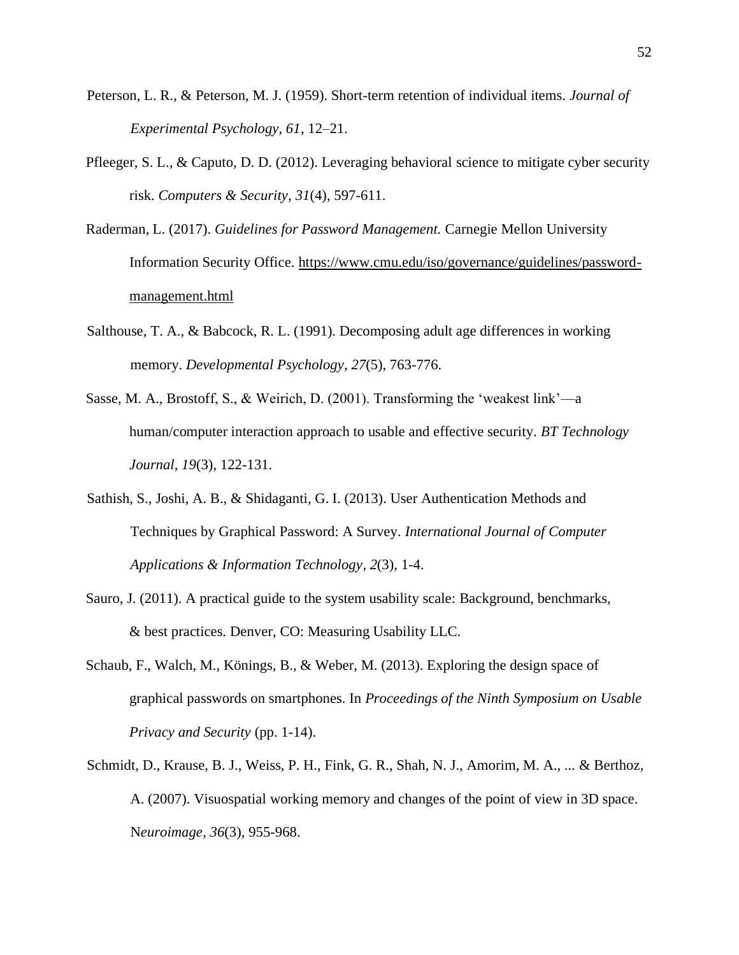- Peterson, L. R., & Peterson, M. J. (1959). Short-term retention of individual items. *Journal of Experimental Psychology, 61*, 12–21.
- Pfleeger, S. L., & Caputo, D. D. (2012). Leveraging behavioral science to mitigate cyber security risk. *Computers & Security*, *31*(4), 597-611.
- Raderman, L. (2017). *Guidelines for Password Management.* Carnegie Mellon University Information Security Office. [https://www.cmu.edu/iso/governance/guidelines/password](https://www.cmu.edu/iso/governance/guidelines/password-management.html)[management.html](https://www.cmu.edu/iso/governance/guidelines/password-management.html)
- Salthouse, T. A., & Babcock, R. L. (1991). Decomposing adult age differences in working memory. *Developmental Psychology*, *27*(5), 763-776.
- Sasse, M. A., Brostoff, S., & Weirich, D. (2001). Transforming the 'weakest link'—a human/computer interaction approach to usable and effective security. *BT Technology Journal, 19*(3), 122-131.
- Sathish, S., Joshi, A. B., & Shidaganti, G. I. (2013). User Authentication Methods and Techniques by Graphical Password: A Survey. *International Journal of Computer Applications & Information Technology*, *2*(3), 1-4.
- Sauro, J. (2011). A practical guide to the system usability scale: Background, benchmarks, & best practices. Denver, CO: Measuring Usability LLC.
- Schaub, F., Walch, M., Könings, B., & Weber, M. (2013). Exploring the design space of graphical passwords on smartphones. In *Proceedings of the Ninth Symposium on Usable Privacy and Security* (pp. 1-14).
- Schmidt, D., Krause, B. J., Weiss, P. H., Fink, G. R., Shah, N. J., Amorim, M. A., ... & Berthoz, A. (2007). Visuospatial working memory and changes of the point of view in 3D space. N*euroimage*, *36*(3), 955-968.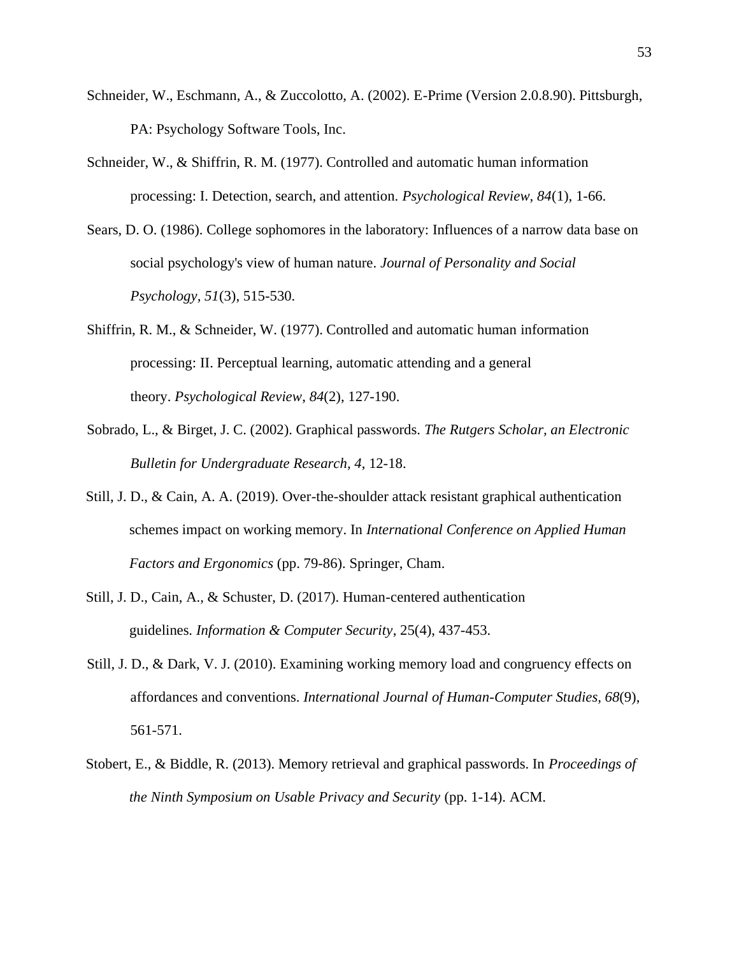- Schneider, W., Eschmann, A., & Zuccolotto, A. (2002). E-Prime (Version 2.0.8.90). Pittsburgh, PA: Psychology Software Tools, Inc.
- Schneider, W., & Shiffrin, R. M. (1977). Controlled and automatic human information processing: I. Detection, search, and attention. *Psychological Review, 84*(1), 1-66.
- Sears, D. O. (1986). College sophomores in the laboratory: Influences of a narrow data base on social psychology's view of human nature. *Journal of Personality and Social Psychology, 51*(3), 515-530.
- Shiffrin, R. M., & Schneider, W. (1977). Controlled and automatic human information processing: II. Perceptual learning, automatic attending and a general theory. *Psychological Review*, *84*(2), 127-190.
- Sobrado, L., & Birget, J. C. (2002). Graphical passwords. *The Rutgers Scholar, an Electronic Bulletin for Undergraduate Research, 4*, 12-18.
- Still, J. D., & Cain, A. A. (2019). Over-the-shoulder attack resistant graphical authentication schemes impact on working memory. In *International Conference on Applied Human Factors and Ergonomics* (pp. 79-86). Springer, Cham.
- Still, J. D., Cain, A., & Schuster, D. (2017). Human-centered authentication guidelines. *Information & Computer Security*, 25(4), 437-453.
- Still, J. D., & Dark, V. J. (2010). Examining working memory load and congruency effects on affordances and conventions. *International Journal of Human-Computer Studies, 68*(9), 561-571.
- Stobert, E., & Biddle, R. (2013). Memory retrieval and graphical passwords. In *Proceedings of the Ninth Symposium on Usable Privacy and Security* (pp. 1-14). ACM.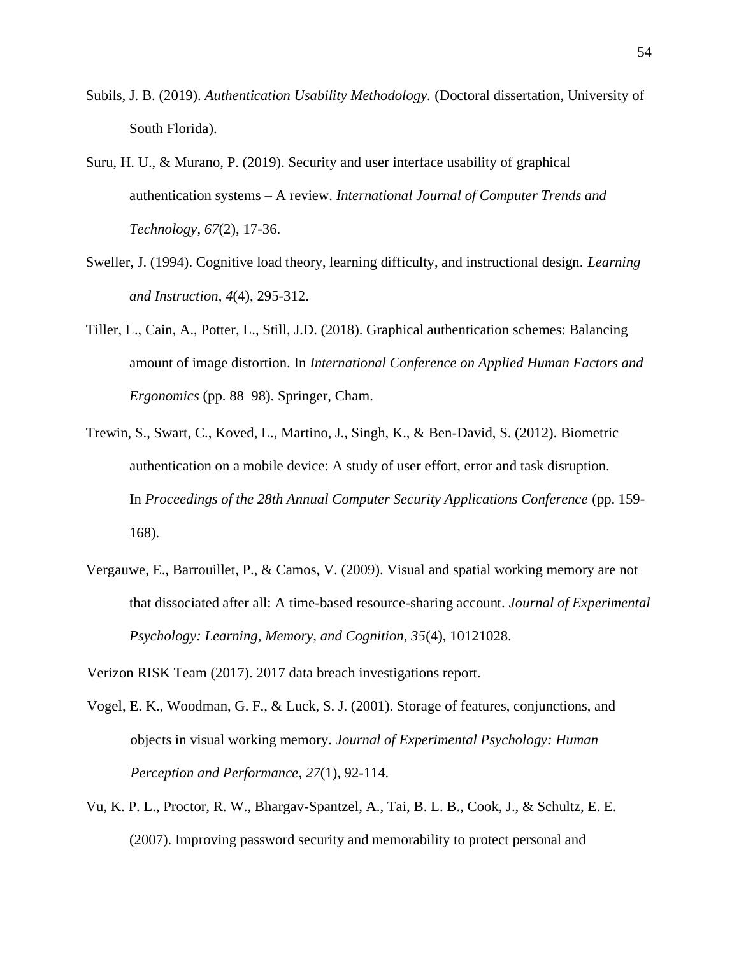- Subils, J. B. (2019). *Authentication Usability Methodology.* (Doctoral dissertation, University of South Florida).
- Suru, H. U., & Murano, P. (2019). Security and user interface usability of graphical authentication systems – A review. *International Journal of Computer Trends and Technology*, *67*(2), 17-36.
- Sweller, J. (1994). Cognitive load theory, learning difficulty, and instructional design. *Learning and Instruction*, *4*(4), 295-312.
- Tiller, L., Cain, A., Potter, L., Still, J.D. (2018). Graphical authentication schemes: Balancing amount of image distortion. In *International Conference on Applied Human Factors and Ergonomics* (pp. 88–98). Springer, Cham.
- Trewin, S., Swart, C., Koved, L., Martino, J., Singh, K., & Ben-David, S. (2012). Biometric authentication on a mobile device: A study of user effort, error and task disruption. In *Proceedings of the 28th Annual Computer Security Applications Conference* (pp. 159- 168).
- Vergauwe, E., Barrouillet, P., & Camos, V. (2009). Visual and spatial working memory are not that dissociated after all: A time-based resource-sharing account. *Journal of Experimental Psychology: Learning, Memory, and Cognition, 35*(4), 10121028.

Verizon RISK Team (2017). 2017 data breach investigations report.

- Vogel, E. K., Woodman, G. F., & Luck, S. J. (2001). Storage of features, conjunctions, and objects in visual working memory. *Journal of Experimental Psychology: Human Perception and Performance*, *27*(1), 92-114.
- Vu, K. P. L., Proctor, R. W., Bhargav-Spantzel, A., Tai, B. L. B., Cook, J., & Schultz, E. E. (2007). Improving password security and memorability to protect personal and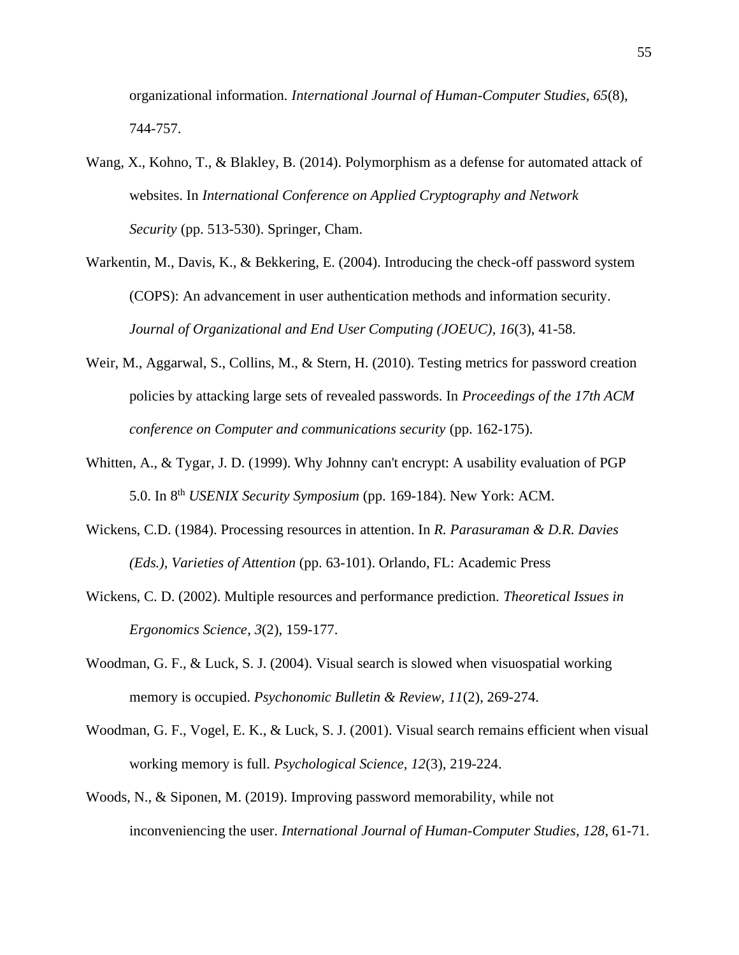organizational information. *International Journal of Human-Computer Studies*, *65*(8), 744-757.

- Wang, X., Kohno, T., & Blakley, B. (2014). Polymorphism as a defense for automated attack of websites. In *International Conference on Applied Cryptography and Network Security* (pp. 513-530). Springer, Cham.
- Warkentin, M., Davis, K., & Bekkering, E. (2004). Introducing the check-off password system (COPS): An advancement in user authentication methods and information security. *Journal of Organizational and End User Computing (JOEUC), 16*(3), 41-58.
- Weir, M., Aggarwal, S., Collins, M., & Stern, H. (2010). Testing metrics for password creation policies by attacking large sets of revealed passwords. In *Proceedings of the 17th ACM conference on Computer and communications security* (pp. 162-175).
- Whitten, A., & Tygar, J. D. (1999). Why Johnny can't encrypt: A usability evaluation of PGP 5.0. In 8<sup>th</sup> *USENIX Security Symposium* (pp. 169-184). New York: ACM.
- Wickens, C.D. (1984). Processing resources in attention. In *R. Parasuraman & D.R. Davies (Eds.), Varieties of Attention* (pp. 63-101). Orlando, FL: Academic Press
- Wickens, C. D. (2002). Multiple resources and performance prediction. *Theoretical Issues in Ergonomics Science*, *3*(2), 159-177.
- Woodman, G. F., & Luck, S. J. (2004). Visual search is slowed when visuospatial working memory is occupied. *Psychonomic Bulletin & Review, 11*(2), 269-274.
- Woodman, G. F., Vogel, E. K., & Luck, S. J. (2001). Visual search remains efficient when visual working memory is full. *Psychological Science, 12*(3), 219-224.
- Woods, N., & Siponen, M. (2019). Improving password memorability, while not inconveniencing the user. *International Journal of Human-Computer Studies*, *128*, 61-71.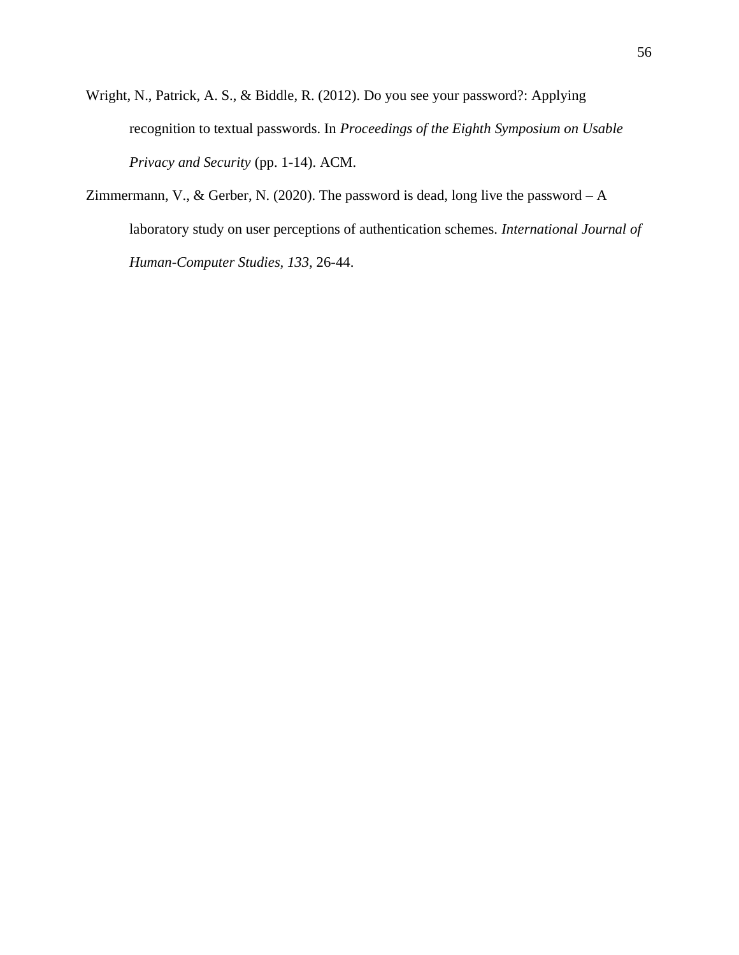Wright, N., Patrick, A. S., & Biddle, R. (2012). Do you see your password?: Applying recognition to textual passwords. In *Proceedings of the Eighth Symposium on Usable Privacy and Security* (pp. 1-14). ACM.

Zimmermann, V., & Gerber, N. (2020). The password is dead, long live the password – A laboratory study on user perceptions of authentication schemes. *International Journal of Human-Computer Studies, 133,* 26-44.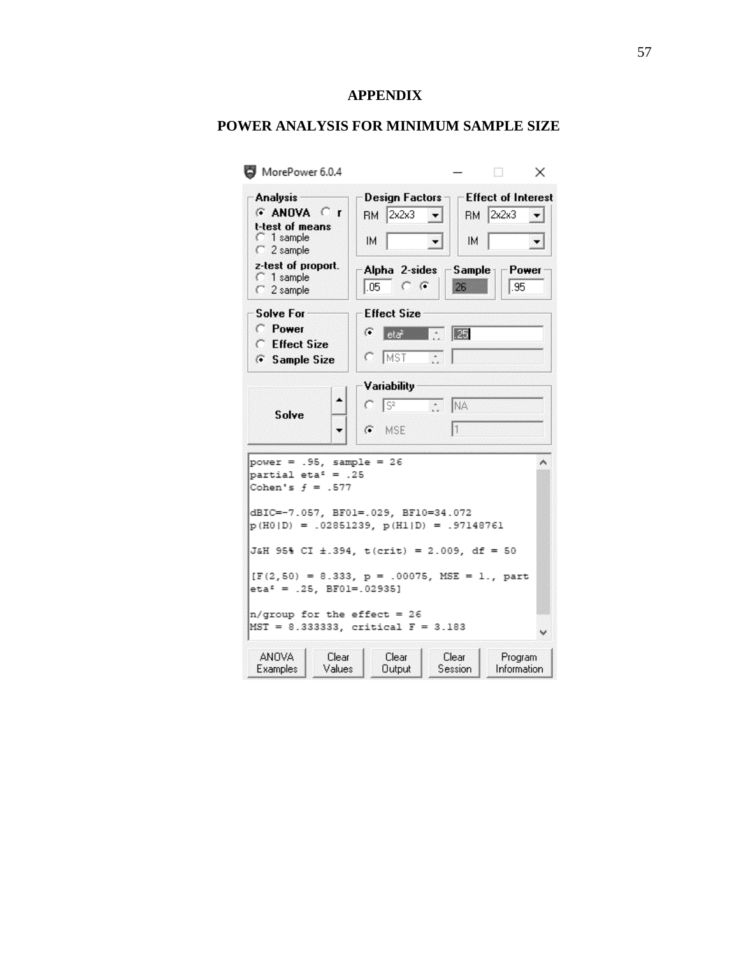## **APPENDIX**

## **POWER ANALYSIS FOR MINIMUM SAMPLE SIZE**

| Analysis-<br>$G$ ANOVA $C$ r<br>t-test of means<br>C 1 sample<br>C 2 sample                                                      | RM 2x2x3<br>$\vert \cdot \vert$<br>IM.<br>┯╎                                              | -Effect of Interest<br>RM 2x2x3<br>IM. |  |
|----------------------------------------------------------------------------------------------------------------------------------|-------------------------------------------------------------------------------------------|----------------------------------------|--|
| z-test of proport.<br>C 1 sample<br>C 2 sample                                                                                   | Alpha 2-sides $\Box$ Sample $\Box$ Power<br>$\overline{.05}$<br>$C \cdot G$<br>26<br>l.95 |                                        |  |
| Solve For-<br>C Power                                                                                                            | <b>Effect Size</b><br>G<br>$\sqrt{25}$<br>a an<br>eta?                                    |                                        |  |
| <b>C</b> Effect Size<br>G Sample Size                                                                                            | MST<br>n                                                                                  |                                        |  |
| Solve                                                                                                                            | Variability<br>$C \sqrt{S^2}$<br>C NA                                                     |                                        |  |
|                                                                                                                                  | $G$ MSE                                                                                   |                                        |  |
|                                                                                                                                  |                                                                                           |                                        |  |
|                                                                                                                                  | dBIC=-7.057, BF01=.029, BF10=34.072<br>$p(H0 D) = .02851239, p(H1 D) = .97148761$         | ۸                                      |  |
|                                                                                                                                  | J&H 95% CI ±.394, t(crit) = 2.009, df = 50                                                |                                        |  |
| $power = .95$ , sample = 26<br>partial eta <sup><math>s</math></sup> = .25<br>Cohen's $f = .577$<br>$eta^2 = .25$ , BF01=.02935] | $[F(2, 50) = 8.333, p = .00075, MSE = 1., part$                                           |                                        |  |